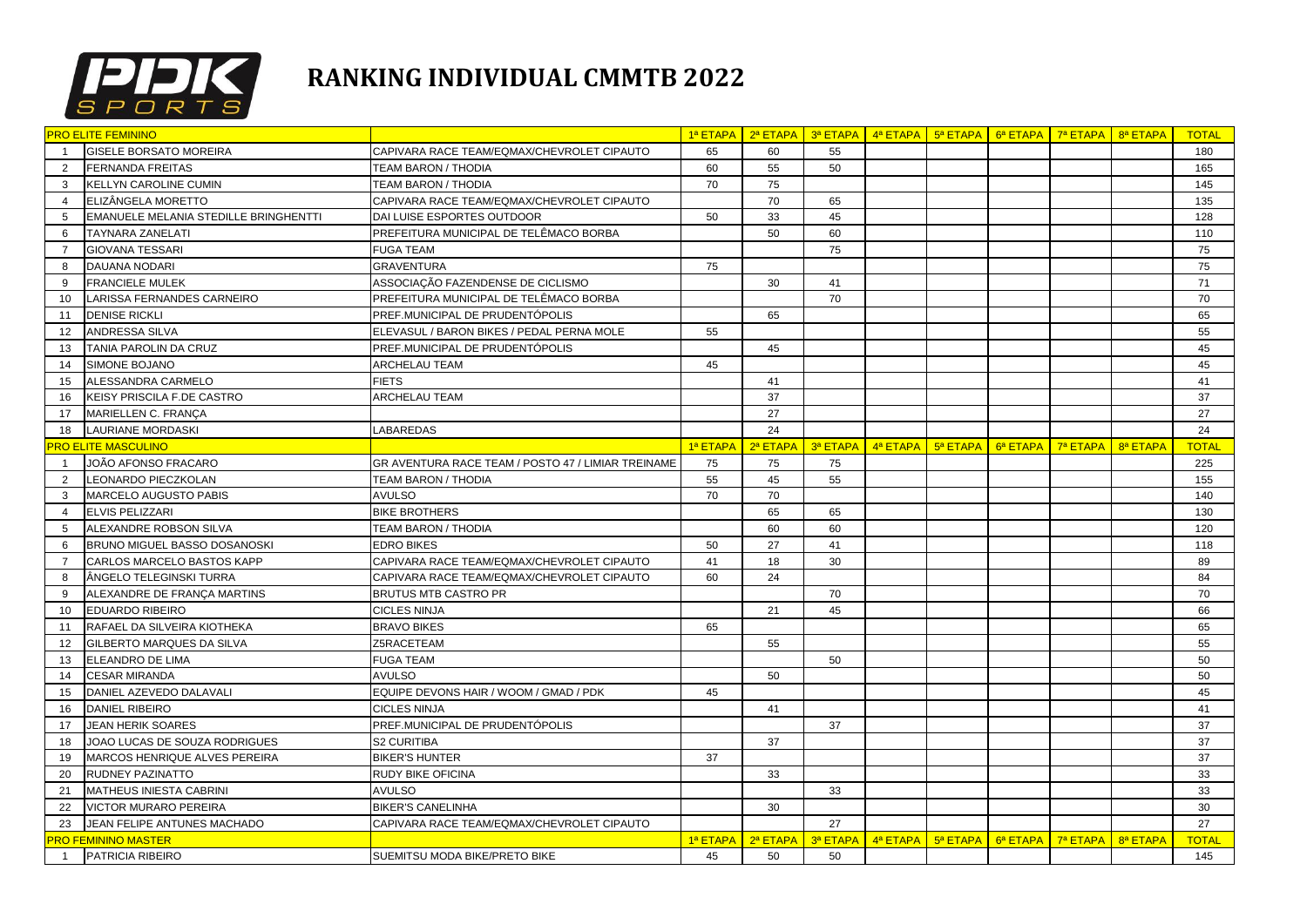

## **RANKING INDIVIDUAL CMMTB 2022**

|                | <b>PRO ELITE FEMININO</b>             |                                                    |          |          |          | 1ª ETAPA   2ª ETAPA   3ª ETAPA   4ª ETAPA   5ª ETAPA   6ª ETAPA   7ª ETAPA |                                                                     |          | 8ª ETAPA | <b>TOTAL</b> |
|----------------|---------------------------------------|----------------------------------------------------|----------|----------|----------|----------------------------------------------------------------------------|---------------------------------------------------------------------|----------|----------|--------------|
| $\overline{1}$ | <b>GISELE BORSATO MOREIRA</b>         | CAPIVARA RACE TEAM/EQMAX/CHEVROLET CIPAUTO         | 65       | 60       | 55       |                                                                            |                                                                     |          |          | 180          |
| 2              | <b>FERNANDA FREITAS</b>               | TEAM BARON / THODIA                                | 60       | 55       | 50       |                                                                            |                                                                     |          |          | 165          |
| 3              | KELLYN CAROLINE CUMIN                 | TEAM BARON / THODIA                                | 70       | 75       |          |                                                                            |                                                                     |          |          | 145          |
| $\overline{4}$ | ELIZÂNGELA MORETTO                    | CAPIVARA RACE TEAM/EQMAX/CHEVROLET CIPAUTO         |          | 70       | 65       |                                                                            |                                                                     |          |          | 135          |
| 5              | EMANUELE MELANIA STEDILLE BRINGHENTTI | DAI LUISE ESPORTES OUTDOOR                         | 50       | 33       | 45       |                                                                            |                                                                     |          |          | 128          |
| 6              | TAYNARA ZANELATI                      | PREFEITURA MUNICIPAL DE TELÊMACO BORBA             |          | 50       | 60       |                                                                            |                                                                     |          |          | 110          |
| $\overline{7}$ | <b>GIOVANA TESSARI</b>                | <b>FUGA TEAM</b>                                   |          |          | 75       |                                                                            |                                                                     |          |          | 75           |
| 8              | DAUANA NODARI                         | <b>GRAVENTURA</b>                                  | 75       |          |          |                                                                            |                                                                     |          |          | 75           |
| 9              | <b>FRANCIELE MULEK</b>                | ASSOCIAÇÃO FAZENDENSE DE CICLISMO                  |          | 30       | 41       |                                                                            |                                                                     |          |          | 71           |
| 10             | LARISSA FERNANDES CARNEIRO            | PREFEITURA MUNICIPAL DE TELÊMACO BORBA             |          |          | 70       |                                                                            |                                                                     |          |          | 70           |
| 11             | <b>DENISE RICKLI</b>                  | PREF.MUNICIPAL DE PRUDENTÓPOLIS                    |          | 65       |          |                                                                            |                                                                     |          |          | 65           |
| 12             | ANDRESSA SILVA                        | ELEVASUL / BARON BIKES / PEDAL PERNA MOLE          | 55       |          |          |                                                                            |                                                                     |          |          | 55           |
| 13             | TANIA PAROLIN DA CRUZ                 | PREF.MUNICIPAL DE PRUDENTÓPOLIS                    |          | 45       |          |                                                                            |                                                                     |          |          | 45           |
| 14             | SIMONE BOJANO                         | <b>ARCHELAU TEAM</b>                               | 45       |          |          |                                                                            |                                                                     |          |          | 45           |
| 15             | ALESSANDRA CARMELO                    | <b>FIETS</b>                                       |          | 41       |          |                                                                            |                                                                     |          |          | 41           |
| 16             | KEISY PRISCILA F.DE CASTRO            | <b>ARCHELAU TEAM</b>                               |          | 37       |          |                                                                            |                                                                     |          |          | 37           |
| 17             | MARIELLEN C. FRANÇA                   |                                                    |          | 27       |          |                                                                            |                                                                     |          |          | 27           |
| 18             | LAURIANE MORDASKI                     | LABAREDAS                                          |          | 24       |          |                                                                            |                                                                     |          |          | 24           |
|                | <b>PRO ELITE MASCULINO</b>            |                                                    | 1ª ETAPA | 2ª ETAPA | 3ª ETAPA |                                                                            | $\frac{4^a}{a^a}$ ETAPA $\frac{1}{a^a}$ ETAPA $\frac{1}{a^a}$ ETAPA | 7ª ETAPA | 8ª ETAPA | <b>TOTAL</b> |
| $\overline{1}$ | JOÃO AFONSO FRACARO                   | GR AVENTURA RACE TEAM / POSTO 47 / LIMIAR TREINAME | 75       | 75       | 75       |                                                                            |                                                                     |          |          | 225          |
| $\overline{2}$ | LEONARDO PIECZKOLAN                   | TEAM BARON / THODIA                                | 55       | 45       | 55       |                                                                            |                                                                     |          |          | 155          |
| 3              | MARCELO AUGUSTO PABIS                 | <b>AVULSO</b>                                      | 70       | 70       |          |                                                                            |                                                                     |          |          | 140          |
| $\overline{4}$ | ELVIS PELIZZARI                       | <b>BIKE BROTHERS</b>                               |          | 65       | 65       |                                                                            |                                                                     |          |          | 130          |
| 5              | ALEXANDRE ROBSON SILVA                | <b>TEAM BARON / THODIA</b>                         |          | 60       | 60       |                                                                            |                                                                     |          |          | 120          |
| 6              | BRUNO MIGUEL BASSO DOSANOSKI          | <b>EDRO BIKES</b>                                  | 50       | 27       | 41       |                                                                            |                                                                     |          |          | 118          |
| $\overline{7}$ | CARLOS MARCELO BASTOS KAPP            | CAPIVARA RACE TEAM/EQMAX/CHEVROLET CIPAUTO         | 41       | 18       | 30       |                                                                            |                                                                     |          |          | 89           |
| 8              | ÂNGELO TELEGINSKI TURRA               | CAPIVARA RACE TEAM/EQMAX/CHEVROLET CIPAUTO         | 60       | 24       |          |                                                                            |                                                                     |          |          | 84           |
| 9              | ALEXANDRE DE FRANÇA MARTINS           | <b>BRUTUS MTB CASTRO PR</b>                        |          |          | 70       |                                                                            |                                                                     |          |          | 70           |
| 10             | <b>EDUARDO RIBEIRO</b>                | <b>CICLES NINJA</b>                                |          | 21       | 45       |                                                                            |                                                                     |          |          | 66           |
| 11             | RAFAEL DA SILVEIRA KIOTHEKA           | <b>BRAVO BIKES</b>                                 | 65       |          |          |                                                                            |                                                                     |          |          | 65           |
| 12             | GILBERTO MARQUES DA SILVA             | Z5RACETEAM                                         |          | 55       |          |                                                                            |                                                                     |          |          | 55           |
| 13             | ELEANDRO DE LIMA                      | <b>FUGA TEAM</b>                                   |          |          | 50       |                                                                            |                                                                     |          |          | 50           |
| 14             | CESAR MIRANDA                         | <b>AVULSO</b>                                      |          | 50       |          |                                                                            |                                                                     |          |          | 50           |
| 15             | DANIEL AZEVEDO DALAVALI               | EQUIPE DEVONS HAIR / WOOM / GMAD / PDK             | 45       |          |          |                                                                            |                                                                     |          |          | 45           |
| 16             | <b>DANIEL RIBEIRO</b>                 | <b>CICLES NINJA</b>                                |          | 41       |          |                                                                            |                                                                     |          |          | 41           |
| 17             | <b>JEAN HERIK SOARES</b>              | PREF.MUNICIPAL DE PRUDENTÓPOLIS                    |          |          | 37       |                                                                            |                                                                     |          |          | 37           |
| 18             | JOAO LUCAS DE SOUZA RODRIGUES         | <b>S2 CURITIBA</b>                                 |          | 37       |          |                                                                            |                                                                     |          |          | 37           |
| 19             | MARCOS HENRIQUE ALVES PEREIRA         | <b>BIKER'S HUNTER</b>                              | 37       |          |          |                                                                            |                                                                     |          |          | 37           |
| 20             | RUDNEY PAZINATTO                      | <b>RUDY BIKE OFICINA</b>                           |          | 33       |          |                                                                            |                                                                     |          |          | 33           |
| 21             | MATHEUS INIESTA CABRINI               | <b>AVULSO</b>                                      |          |          | 33       |                                                                            |                                                                     |          |          | 33           |
| 22             | <b>VICTOR MURARO PEREIRA</b>          | <b>BIKER'S CANELINHA</b>                           |          | 30       |          |                                                                            |                                                                     |          |          | 30           |
| 23             | JEAN FELIPE ANTUNES MACHADO           | CAPIVARA RACE TEAM/EQMAX/CHEVROLET CIPAUTO         |          |          | 27       |                                                                            |                                                                     |          |          | 27           |
|                | PRO FEMININO MASTER                   |                                                    | 1ª ETAPA | 2ª ETAPA |          | $3a$ ETAPA $4a$ ETAPA $5a$ ETAPA $6a$ ETAPA $7a$ ETAPA                     |                                                                     |          | 8ª ETAPA | <b>TOTAL</b> |
| $\overline{1}$ | PATRICIA RIBEIRO                      | SUEMITSU MODA BIKE/PRETO BIKE                      | 45       | 50       | 50       |                                                                            |                                                                     |          |          | 145          |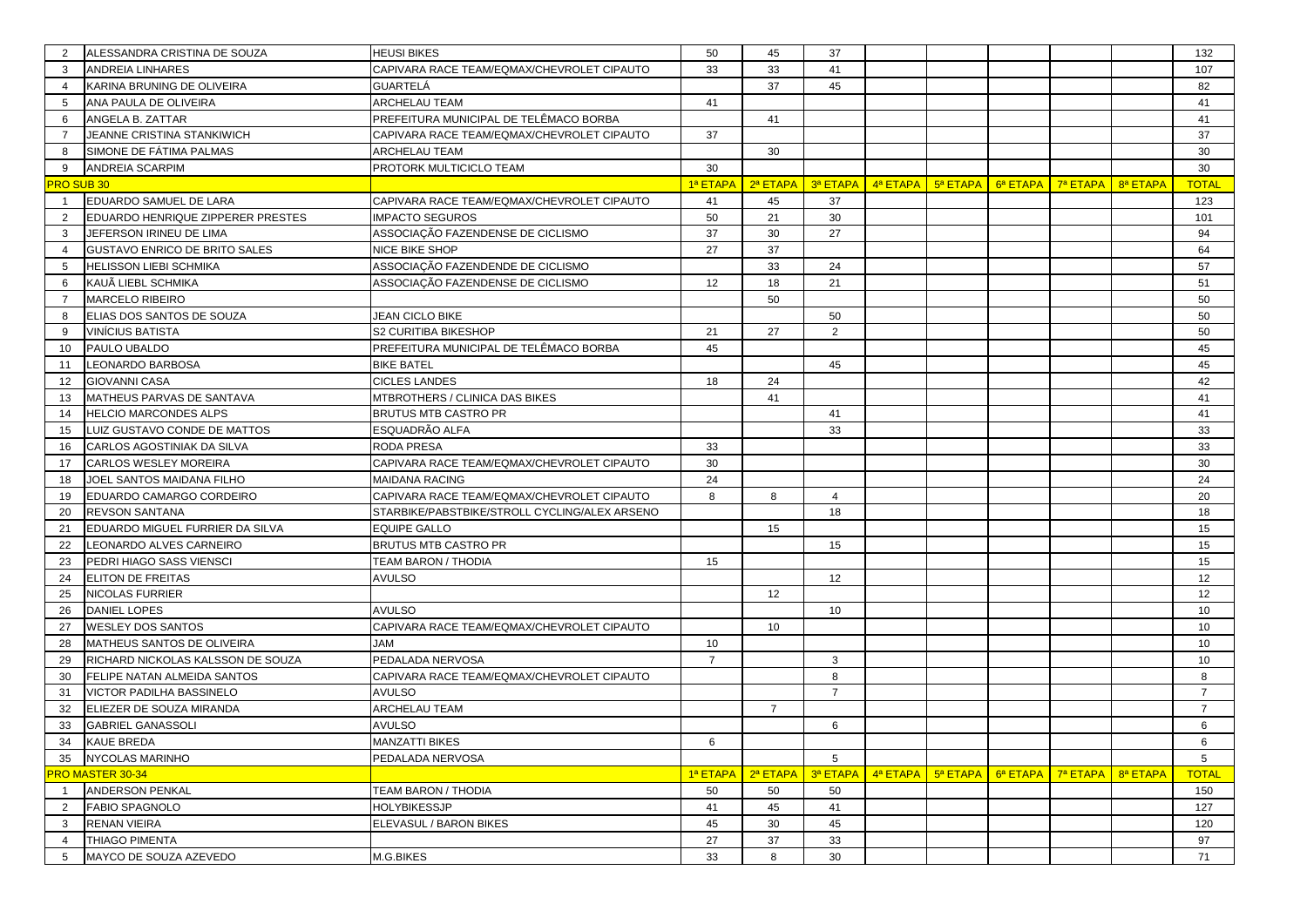| 2              | ALESSANDRA CRISTINA DE SOUZA      | HEUSI BIKES                                   | 50             | 45             | 37             |             |          |          |                                               |          | 132            |
|----------------|-----------------------------------|-----------------------------------------------|----------------|----------------|----------------|-------------|----------|----------|-----------------------------------------------|----------|----------------|
| 3              | <b>ANDREIA LINHARES</b>           | CAPIVARA RACE TEAM/EQMAX/CHEVROLET CIPAUTO    | 33             | 33             | 41             |             |          |          |                                               |          | 107            |
| $\overline{4}$ | KARINA BRUNING DE OLIVEIRA        | GUARTELÁ                                      |                | 37             | 45             |             |          |          |                                               |          | 82             |
| 5              | ANA PAULA DE OLIVEIRA             | <b>ARCHELAU TEAM</b>                          | 41             |                |                |             |          |          |                                               |          | 41             |
| 6              | ANGELA B. ZATTAR                  | PREFEITURA MUNICIPAL DE TELÊMACO BORBA        |                | 41             |                |             |          |          |                                               |          | 41             |
| $\overline{7}$ | JEANNE CRISTINA STANKIWICH        | CAPIVARA RACE TEAM/EQMAX/CHEVROLET CIPAUTO    | 37             |                |                |             |          |          |                                               |          | 37             |
| 8              | SIMONE DE FÁTIMA PALMAS           | ARCHELAU TEAM                                 |                | 30             |                |             |          |          |                                               |          | 30             |
| 9              | <b>ANDREIA SCARPIM</b>            | PROTORK MULTICICLO TEAM                       | 30             |                |                |             |          |          |                                               |          | 30             |
|                | RO SUB 30                         |                                               | 1ª ETAPA       | 2ª ETAPA       | 3ª ETAPA       | $4^a$ ETAPA | 5ª ETAPA | 6ª ETAPA | 7ª ETAPA                                      | 8ª ETAPA | <b>TOTAL</b>   |
| $\mathbf{1}$   | EDUARDO SAMUEL DE LARA            | CAPIVARA RACE TEAM/EQMAX/CHEVROLET CIPAUTO    | 41             | 45             | 37             |             |          |          |                                               |          | 123            |
| 2              | EDUARDO HENRIQUE ZIPPERER PRESTES | <b>IMPACTO SEGUROS</b>                        | 50             | 21             | 30             |             |          |          |                                               |          | 101            |
| 3              | JEFERSON IRINEU DE LIMA           | ASSOCIAÇÃO FAZENDENSE DE CICLISMO             | 37             | 30             | 27             |             |          |          |                                               |          | 94             |
| $\overline{4}$ | GUSTAVO ENRICO DE BRITO SALES     | NICE BIKE SHOP                                | 27             | 37             |                |             |          |          |                                               |          | 64             |
| 5              | HELISSON LIEBI SCHMIKA            | ASSOCIAÇÃO FAZENDENDE DE CICLISMO             |                | 33             | 24             |             |          |          |                                               |          | 57             |
| 6              | KAUÃ LIEBL SCHMIKA                | ASSOCIAÇÃO FAZENDENSE DE CICLISMO             | 12             | 18             | 21             |             |          |          |                                               |          | 51             |
| $\overline{7}$ | MARCELO RIBEIRO                   |                                               |                | 50             |                |             |          |          |                                               |          | 50             |
| 8              | ELIAS DOS SANTOS DE SOUZA         | JEAN CICLO BIKE                               |                |                | 50             |             |          |          |                                               |          | 50             |
| 9              | <b>VINICIUS BATISTA</b>           | S2 CURITIBA BIKESHOP                          | 21             | 27             | 2              |             |          |          |                                               |          | 50             |
| 10             | PAULO UBALDO                      | PREFEITURA MUNICIPAL DE TELÊMACO BORBA        | 45             |                |                |             |          |          |                                               |          | 45             |
| 11             | LEONARDO BARBOSA                  | <b>BIKE BATEL</b>                             |                |                | 45             |             |          |          |                                               |          | 45             |
| 12             | <b>GIOVANNI CASA</b>              | <b>CICLES LANDES</b>                          | 18             | 24             |                |             |          |          |                                               |          | 42             |
| 13             | MATHEUS PARVAS DE SANTAVA         | MTBROTHERS / CLINICA DAS BIKES                |                | 41             |                |             |          |          |                                               |          | 41             |
| 14             | <b>HELCIO MARCONDES ALPS</b>      | <b>BRUTUS MTB CASTRO PR</b>                   |                |                | 41             |             |          |          |                                               |          | 41             |
| 15             | LUIZ GUSTAVO CONDE DE MATTOS      | ESQUADRÃO ALFA                                |                |                | 33             |             |          |          |                                               |          | 33             |
| 16             | CARLOS AGOSTINIAK DA SILVA        | RODA PRESA                                    | 33             |                |                |             |          |          |                                               |          | 33             |
| 17             | CARLOS WESLEY MOREIRA             | CAPIVARA RACE TEAM/EQMAX/CHEVROLET CIPAUTO    | 30             |                |                |             |          |          |                                               |          | 30             |
| 18             | JOEL SANTOS MAIDANA FILHO         | MAIDANA RACING                                | 24             |                |                |             |          |          |                                               |          | 24             |
| 19             | EDUARDO CAMARGO CORDEIRO          | CAPIVARA RACE TEAM/EQMAX/CHEVROLET CIPAUTO    | 8              | 8              | $\overline{4}$ |             |          |          |                                               |          | 20             |
| 20             | <b>REVSON SANTANA</b>             | STARBIKE/PABSTBIKE/STROLL CYCLING/ALEX ARSENO |                |                | 18             |             |          |          |                                               |          | 18             |
| 21             | EDUARDO MIGUEL FURRIER DA SILVA   | EQUIPE GALLO                                  |                | 15             |                |             |          |          |                                               |          | 15             |
| 22             | LEONARDO ALVES CARNEIRO           | <b>BRUTUS MTB CASTRO PR</b>                   |                |                | 15             |             |          |          |                                               |          | 15             |
| 23             | PEDRI HIAGO SASS VIENSCI          | <b>TEAM BARON / THODIA</b>                    | 15             |                |                |             |          |          |                                               |          | 15             |
| 24             | ELITON DE FREITAS                 | <b>AVULSO</b>                                 |                |                | 12             |             |          |          |                                               |          | 12             |
| 25             | NICOLAS FURRIER                   |                                               |                | 12             |                |             |          |          |                                               |          | 12             |
| 26             | DANIEL LOPES                      | <b>AVULSO</b>                                 |                |                | 10             |             |          |          |                                               |          | 10             |
| 27             | <b>WESLEY DOS SANTOS</b>          | CAPIVARA RACE TEAM/EQMAX/CHEVROLET CIPAUTO    |                | 10             |                |             |          |          |                                               |          | 10             |
| 28             | MATHEUS SANTOS DE OLIVEIRA        | <b>JAM</b>                                    | 10             |                |                |             |          |          |                                               |          | 10             |
| 29             | RICHARD NICKOLAS KALSSON DE SOUZA | PEDALADA NERVOSA                              | $\overline{7}$ |                | 3              |             |          |          |                                               |          | 10             |
| 30             | FELIPE NATAN ALMEIDA SANTOS       | CAPIVARA RACE TEAM/EQMAX/CHEVROLET CIPAUTO    |                |                | 8              |             |          |          |                                               |          | 8              |
| 31             | VICTOR PADILHA BASSINELO          | <b>AVULSO</b>                                 |                |                | $\overline{7}$ |             |          |          |                                               |          | $\overline{7}$ |
| 32             | ELIEZER DE SOUZA MIRANDA          | <b>ARCHELAU TEAM</b>                          |                | $\overline{7}$ |                |             |          |          |                                               |          | $\overline{7}$ |
| 33             | <b>GABRIEL GANASSOLI</b>          | AVULSO                                        |                |                | 6              |             |          |          |                                               |          | 6              |
| 34             | <b>KAUE BREDA</b>                 | MANZATTI BIKES                                | 6              |                |                |             |          |          |                                               |          | 6              |
| 35             | <b>NYCOLAS MARINHO</b>            | PEDALADA NERVOSA                              |                |                | 5              |             |          |          |                                               |          | 5              |
|                | <b>PRO MASTER 30-34</b>           |                                               | 1ª ETAPA       | 2ª ETAPA       | 3ª ETAPA       | 4ª ETAPA    | 5ª ETAPA | 6ª ETAPA | $\overline{7^a}$ ETAPA $\overline{8^a}$ ETAPA |          | <b>TOTAL</b>   |
| $\overline{1}$ | <b>ANDERSON PENKAL</b>            | TEAM BARON / THODIA                           | 50             | 50             | 50             |             |          |          |                                               |          | 150            |
| $\overline{2}$ | <b>FABIO SPAGNOLO</b>             | <b>HOLYBIKESSJP</b>                           | 41             | 45             | 41             |             |          |          |                                               |          | 127            |
| 3              | <b>RENAN VIEIRA</b>               | ELEVASUL / BARON BIKES                        | 45             | 30             | 45             |             |          |          |                                               |          | 120            |
| 4              | <b>THIAGO PIMENTA</b>             |                                               | 27             | 37             | 33             |             |          |          |                                               |          | 97             |
| 5              | MAYCO DE SOUZA AZEVEDO            | M.G.BIKES                                     | 33             | 8              | 30             |             |          |          |                                               |          | 71             |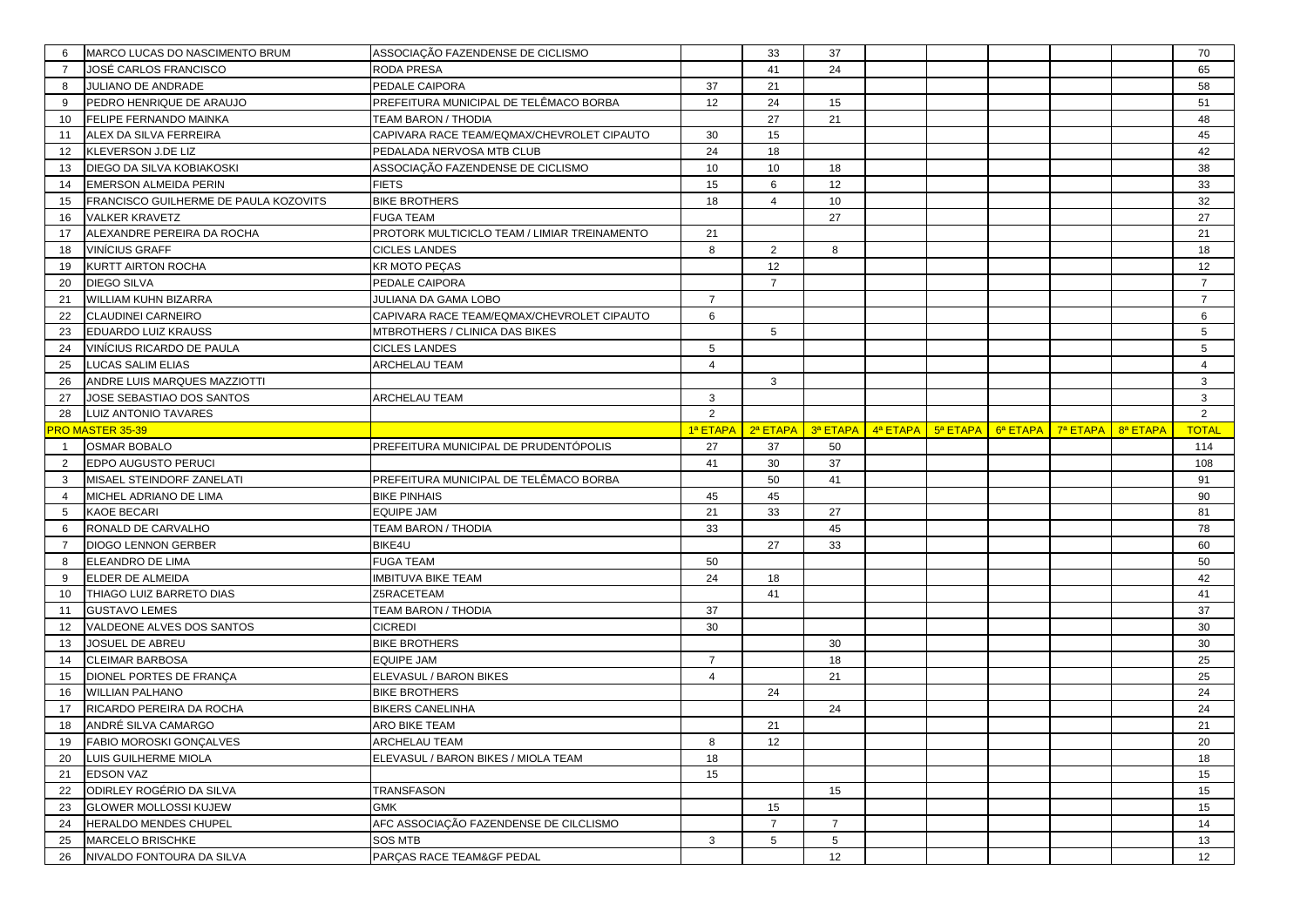| 6              | MARCO LUCAS DO NASCIMENTO BRUM                | ASSOCIAÇÃO FAZENDENSE DE CICLISMO            |                | 33              | 37                    |                       |          |          |          |          | 70             |
|----------------|-----------------------------------------------|----------------------------------------------|----------------|-----------------|-----------------------|-----------------------|----------|----------|----------|----------|----------------|
| $\overline{7}$ | JOSÉ CARLOS FRANCISCO                         | RODA PRESA                                   |                | 41              | 24                    |                       |          |          |          |          | 65             |
| 8              | JULIANO DE ANDRADE                            | PEDALE CAIPORA                               | 37             | 21              |                       |                       |          |          |          |          | 58             |
| 9              | PEDRO HENRIQUE DE ARAUJO                      | PREFEITURA MUNICIPAL DE TELÊMACO BORBA       | 12             | 24              | 15                    |                       |          |          |          |          | 51             |
| 10             | FELIPE FERNANDO MAINKA                        | TEAM BARON / THODIA                          |                | 27              | 21                    |                       |          |          |          |          | 48             |
| 11             | ALEX DA SILVA FERREIRA                        | CAPIVARA RACE TEAM/EQMAX/CHEVROLET CIPAUTO   | 30             | 15              |                       |                       |          |          |          |          | 45             |
| 12             | KLEVERSON J.DE LIZ                            | PEDALADA NERVOSA MTB CLUB                    | 24             | 18              |                       |                       |          |          |          |          | 42             |
| 13             | DIEGO DA SILVA KOBIAKOSKI                     | ASSOCIAÇÃO FAZENDENSE DE CICLISMO            | 10             | 10              | 18                    |                       |          |          |          |          | 38             |
| 14             | <b>EMERSON ALMEIDA PERIN</b>                  | <b>FIETS</b>                                 | 15             | 6               | 12                    |                       |          |          |          |          | 33             |
| 15             | FRANCISCO GUILHERME DE PAULA KOZOVITS         | <b>BIKE BROTHERS</b>                         | 18             | $\overline{4}$  | 10                    |                       |          |          |          |          | 32             |
| 16             | <b>VALKER KRAVETZ</b>                         | <b>FUGA TEAM</b>                             |                |                 | 27                    |                       |          |          |          |          | 27             |
| 17             | ALEXANDRE PEREIRA DA ROCHA                    | PROTORK MULTICICLO TEAM / LIMIAR TREINAMENTO | 21             |                 |                       |                       |          |          |          |          | 21             |
| 18             | <b>VINÍCIUS GRAFF</b>                         | <b>CICLES LANDES</b>                         | 8              | 2               | 8                     |                       |          |          |          |          | 18             |
| 19             | KURTT AIRTON ROCHA                            | KR MOTO PEÇAS                                |                | 12              |                       |                       |          |          |          |          | 12             |
| 20             | <b>DIEGO SILVA</b>                            | PEDALE CAIPORA                               |                | $\overline{7}$  |                       |                       |          |          |          |          | $\overline{7}$ |
| 21             | WILLIAM KUHN BIZARRA                          | JULIANA DA GAMA LOBO                         | $\overline{7}$ |                 |                       |                       |          |          |          |          | $\overline{7}$ |
| 22             | CLAUDINEI CARNEIRO                            | CAPIVARA RACE TEAM/EQMAX/CHEVROLET CIPAUTO   | 6              |                 |                       |                       |          |          |          |          | 6              |
| 23             | <b>EDUARDO LUIZ KRAUSS</b>                    | MTBROTHERS / CLINICA DAS BIKES               |                | 5               |                       |                       |          |          |          |          | 5              |
| 24             | VINÍCIUS RICARDO DE PAULA                     | <b>CICLES LANDES</b>                         | 5              |                 |                       |                       |          |          |          |          | 5              |
| 25             | <b>LUCAS SALIM ELIAS</b>                      | ARCHELAU TEAM                                | $\overline{4}$ |                 |                       |                       |          |          |          |          | $\overline{4}$ |
| 26             | ANDRE LUIS MARQUES MAZZIOTTI                  |                                              |                | 3               |                       |                       |          |          |          |          | 3              |
| 27             | JOSE SEBASTIAO DOS SANTOS                     | ARCHELAU TEAM                                | 3              |                 |                       |                       |          |          |          |          | 3              |
| 28             | LUIZ ANTONIO TAVARES                          |                                              | $\overline{2}$ |                 |                       |                       |          |          |          |          | $\overline{2}$ |
|                | <b>PRO MASTER 35-39</b>                       |                                              | 1ª ETAPA       | 2ª ETAPA        |                       | $3a ETAPA$ $4a ETAPA$ | 5ª ETAPA | 6ª ETAPA | 7ª ETAPA | 8ª ETAPA | <b>TOTAL</b>   |
|                | <b>OSMAR BOBALO</b>                           | PREFEITURA MUNICIPAL DE PRUDENTÓPOLIS        | 27             | 37              | 50                    |                       |          |          |          |          | 114            |
|                |                                               |                                              |                |                 |                       |                       |          |          |          |          |                |
| $\overline{2}$ | EDPO AUGUSTO PERUCI                           |                                              | 41             | 30              | 37                    |                       |          |          |          |          | 108            |
| 3              | MISAEL STEINDORF ZANELATI                     | PREFEITURA MUNICIPAL DE TELÊMACO BORBA       |                | 50              | 41                    |                       |          |          |          |          | 91             |
| $\overline{4}$ | MICHEL ADRIANO DE LIMA                        | <b>BIKE PINHAIS</b>                          | 45             | 45              |                       |                       |          |          |          |          | 90             |
| 5              | <b>KAOE BECARI</b>                            | <b>EQUIPE JAM</b>                            | 21             | 33              | 27                    |                       |          |          |          |          | 81             |
| 6              | RONALD DE CARVALHO                            | TEAM BARON / THODIA                          | 33             |                 | 45                    |                       |          |          |          |          | 78             |
| $\overline{7}$ | <b>DIOGO LENNON GERBER</b>                    | BIKE4U                                       |                | 27              | 33                    |                       |          |          |          |          | 60             |
| 8              | ELEANDRO DE LIMA                              | <b>FUGA TEAM</b>                             | 50             |                 |                       |                       |          |          |          |          | 50             |
| 9              | ELDER DE ALMEIDA                              | IMBITUVA BIKE TEAM                           | 24             | 18              |                       |                       |          |          |          |          | 42             |
| 10             | THIAGO LUIZ BARRETO DIAS                      | Z5RACETEAM                                   |                | 41              |                       |                       |          |          |          |          | 41             |
| 11             | <b>GUSTAVO LEMES</b>                          | TEAM BARON / THODIA                          | 37             |                 |                       |                       |          |          |          |          | 37             |
| 12             | VALDEONE ALVES DOS SANTOS                     | <b>CICREDI</b>                               | 30             |                 |                       |                       |          |          |          |          | 30             |
| 13             | JOSUEL DE ABREU                               | <b>BIKE BROTHERS</b>                         |                |                 | 30                    |                       |          |          |          |          | 30             |
| 14             | <b>CLEIMAR BARBOSA</b>                        | EQUIPE JAM                                   | $\overline{7}$ |                 | 18                    |                       |          |          |          |          | 25             |
| 15             | DIONEL PORTES DE FRANÇA                       | ELEVASUL / BARON BIKES                       | $\overline{4}$ |                 | 21                    |                       |          |          |          |          | 25             |
| 16             | <b>WILLIAN PALHANO</b>                        | <b>BIKE BROTHERS</b>                         |                | 24              |                       |                       |          |          |          |          | 24             |
| 17             | RICARDO PEREIRA DA ROCHA                      | <b>BIKERS CANELINHA</b>                      |                |                 | 24                    |                       |          |          |          |          | 24             |
| 18             | ANDRÉ SILVA CAMARGO                           | ARO BIKE TEAM                                |                | 21              |                       |                       |          |          |          |          | 21             |
| 19             | FABIO MOROSKI GONÇALVES                       | <b>ARCHELAU TEAM</b>                         | 8              | 12              |                       |                       |          |          |          |          | 20             |
| 20             | LUIS GUILHERME MIOLA                          | ELEVASUL / BARON BIKES / MIOLA TEAM          | 18             |                 |                       |                       |          |          |          |          | 18             |
| 21             | <b>EDSON VAZ</b>                              |                                              | 15             |                 |                       |                       |          |          |          |          | 15             |
| 22             | ODIRLEY ROGÉRIO DA SILVA                      | TRANSFASON                                   |                |                 | 15                    |                       |          |          |          |          | 15             |
| 23             | <b>GLOWER MOLLOSSI KUJEW</b>                  | <b>GMK</b>                                   |                | 15              |                       |                       |          |          |          |          | 15             |
| 24             | HERALDO MENDES CHUPEL                         | AFC ASSOCIAÇÃO FAZENDENSE DE CILCLISMO       |                | $\overline{7}$  | $\overline{7}$        |                       |          |          |          |          | 14             |
| 25<br>26       | MARCELO BRISCHKE<br>NIVALDO FONTOURA DA SILVA | <b>SOS MTB</b><br>PARÇAS RACE TEAM&GF PEDAL  | $\mathbf{3}$   | $5\phantom{.0}$ | $5\phantom{.0}$<br>12 |                       |          |          |          |          | 13<br>12       |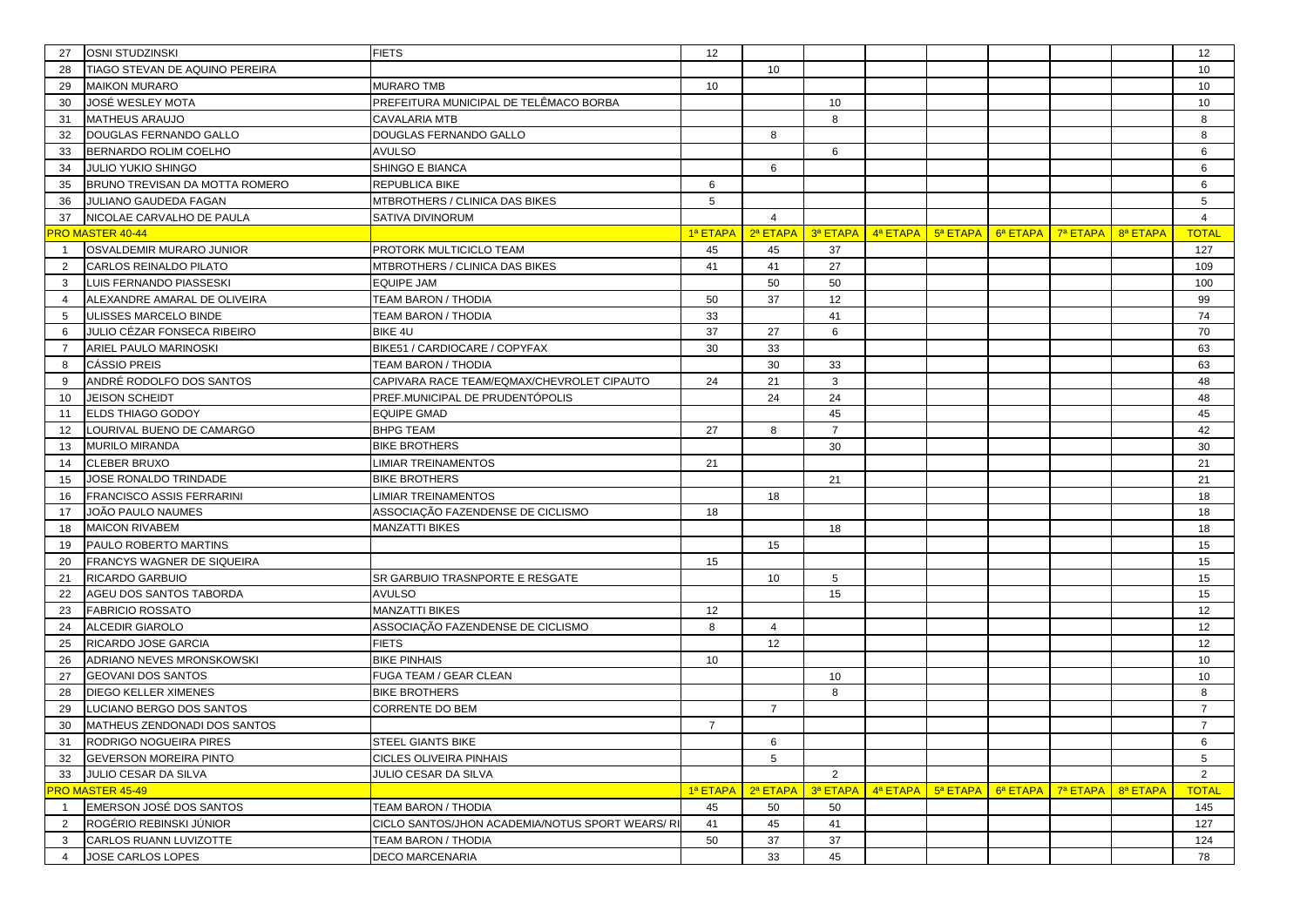| 27             | <b>OSNI STUDZINSKI</b>                                  | <b>FIETS</b>                                     | 12             |                   |                |                       |          |          |          |          | 12             |
|----------------|---------------------------------------------------------|--------------------------------------------------|----------------|-------------------|----------------|-----------------------|----------|----------|----------|----------|----------------|
| 28             | TIAGO STEVAN DE AQUINO PEREIRA                          |                                                  |                | 10                |                |                       |          |          |          |          | 10             |
| 29             | <b>MAIKON MURARO</b>                                    | <b>MURARO TMB</b>                                | 10             |                   |                |                       |          |          |          |          | 10             |
| 30             | JOSÉ WESLEY MOTA                                        | PREFEITURA MUNICIPAL DE TELÊMACO BORBA           |                |                   | 10             |                       |          |          |          |          | 10             |
| 31             | <b>MATHEUS ARAUJO</b>                                   | <b>CAVALARIA MTB</b>                             |                |                   | 8              |                       |          |          |          |          | 8              |
| 32             | DOUGLAS FERNANDO GALLO                                  | DOUGLAS FERNANDO GALLO                           |                | 8                 |                |                       |          |          |          |          | 8              |
| 33             | BERNARDO ROLIM COELHO                                   | <b>AVULSO</b>                                    |                |                   | 6              |                       |          |          |          |          | 6              |
| 34             | <b>JULIO YUKIO SHINGO</b>                               | SHINGO E BIANCA                                  |                | 6                 |                |                       |          |          |          |          | 6              |
| 35             | BRUNO TREVISAN DA MOTTA ROMERO                          | REPUBLICA BIKE                                   | 6              |                   |                |                       |          |          |          |          | 6              |
| 36             | JULIANO GAUDEDA FAGAN                                   | MTBROTHERS / CLINICA DAS BIKES                   | 5              |                   |                |                       |          |          |          |          | 5              |
| 37             | NICOLAE CARVALHO DE PAULA                               | SATIVA DIVINORUM                                 |                | $\overline{4}$    |                |                       |          |          |          |          | $\overline{4}$ |
|                | RO MASTER 40-44                                         |                                                  |                | 1ª ETAPA 2ª ETAPA |                | $3a$ ETAPA $4a$ ETAPA | 5ª ETAPA | 6ª ETAPA | 7ª ETAPA | 8ª ETAPA | <b>TOTAL</b>   |
|                | OSVALDEMIR MURARO JUNIOR                                | PROTORK MULTICICLO TEAM                          | 45             | 45                | 37             |                       |          |          |          |          | 127            |
| 2              | CARLOS REINALDO PILATO                                  | MTBROTHERS / CLINICA DAS BIKES                   | 41             | 41                | 27             |                       |          |          |          |          | 109            |
| 3              | LUIS FERNANDO PIASSESKI                                 | EQUIPE JAM                                       |                | 50                | 50             |                       |          |          |          |          | 100            |
| 4              | ALEXANDRE AMARAL DE OLIVEIRA                            | <b>TEAM BARON / THODIA</b>                       | 50             | 37                | 12             |                       |          |          |          |          | 99             |
| 5              | ULISSES MARCELO BINDE                                   | TEAM BARON / THODIA                              | 33             |                   | 41             |                       |          |          |          |          | 74             |
| 6              | JULIO CÉZAR FONSECA RIBEIRO                             | BIKE 4U                                          | 37             | 27                | 6              |                       |          |          |          |          | 70             |
| $\overline{7}$ | ARIEL PAULO MARINOSKI                                   | BIKE51 / CARDIOCARE / COPYFAX                    | 30             | 33                |                |                       |          |          |          |          | 63             |
| 8              | <b>CÁSSIO PREIS</b>                                     | <b>TEAM BARON / THODIA</b>                       |                | 30                | 33             |                       |          |          |          |          | 63             |
| 9              | ANDRÉ RODOLFO DOS SANTOS                                | CAPIVARA RACE TEAM/EQMAX/CHEVROLET CIPAUTO       | 24             | 21                | 3              |                       |          |          |          |          | 48             |
| 10             | <b>JEISON SCHEIDT</b>                                   | PREF.MUNICIPAL DE PRUDENTÓPOLIS                  |                | 24                | 24             |                       |          |          |          |          | 48             |
| 11             | ELDS THIAGO GODOY                                       | <b>EQUIPE GMAD</b>                               |                |                   | 45             |                       |          |          |          |          | 45             |
| 12             | LOURIVAL BUENO DE CAMARGO                               | <b>BHPG TEAM</b>                                 | 27             | 8                 | $\overline{7}$ |                       |          |          |          |          | 42             |
| 13             | <b>MURILO MIRANDA</b>                                   | <b>BIKE BROTHERS</b>                             |                |                   | 30             |                       |          |          |          |          | 30             |
| 14             | <b>CLEBER BRUXO</b>                                     | LIMIAR TREINAMENTOS                              | 21             |                   |                |                       |          |          |          |          | 21             |
| 15             | JOSE RONALDO TRINDADE                                   | <b>BIKE BROTHERS</b>                             |                |                   | 21             |                       |          |          |          |          | 21             |
| 16             | <b>FRANCISCO ASSIS FERRARINI</b>                        | LIMIAR TREINAMENTOS                              |                | 18                |                |                       |          |          |          |          | 18             |
| 17             | JOÃO PAULO NAUMES                                       | ASSOCIAÇÃO FAZENDENSE DE CICLISMO                | 18             |                   |                |                       |          |          |          |          | 18             |
| 18             | <b>MAICON RIVABEM</b>                                   | <b>MANZATTI BIKES</b>                            |                |                   | 18             |                       |          |          |          |          | 18             |
| 19             | PAULO ROBERTO MARTINS                                   |                                                  |                | 15                |                |                       |          |          |          |          | 15             |
| 20             | FRANCYS WAGNER DE SIQUEIRA                              |                                                  | 15             |                   |                |                       |          |          |          |          | 15             |
| 21             | RICARDO GARBUIO                                         | SR GARBUIO TRASNPORTE E RESGATE                  |                | 10                | 5              |                       |          |          |          |          | 15             |
| 22             | AGEU DOS SANTOS TABORDA                                 | <b>AVULSO</b>                                    |                |                   | 15             |                       |          |          |          |          | 15             |
| 23             | <b>FABRICIO ROSSATO</b>                                 | MANZATTI BIKES                                   | 12             |                   |                |                       |          |          |          |          | 12             |
| 24             | <b>ALCEDIR GIAROLO</b>                                  | ASSOCIAÇÃO FAZENDENSE DE CICLISMO                | 8              | $\overline{4}$    |                |                       |          |          |          |          | 12             |
| 25             | RICARDO JOSE GARCIA<br>ADRIANO NEVES MRONSKOWSKI        | <b>FIETS</b><br><b>BIKE PINHAIS</b>              |                | 12                |                |                       |          |          |          |          | 12             |
| 26<br>27       | <b>GEOVANI DOS SANTOS</b>                               | FUGA TEAM / GEAR CLEAN                           | 10             |                   | 10             |                       |          |          |          |          | 10<br>10       |
| 28             | <b>DIEGO KELLER XIMENES</b>                             | <b>BIKE BROTHERS</b>                             |                |                   | 8              |                       |          |          |          |          | 8              |
| 29             | LUCIANO BERGO DOS SANTOS                                | CORRENTE DO BEM                                  |                | $\overline{7}$    |                |                       |          |          |          |          | $\overline{7}$ |
| 30             | MATHEUS ZENDONADI DOS SANTOS                            |                                                  | $\overline{7}$ |                   |                |                       |          |          |          |          | $\overline{7}$ |
| 31             |                                                         | <b>STEEL GIANTS BIKE</b>                         |                |                   |                |                       |          |          |          |          |                |
| 32             | RODRIGO NOGUEIRA PIRES<br><b>GEVERSON MOREIRA PINTO</b> | CICLES OLIVEIRA PINHAIS                          |                | 6<br>5            |                |                       |          |          |          |          | 6<br>5         |
| 33             | JULIO CESAR DA SILVA                                    | <b>JULIO CESAR DA SILVA</b>                      |                |                   | 2              |                       |          |          |          |          | 2              |
|                | RO MASTER 45-49                                         |                                                  | 1ª ETAPA       | 2ª ETAPA          | 3ª ETAPA       | 4ª ETAPA              | 5ª ETAPA | 6ª ETAPA | 7ª ETAPA | 8ª ETAPA | <b>TOTAL</b>   |
| $\overline{1}$ | EMERSON JOSÉ DOS SANTOS                                 | <b>TEAM BARON / THODIA</b>                       | 45             | 50                | 50             |                       |          |          |          |          | 145            |
| $\overline{2}$ | ROGÉRIO REBINSKI JÚNIOR                                 | CICLO SANTOS/JHON ACADEMIA/NOTUS SPORT WEARS/ RI | 41             | 45                | 41             |                       |          |          |          |          | 127            |
| 3              | CARLOS RUANN LUVIZOTTE                                  | <b>TEAM BARON / THODIA</b>                       | 50             | 37                | 37             |                       |          |          |          |          | 124            |
| $\overline{4}$ | JOSE CARLOS LOPES                                       | <b>DECO MARCENARIA</b>                           |                | 33                | 45             |                       |          |          |          |          | 78             |
|                |                                                         |                                                  |                |                   |                |                       |          |          |          |          |                |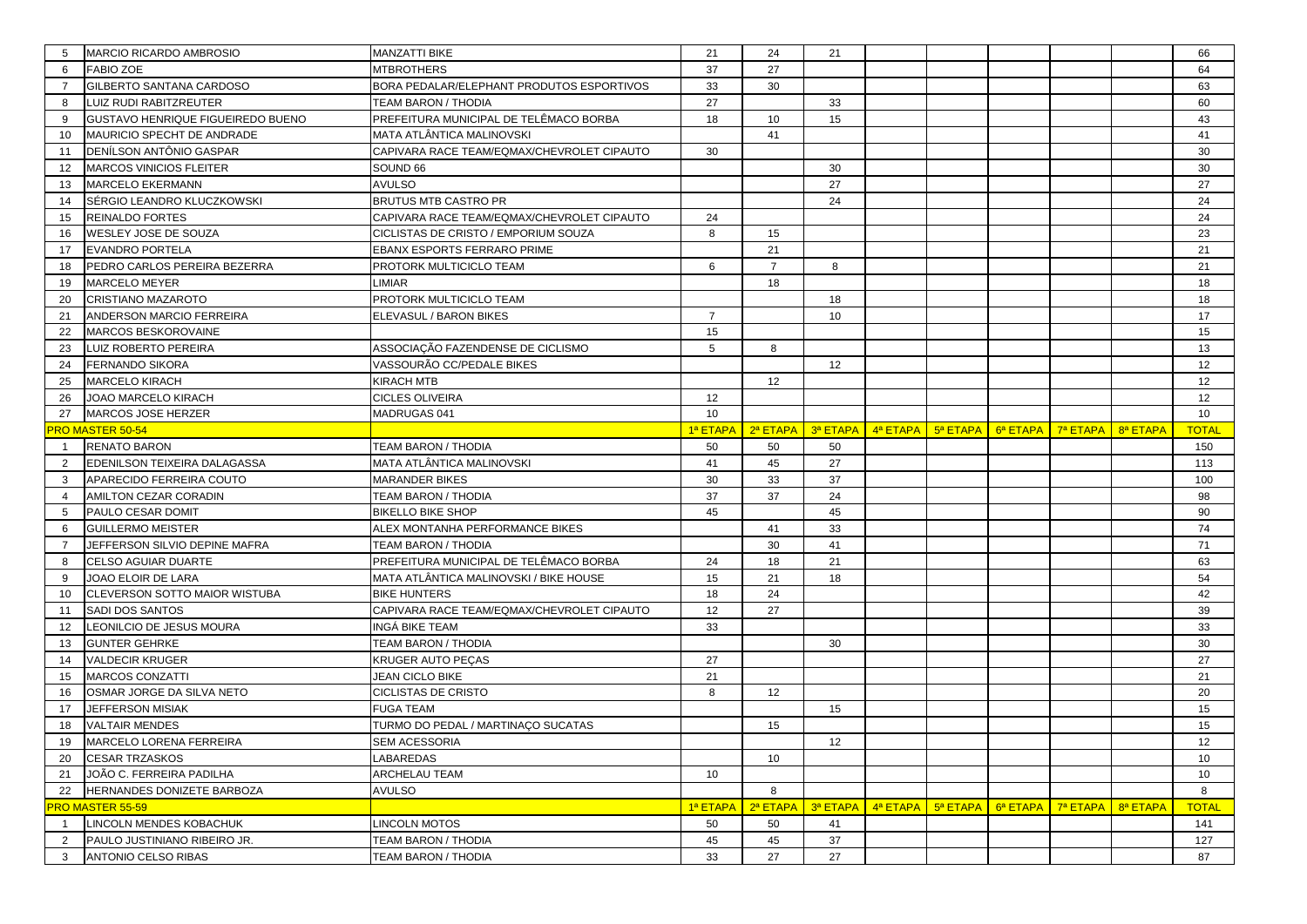| 5                   | MARCIO RICARDO AMBROSIO                             | MANZATTI BIKE                              | 21             | 24             | 21       |                                                                                                                                           |  |                                    |          | 66               |
|---------------------|-----------------------------------------------------|--------------------------------------------|----------------|----------------|----------|-------------------------------------------------------------------------------------------------------------------------------------------|--|------------------------------------|----------|------------------|
| 6                   | <b>FABIO ZOE</b>                                    | MTBROTHERS                                 | 37             | 27             |          |                                                                                                                                           |  |                                    |          | 64               |
| $\overline{7}$      | GILBERTO SANTANA CARDOSO                            | BORA PEDALAR/ELEPHANT PRODUTOS ESPORTIVOS  | 33             | 30             |          |                                                                                                                                           |  |                                    |          | 63               |
| 8                   | LUIZ RUDI RABITZREUTER                              | TEAM BARON / THODIA                        | 27             |                | 33       |                                                                                                                                           |  |                                    |          | 60               |
| 9                   | GUSTAVO HENRIQUE FIGUEIREDO BUENO                   | PREFEITURA MUNICIPAL DE TELÊMACO BORBA     | 18             | 10             | 15       |                                                                                                                                           |  |                                    |          | 43               |
| 10                  | MAURICIO SPECHT DE ANDRADE                          | MATA ATLÂNTICA MALINOVSKI                  |                | 41             |          |                                                                                                                                           |  |                                    |          | 41               |
| 11                  | DENÍLSON ANTÔNIO GASPAR                             | CAPIVARA RACE TEAM/EQMAX/CHEVROLET CIPAUTO | 30             |                |          |                                                                                                                                           |  |                                    |          | 30               |
| 12                  | MARCOS VINICIOS FLEITER                             | SOUND 66                                   |                |                | 30       |                                                                                                                                           |  |                                    |          | 30               |
| 13                  | <b>MARCELO EKERMANN</b>                             | <b>AVULSO</b>                              |                |                | 27       |                                                                                                                                           |  |                                    |          | 27               |
| 14                  | SÉRGIO LEANDRO KLUCZKOWSKI                          | <b>BRUTUS MTB CASTRO PR</b>                |                |                | 24       |                                                                                                                                           |  |                                    |          | 24               |
| 15                  | <b>REINALDO FORTES</b>                              | CAPIVARA RACE TEAM/EQMAX/CHEVROLET CIPAUTO | 24             |                |          |                                                                                                                                           |  |                                    |          | 24               |
| 16                  | WESLEY JOSE DE SOUZA                                | CICLISTAS DE CRISTO / EMPORIUM SOUZA       | 8              | 15             |          |                                                                                                                                           |  |                                    |          | 23               |
| 17                  | <b>EVANDRO PORTELA</b>                              | EBANX ESPORTS FERRARO PRIME                |                | 21             |          |                                                                                                                                           |  |                                    |          | 21               |
| 18                  | PEDRO CARLOS PEREIRA BEZERRA                        | PROTORK MULTICICLO TEAM                    | 6              | $\overline{7}$ | 8        |                                                                                                                                           |  |                                    |          | 21               |
| 19                  | <b>MARCELO MEYER</b>                                | LIMIAR                                     |                | 18             |          |                                                                                                                                           |  |                                    |          | 18               |
| 20                  | CRISTIANO MAZAROTO                                  | PROTORK MULTICICLO TEAM                    |                |                | 18       |                                                                                                                                           |  |                                    |          | 18               |
| 21                  | ANDERSON MARCIO FERREIRA                            | ELEVASUL / BARON BIKES                     | $\overline{7}$ |                | 10       |                                                                                                                                           |  |                                    |          | 17               |
| 22                  | <b>MARCOS BESKOROVAINE</b>                          |                                            | 15             |                |          |                                                                                                                                           |  |                                    |          | 15               |
| 23                  | LUIZ ROBERTO PEREIRA                                | ASSOCIAÇÃO FAZENDENSE DE CICLISMO          | 5              | 8              |          |                                                                                                                                           |  |                                    |          | 13               |
| 24                  | <b>FERNANDO SIKORA</b>                              | VASSOURÃO CC/PEDALE BIKES                  |                |                | 12       |                                                                                                                                           |  |                                    |          | 12               |
| 25                  | <b>MARCELO KIRACH</b>                               | KIRACH MTB                                 |                | 12             |          |                                                                                                                                           |  |                                    |          | 12               |
| 26                  | JOAO MARCELO KIRACH                                 | CICLES OLIVEIRA                            | 12             |                |          |                                                                                                                                           |  |                                    |          | 12               |
| 27                  | MARCOS JOSE HERZER                                  | MADRUGAS 041                               | 10             |                |          |                                                                                                                                           |  |                                    |          | 10               |
|                     | <b>RO MASTER 50-54</b>                              |                                            | 1ª ETAPA       | 2ª ETAPA       |          | $\frac{3}{9}$ ETAPA $\left  \frac{4}{9}$ ETAPA $\left  \frac{5}{9}$ ETAPA $\left  \frac{6}{9}$ ETAPA $\right $ $\left  \frac{7}{9}$ ETAPA |  |                                    | 8ª ETAPA | <b>TOTAL</b>     |
|                     | <b>RENATO BARON</b>                                 | TEAM BARON / THODIA                        | 50             | 50             | 50       |                                                                                                                                           |  |                                    |          | 150              |
|                     |                                                     |                                            |                |                |          |                                                                                                                                           |  |                                    |          |                  |
| 2                   | EDENILSON TEIXEIRA DALAGASSA                        | MATA ATLÂNTICA MALINOVSKI                  | 41             | 45             | 27       |                                                                                                                                           |  |                                    |          | 113              |
| 3                   | APARECIDO FERREIRA COUTO                            | MARANDER BIKES                             | 30             | 33             | 37       |                                                                                                                                           |  |                                    |          | 100              |
| $\overline{4}$      | AMILTON CEZAR CORADIN                               | TEAM BARON / THODIA                        | 37             | 37             | 24       |                                                                                                                                           |  |                                    |          | 98               |
| 5                   | PAULO CESAR DOMIT                                   | <b>BIKELLO BIKE SHOP</b>                   | 45             |                | 45       |                                                                                                                                           |  |                                    |          | 90               |
| 6                   | <b>GUILLERMO MEISTER</b>                            | ALEX MONTANHA PERFORMANCE BIKES            |                | 41             | 33       |                                                                                                                                           |  |                                    |          | 74               |
| $\overline{7}$      | JEFFERSON SILVIO DEPINE MAFRA                       | TEAM BARON / THODIA                        |                | 30             | 41       |                                                                                                                                           |  |                                    |          | 71               |
| 8                   | <b>CELSO AGUIAR DUARTE</b>                          | PREFEITURA MUNICIPAL DE TELÊMACO BORBA     | 24             | 18             | 21       |                                                                                                                                           |  |                                    |          | 63               |
| 9                   | JOAO ELOIR DE LARA                                  | MATA ATLÂNTICA MALINOVSKI / BIKE HOUSE     | 15             | 21             | 18       |                                                                                                                                           |  |                                    |          | 54               |
| 10                  | CLEVERSON SOTTO MAIOR WISTUBA                       | <b>BIKE HUNTERS</b>                        | 18             | 24             |          |                                                                                                                                           |  |                                    |          | 42               |
| 11                  | SADI DOS SANTOS                                     | CAPIVARA RACE TEAM/EQMAX/CHEVROLET CIPAUTO | 12             | 27             |          |                                                                                                                                           |  |                                    |          | 39               |
| 12                  | LEONILCIO DE JESUS MOURA                            | INGÁ BIKE TEAM                             | 33             |                |          |                                                                                                                                           |  |                                    |          | 33               |
| 13                  | <b>GUNTER GEHRKE</b>                                | TEAM BARON / THODIA                        |                |                | 30       |                                                                                                                                           |  |                                    |          | 30               |
| 14                  | <b>VALDECIR KRUGER</b>                              | KRUGER AUTO PEÇAS                          | 27             |                |          |                                                                                                                                           |  |                                    |          | 27               |
| 15                  | <b>MARCOS CONZATTI</b>                              | <b>JEAN CICLO BIKE</b>                     | 21             |                |          |                                                                                                                                           |  |                                    |          | 21               |
| 16                  | OSMAR JORGE DA SILVA NETO                           | CICLISTAS DE CRISTO                        | 8              | 12             |          |                                                                                                                                           |  |                                    |          | 20               |
| 17                  | <b>JEFFERSON MISIAK</b>                             | <b>FUGA TEAM</b>                           |                |                | 15       |                                                                                                                                           |  |                                    |          | 15               |
| 18                  | <b>VALTAIR MENDES</b>                               | TURMO DO PEDAL / MARTINAÇO SUCATAS         |                | 15             |          |                                                                                                                                           |  |                                    |          | 15               |
| 19                  | MARCELO LORENA FERREIRA                             | <b>SEM ACESSORIA</b>                       |                |                | 12       |                                                                                                                                           |  |                                    |          | 12               |
| 20                  | <b>CESAR TRZASKOS</b>                               | LABAREDAS                                  |                | 10             |          |                                                                                                                                           |  |                                    |          | 10 <sup>10</sup> |
| 21                  | JOÃO C. FERREIRA PADILHA                            | ARCHELAU TEAM                              | 10             |                |          |                                                                                                                                           |  |                                    |          | 10 <sup>1</sup>  |
| 22                  | HERNANDES DONIZETE BARBOZA                          | AVULSO                                     |                | 8              |          |                                                                                                                                           |  |                                    |          | 8                |
|                     | RO MASTER 55-59                                     |                                            | 1ª ETAPA       | 2ª ETAPA       |          | $\frac{3^a}{a}$ ETAPA $\frac{1}{a}$ 4 <sup>a</sup> ETAPA $\frac{1}{a}$ 5 <sup>a</sup> ETAPA                                               |  | $6^a$ ETAPA $\overline{7^a}$ ETAPA | 8ª ETAPA | <b>TOTAL</b>     |
| $\overline{1}$      | LINCOLN MENDES KOBACHUK                             | LINCOLN MOTOS                              | 50             | 50             | 41       |                                                                                                                                           |  |                                    |          | 141              |
| $\overline{2}$<br>3 | PAULO JUSTINIANO RIBEIRO JR.<br>ANTONIO CELSO RIBAS | TEAM BARON / THODIA<br>TEAM BARON / THODIA | 45<br>33       | 45<br>27       | 37<br>27 |                                                                                                                                           |  |                                    |          | 127<br>87        |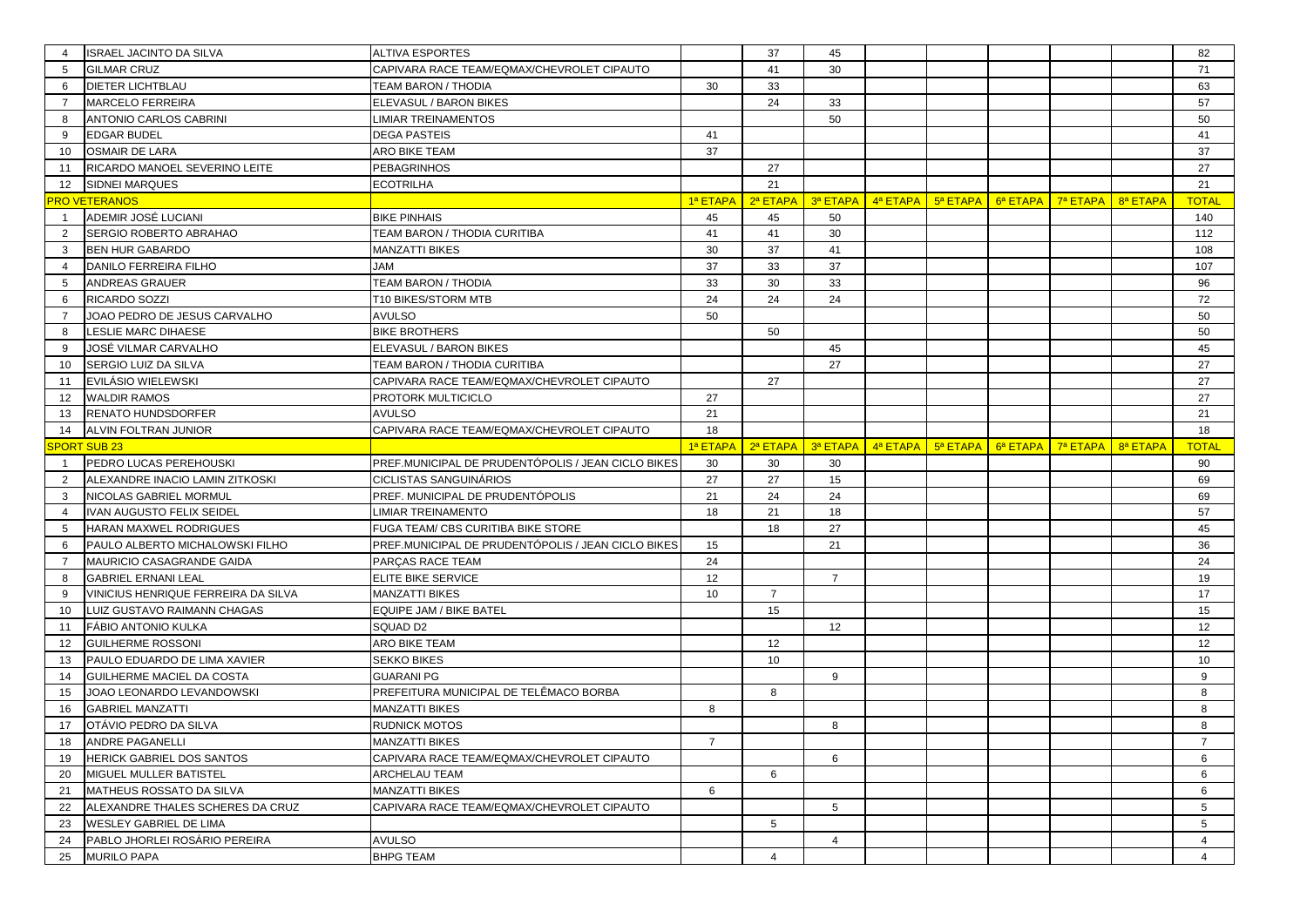| $\overline{4}$ | <b>ISRAEL JACINTO DA SILVA</b>      | <b>ALTIVA ESPORTES</b>                             |          | 37             | 45             |                   |                      |          |          | 82             |
|----------------|-------------------------------------|----------------------------------------------------|----------|----------------|----------------|-------------------|----------------------|----------|----------|----------------|
| 5              | <b>GILMAR CRUZ</b>                  | CAPIVARA RACE TEAM/EQMAX/CHEVROLET CIPAUTO         |          | 41             | 30             |                   |                      |          |          | 71             |
| 6              | <b>DIETER LICHTBLAU</b>             | TEAM BARON / THODIA                                | 30       | 33             |                |                   |                      |          |          | 63             |
| $\overline{7}$ | <b>MARCELO FERREIRA</b>             | ELEVASUL / BARON BIKES                             |          | 24             | 33             |                   |                      |          |          | 57             |
| 8              | ANTONIO CARLOS CABRINI              | IMIAR TREINAMENTOS                                 |          |                | 50             |                   |                      |          |          | 50             |
| 9              | <b>EDGAR BUDEL</b>                  | <b>DEGA PASTEIS</b>                                | 41       |                |                |                   |                      |          |          | 41             |
| 10             | <b>OSMAIR DE LARA</b>               | ARO BIKE TEAM                                      | 37       |                |                |                   |                      |          |          | 37             |
| 11             | RICARDO MANOEL SEVERINO LEITE       | <b>PEBAGRINHOS</b>                                 |          | 27             |                |                   |                      |          |          | 27             |
| 12             | <b>SIDNEI MARQUES</b>               | <b>ECOTRILHA</b>                                   |          | 21             |                |                   |                      |          |          | 21             |
|                | RO VETERANOS                        |                                                    | 1ª ETAPA | 2ª ETAPA       | 3ª ETAPA       | 4ª ETAPA 5ª ETAPA | 6 <sup>a</sup> ETAPA | 7ª ETAPA | 8ª ETAPA | <b>TOTAL</b>   |
| $\overline{1}$ | ADEMIR JOSÉ LUCIANI                 | <b>BIKE PINHAIS</b>                                | 45       | 45             | 50             |                   |                      |          |          | 140            |
| 2              | SERGIO ROBERTO ABRAHAO              | TEAM BARON / THODIA CURITIBA                       | 41       | 41             | 30             |                   |                      |          |          | 112            |
| 3              | <b>BEN HUR GABARDO</b>              | <b>MANZATTI BIKES</b>                              | 30       | 37             | 41             |                   |                      |          |          | 108            |
| 4              | DANILO FERREIRA FILHO               | <b>JAM</b>                                         | 37       | 33             | 37             |                   |                      |          |          | 107            |
| 5              | <b>ANDREAS GRAUER</b>               | <b>TEAM BARON / THODIA</b>                         | 33       | 30             | 33             |                   |                      |          |          | 96             |
| 6              | RICARDO SOZZI                       | T10 BIKES/STORM MTB                                | 24       | 24             | 24             |                   |                      |          |          | 72             |
| $\overline{7}$ | JOAO PEDRO DE JESUS CARVALHO        | <b>AVULSO</b>                                      | 50       |                |                |                   |                      |          |          | 50             |
| 8              | LESLIE MARC DIHAESE                 | <b>BIKE BROTHERS</b>                               |          | 50             |                |                   |                      |          |          | 50             |
| 9              | JOSÉ VILMAR CARVALHO                | ELEVASUL / BARON BIKES                             |          |                | 45             |                   |                      |          |          | 45             |
| 10             | SERGIO LUIZ DA SILVA                | TEAM BARON / THODIA CURITIBA                       |          |                | 27             |                   |                      |          |          | 27             |
| 11             | EVILÁSIO WIELEWSKI                  | CAPIVARA RACE TEAM/EQMAX/CHEVROLET CIPAUTO         |          | 27             |                |                   |                      |          |          | 27             |
| 12             | <b>WALDIR RAMOS</b>                 | PROTORK MULTICICLO                                 | 27       |                |                |                   |                      |          |          | 27             |
| 13             | <b>RENATO HUNDSDORFER</b>           | <b>AVULSO</b>                                      | 21       |                |                |                   |                      |          |          | 21             |
| 14             | ALVIN FOLTRAN JUNIOR                | CAPIVARA RACE TEAM/EQMAX/CHEVROLET CIPAUTO         | 18       |                |                |                   |                      |          |          | 18             |
|                | <b>PORT SUB 23</b>                  |                                                    | 1ª ETAPA | 2ª ETAPA       | 3ª ETAPA       | 4ª ETAPA 5ª ETAPA | 6ª ETAPA             | 7ª ETAPA | 8ª ETAPA | <b>TOTAL</b>   |
| $\mathbf{1}$   | PEDRO LUCAS PEREHOUSKI              | PREF.MUNICIPAL DE PRUDENTÓPOLIS / JEAN CICLO BIKES | 30       | 30             | 30             |                   |                      |          |          | 90             |
| 2              | ALEXANDRE INACIO LAMIN ZITKOSKI     | <b>CICLISTAS SANGUINÁRIOS</b>                      | 27       | 27             | 15             |                   |                      |          |          | 69             |
| 3              | NICOLAS GABRIEL MORMUL              | PREF. MUNICIPAL DE PRUDENTÓPOLIS                   | 21       | 24             | 24             |                   |                      |          |          | 69             |
| $\overline{4}$ | IVAN AUGUSTO FELIX SEIDEL           | LIMIAR TREINAMENTO                                 | 18       | 21             | 18             |                   |                      |          |          | 57             |
| 5              | HARAN MAXWEL RODRIGUES              | FUGA TEAM/ CBS CURITIBA BIKE STORE                 |          | 18             | 27             |                   |                      |          |          | 45             |
| 6              | PAULO ALBERTO MICHALOWSKI FILHO     | PREF.MUNICIPAL DE PRUDENTÓPOLIS / JEAN CICLO BIKES | 15       |                | 21             |                   |                      |          |          | 36             |
| $\overline{7}$ | MAURICIO CASAGRANDE GAIDA           | PARÇAS RACE TEAM                                   | 24       |                |                |                   |                      |          |          | 24             |
| 8              | <b>GABRIEL ERNANI LEAL</b>          | ELITE BIKE SERVICE                                 | 12       |                | $\overline{7}$ |                   |                      |          |          | 19             |
| 9              | VINICIUS HENRIQUE FERREIRA DA SILVA | <b>MANZATTI BIKES</b>                              | 10       | $\overline{7}$ |                |                   |                      |          |          | 17             |
| 10             | LUIZ GUSTAVO RAIMANN CHAGAS         | EQUIPE JAM / BIKE BATEL                            |          | 15             |                |                   |                      |          |          | 15             |
| 11             | <b>FÁBIO ANTONIO KULKA</b>          | SQUAD D2                                           |          |                | 12             |                   |                      |          |          | 12             |
| 12             | <b>GUILHERME ROSSONI</b>            | ARO BIKE TEAM                                      |          | 12             |                |                   |                      |          |          | 12             |
| 13             | PAULO EDUARDO DE LIMA XAVIER        | <b>SEKKO BIKES</b>                                 |          | 10             |                |                   |                      |          |          | 10             |
| 14             | GUILHERME MACIEL DA COSTA           | <b>GUARANI PG</b>                                  |          |                | 9              |                   |                      |          |          | 9              |
| 15             | JOAO LEONARDO LEVANDOWSKI           | PREFEITURA MUNICIPAL DE TELÊMACO BORBA             |          | 8              |                |                   |                      |          |          | 8              |
| 16             | <b>GABRIEL MANZATTI</b>             | <b>MANZATTI BIKES</b>                              | 8        |                |                |                   |                      |          |          | 8              |
| 17             | OTÁVIO PEDRO DA SILVA               | <b>RUDNICK MOTOS</b>                               |          |                | 8              |                   |                      |          |          | 8              |
| 18             | ANDRE PAGANELLI                     | <b>MANZATTI BIKES</b>                              | 7        |                |                |                   |                      |          |          | 7              |
| 19             | HERICK GABRIEL DOS SANTOS           | CAPIVARA RACE TEAM/EQMAX/CHEVROLET CIPAUTO         |          |                | 6              |                   |                      |          |          | 6              |
| 20             | MIGUEL MULLER BATISTEL              | ARCHELAU TEAM                                      |          | 6              |                |                   |                      |          |          | 6              |
| 21             | MATHEUS ROSSATO DA SILVA            | <b>MANZATTI BIKES</b>                              | 6        |                |                |                   |                      |          |          | 6              |
| 22             | ALEXANDRE THALES SCHERES DA CRUZ    | CAPIVARA RACE TEAM/EQMAX/CHEVROLET CIPAUTO         |          |                | 5              |                   |                      |          |          | 5              |
| 23             | <b>WESLEY GABRIEL DE LIMA</b>       |                                                    |          | 5              |                |                   |                      |          |          | 5              |
| 24             | PABLO JHORLEI ROSÁRIO PEREIRA       | <b>AVULSO</b>                                      |          |                | $\overline{4}$ |                   |                      |          |          | $\overline{4}$ |
| 25             | <b>MURILO PAPA</b>                  | <b>BHPG TEAM</b>                                   |          | $\overline{4}$ |                |                   |                      |          |          | $\overline{4}$ |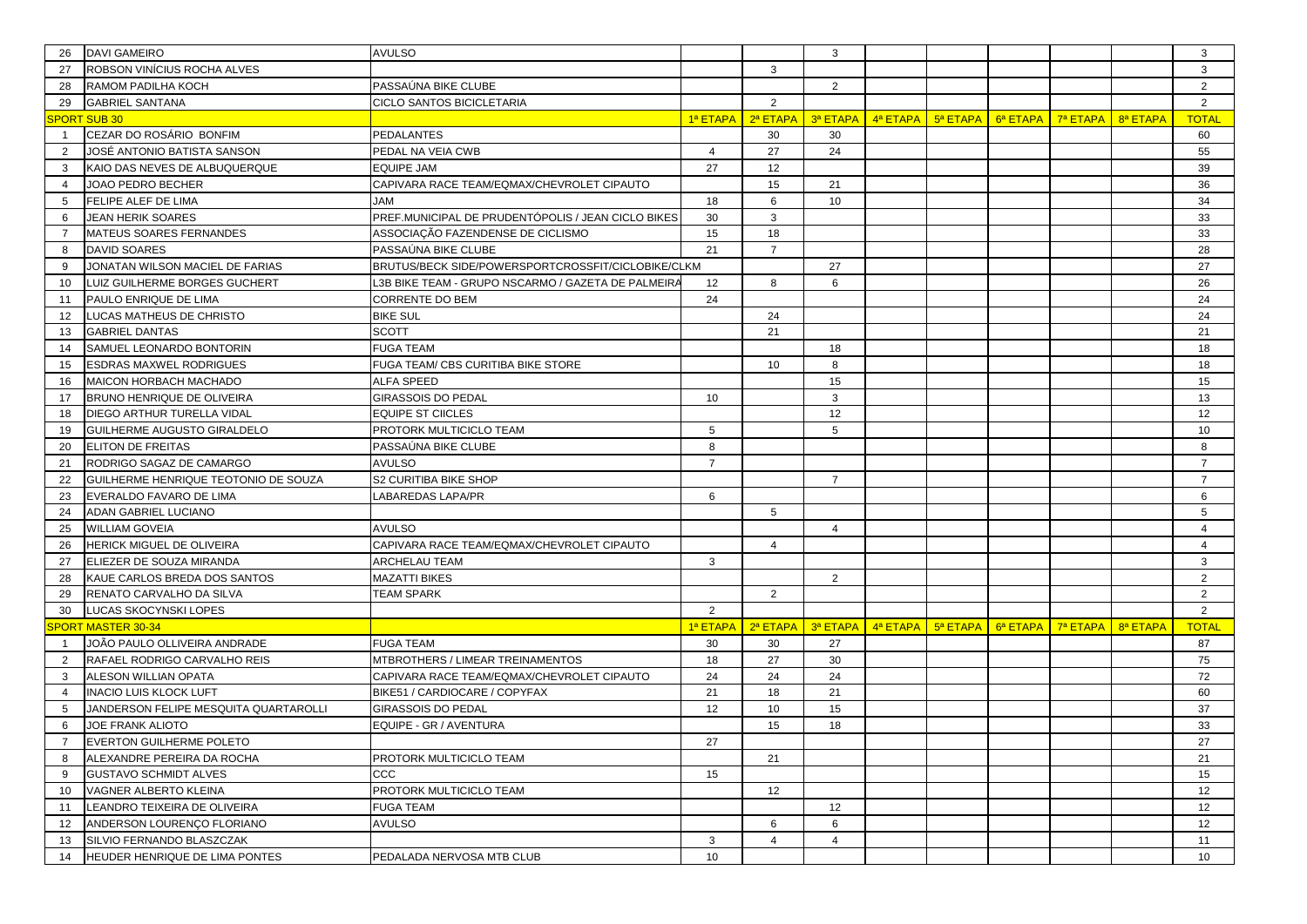| 26             | <b>DAVI GAMEIRO</b>                   | <b>AVULSO</b>                                       |                 |                | 3              |                                                          |          |          |          | 3               |
|----------------|---------------------------------------|-----------------------------------------------------|-----------------|----------------|----------------|----------------------------------------------------------|----------|----------|----------|-----------------|
| 27             | ROBSON VINÍCIUS ROCHA ALVES           |                                                     |                 | 3              |                |                                                          |          |          |          | 3               |
| 28             | RAMOM PADILHA KOCH                    | PASSAÚNA BIKE CLUBE                                 |                 |                | 2              |                                                          |          |          |          | $\overline{2}$  |
| 29             | <b>GABRIEL SANTANA</b>                | <b>CICLO SANTOS BICICLETARIA</b>                    |                 | $\overline{2}$ |                |                                                          |          |          |          | $\overline{2}$  |
|                | <b>SPORT SUB 30</b>                   |                                                     | 1ª ETAPA        | 2ª ETAPA       | 3ª ETAPA       | $\frac{4^a}{a}$ ETAPA $\frac{1}{2}$ 5 <sup>a</sup> ETAPA | 6ª ETAPA | 7ª ETAPA | 8ª ETAPA | <b>TOTAL</b>    |
| $\overline{1}$ | CEZAR DO ROSÁRIO BONFIM               | <b>PEDALANTES</b>                                   |                 | 30             | 30             |                                                          |          |          |          | 60              |
| $\overline{2}$ | JOSÉ ANTONIO BATISTA SANSON           | PEDAL NA VEIA CWB                                   | 4               | 27             | 24             |                                                          |          |          |          | 55              |
| 3              | KAIO DAS NEVES DE ALBUQUERQUE         | <b>EQUIPE JAM</b>                                   | 27              | 12             |                |                                                          |          |          |          | 39              |
| $\overline{4}$ | JOAO PEDRO BECHER                     | CAPIVARA RACE TEAM/EQMAX/CHEVROLET CIPAUTO          |                 | 15             | 21             |                                                          |          |          |          | 36              |
| 5              | FELIPE ALEF DE LIMA                   | <b>MAL</b>                                          | 18              | 6              | 10             |                                                          |          |          |          | 34              |
| 6              | <b>JEAN HERIK SOARES</b>              | PREF. MUNICIPAL DE PRUDENTÓPOLIS / JEAN CICLO BIKES | 30              | 3              |                |                                                          |          |          |          | 33              |
| 7              | MATEUS SOARES FERNANDES               | ASSOCIAÇÃO FAZENDENSE DE CICLISMO                   | 15              | 18             |                |                                                          |          |          |          | 33              |
| 8              | DAVID SOARES                          | PASSAÚNA BIKE CLUBE                                 | 21              | $\overline{7}$ |                |                                                          |          |          |          | 28              |
| 9              | JONATAN WILSON MACIEL DE FARIAS       | BRUTUS/BECK SIDE/POWERSPORTCROSSFIT/CICLOBIKE/CLKM  |                 |                | 27             |                                                          |          |          |          | 27              |
| 10             | LUIZ GUILHERME BORGES GUCHERT         | L3B BIKE TEAM - GRUPO NSCARMO / GAZETA DE PALMEIR/  | 12              | 8              | 6              |                                                          |          |          |          | 26              |
| 11             | PAULO ENRIQUE DE LIMA                 | <b>CORRENTE DO BEM</b>                              | 24              |                |                |                                                          |          |          |          | 24              |
| 12             | LUCAS MATHEUS DE CHRISTO              | <b>BIKE SUL</b>                                     |                 | 24             |                |                                                          |          |          |          | 24              |
| 13             | <b>GABRIEL DANTAS</b>                 | <b>SCOTT</b>                                        |                 | 21             |                |                                                          |          |          |          | 21              |
| 14             | SAMUEL LEONARDO BONTORIN              | <b>FUGA TEAM</b>                                    |                 |                | 18             |                                                          |          |          |          | 18              |
| 15             | ESDRAS MAXWEL RODRIGUES               | FUGA TEAM/ CBS CURITIBA BIKE STORE                  |                 | 10             | 8              |                                                          |          |          |          | 18              |
| 16             | MAICON HORBACH MACHADO                | <b>ALFA SPEED</b>                                   |                 |                | 15             |                                                          |          |          |          | 15              |
| 17             | BRUNO HENRIQUE DE OLIVEIRA            | <b>GIRASSOIS DO PEDAL</b>                           | 10              |                | 3              |                                                          |          |          |          | 13              |
| 18             | DIEGO ARTHUR TURELLA VIDAL            | <b>EQUIPE ST CIICLES</b>                            |                 |                | 12             |                                                          |          |          |          | 12              |
| 19             | GUILHERME AUGUSTO GIRALDELO           | PROTORK MULTICICLO TEAM                             | 5               |                | 5              |                                                          |          |          |          | 10              |
| 20             | ELITON DE FREITAS                     | PASSAÚNA BIKE CLUBE                                 | 8               |                |                |                                                          |          |          |          | 8               |
| 21             | RODRIGO SAGAZ DE CAMARGO              | <b>AVULSO</b>                                       | $\overline{7}$  |                |                |                                                          |          |          |          | $\overline{7}$  |
| 22             | GUILHERME HENRIQUE TEOTONIO DE SOUZA  | S2 CURITIBA BIKE SHOP                               |                 |                | $\overline{7}$ |                                                          |          |          |          | $\overline{7}$  |
| 23             | EVERALDO FAVARO DE LIMA               | LABAREDAS LAPA/PR                                   | 6               |                |                |                                                          |          |          |          | 6               |
| 24             | ADAN GABRIEL LUCIANO                  |                                                     |                 | 5              |                |                                                          |          |          |          | 5               |
| 25             | WILLIAM GOVEIA                        | <b>AVULSO</b>                                       |                 |                | $\overline{4}$ |                                                          |          |          |          | $\overline{4}$  |
| 26             | HERICK MIGUEL DE OLIVEIRA             | CAPIVARA RACE TEAM/EQMAX/CHEVROLET CIPAUTO          |                 | $\overline{4}$ |                |                                                          |          |          |          | $\overline{4}$  |
| 27             | ELIEZER DE SOUZA MIRANDA              | <b>ARCHELAU TEAM</b>                                | 3               |                |                |                                                          |          |          |          | 3               |
| 28             | KAUE CARLOS BREDA DOS SANTOS          | <b>MAZATTI BIKES</b>                                |                 |                | 2              |                                                          |          |          |          | $\overline{2}$  |
| 29             | RENATO CARVALHO DA SILVA              | <b>TEAM SPARK</b>                                   |                 | $\overline{2}$ |                |                                                          |          |          |          | $\overline{2}$  |
| 30             | LUCAS SKOCYNSKI LOPES                 |                                                     | $\overline{2}$  |                |                |                                                          |          |          |          | 2               |
|                | <b>SPORT MASTER 30-34</b>             |                                                     | 1ª ETAPA        | 2ª ETAPA       | 3ª ETAPA       | $\frac{4^a}{a}$ ETAPA $\frac{1}{2}$ 5 <sup>a</sup> ETAPA | 6ª ETAPA | 7ª ETAPA | 8ª ETAPA | <b>TOTAL</b>    |
| -1             | JOÃO PAULO OLLIVEIRA ANDRADE          | <b>FUGA TEAM</b>                                    | 30              | 30             | 27             |                                                          |          |          |          | 87              |
| $\overline{2}$ | RAFAEL RODRIGO CARVALHO REIS          | MTBROTHERS / LIMEAR TREINAMENTOS                    | 18              | 27             | 30             |                                                          |          |          |          | 75              |
| 3              | ALESON WILLIAN OPATA                  | CAPIVARA RACE TEAM/EQMAX/CHEVROLET CIPAUTO          | 24              | 24             | 24             |                                                          |          |          |          | 72              |
| $\overline{4}$ | <b>INACIO LUIS KLOCK LUFT</b>         | BIKE51 / CARDIOCARE / COPYFAX                       | 21              | 18             | 21             |                                                          |          |          |          | 60              |
| 5              | JANDERSON FELIPE MESQUITA QUARTAROLLI | <b>GIRASSOIS DO PEDAL</b>                           | 12              | 10             | 15             |                                                          |          |          |          | 37              |
| 6              | JOE FRANK ALIOTO                      | EQUIPE - GR / AVENTURA                              |                 | 15             | 18             |                                                          |          |          |          | 33              |
|                | EVERTON GUILHERME POLETO              |                                                     | 27              |                |                |                                                          |          |          |          | 27              |
| 8              | ALEXANDRE PEREIRA DA ROCHA            | PROTORK MULTICICLO TEAM                             |                 | 21             |                |                                                          |          |          |          | 21              |
| 9              | <b>GUSTAVO SCHMIDT ALVES</b>          | CCC                                                 | 15              |                |                |                                                          |          |          |          | 15              |
| 10             | VAGNER ALBERTO KLEINA                 | PROTORK MULTICICLO TEAM                             |                 | 12             |                |                                                          |          |          |          | 12              |
| 11             | LEANDRO TEIXEIRA DE OLIVEIRA          | <b>FUGA TEAM</b>                                    |                 |                | 12             |                                                          |          |          |          | 12              |
| 12             | ANDERSON LOURENCO FLORIANO            | <b>AVULSO</b>                                       |                 | 6              | 6              |                                                          |          |          |          | 12              |
| 13             | SILVIO FERNANDO BLASZCZAK             |                                                     | 3               | $\overline{4}$ | $\overline{4}$ |                                                          |          |          |          | 11              |
| 14             | HEUDER HENRIQUE DE LIMA PONTES        | PEDALADA NERVOSA MTB CLUB                           | 10 <sup>1</sup> |                |                |                                                          |          |          |          | 10 <sup>1</sup> |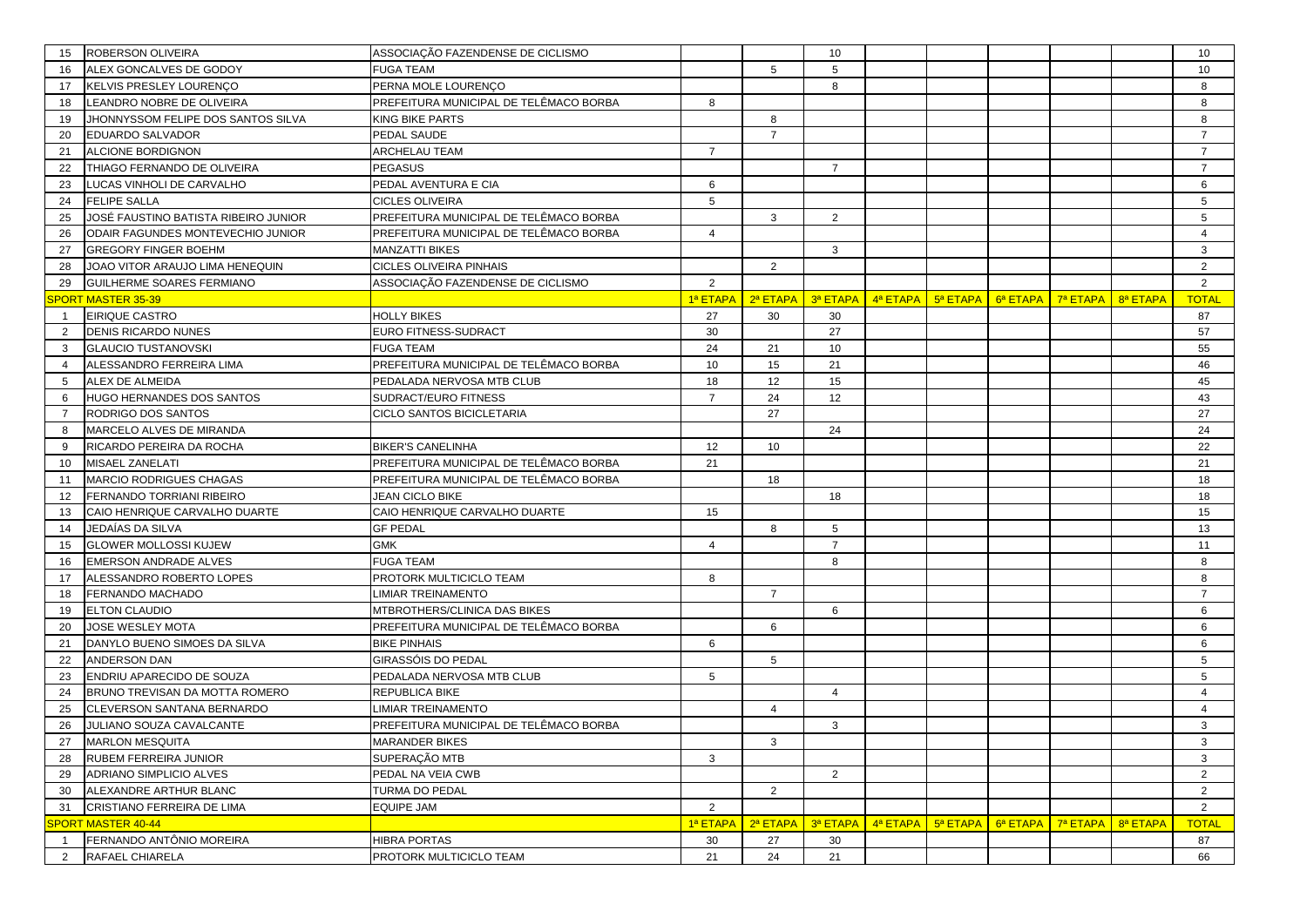| 15             | ROBERSON OLIVEIRA                                     | ASSOCIAÇÃO FAZENDENSE DE CICLISMO      |                 |                      | 10             |          |          |          |          |          | 10             |
|----------------|-------------------------------------------------------|----------------------------------------|-----------------|----------------------|----------------|----------|----------|----------|----------|----------|----------------|
| 16             | ALEX GONCALVES DE GODOY                               | <b>FUGA TEAM</b>                       |                 | 5                    | 5              |          |          |          |          |          | 10             |
| 17             | KELVIS PRESLEY LOURENÇO                               | PERNA MOLE LOURENÇO                    |                 |                      | 8              |          |          |          |          |          | 8              |
| 18             | LEANDRO NOBRE DE OLIVEIRA                             | PREFEITURA MUNICIPAL DE TELÊMACO BORBA | 8               |                      |                |          |          |          |          |          | 8              |
| 19             | JHONNYSSOM FELIPE DOS SANTOS SILVA                    | <b>KING BIKE PARTS</b>                 |                 | 8                    |                |          |          |          |          |          | 8              |
| 20             | EDUARDO SALVADOR                                      | PEDAL SAUDE                            |                 | $\overline{7}$       |                |          |          |          |          |          | $\overline{7}$ |
| 21             | ALCIONE BORDIGNON                                     | <b>ARCHELAU TEAM</b>                   | $\overline{7}$  |                      |                |          |          |          |          |          | $\overline{7}$ |
| 22             | THIAGO FERNANDO DE OLIVEIRA                           | <b>PEGASUS</b>                         |                 |                      | $\overline{7}$ |          |          |          |          |          | $\overline{7}$ |
| 23             | LUCAS VINHOLI DE CARVALHO                             | PEDAL AVENTURA E CIA                   | 6               |                      |                |          |          |          |          |          | 6              |
| 24             | <b>FELIPE SALLA</b>                                   | <b>CICLES OLIVEIRA</b>                 | $5\overline{5}$ |                      |                |          |          |          |          |          | 5              |
| 25             | JOSÉ FAUSTINO BATISTA RIBEIRO JUNIOR                  | PREFEITURA MUNICIPAL DE TELÊMACO BORBA |                 | 3                    | 2              |          |          |          |          |          | 5              |
| 26             | ODAIR FAGUNDES MONTEVECHIO JUNIOR                     | PREFEITURA MUNICIPAL DE TELÊMACO BORBA | $\overline{4}$  |                      |                |          |          |          |          |          | $\overline{4}$ |
| 27             | <b>GREGORY FINGER BOEHM</b>                           | <b>MANZATTI BIKES</b>                  |                 |                      | 3              |          |          |          |          |          | 3              |
| 28             | JOAO VITOR ARAUJO LIMA HENEQUIN                       | <b>CICLES OLIVEIRA PINHAIS</b>         |                 | $\overline{2}$       |                |          |          |          |          |          | $\overline{2}$ |
| 29             | <b>GUILHERME SOARES FERMIANO</b>                      | ASSOCIAÇÃO FAZENDENSE DE CICLISMO      | $\overline{2}$  |                      |                |          |          |          |          |          | 2              |
|                | SPORT MASTER 35-39                                    |                                        | 1ª ETAPA        | 2 <sup>a</sup> ETAPA | 3ª ETAPA       | 4ª ETAPA | 5ª ETAPA | 6ª ETAPA | 7ª ETAPA | 8ª ETAPA | <b>TOTAL</b>   |
| $\overline{1}$ | EIRIQUE CASTRO                                        | <b>HOLLY BIKES</b>                     | 27              | 30                   | 30             |          |          |          |          |          | 87             |
| $\overline{2}$ | <b>DENIS RICARDO NUNES</b>                            | EURO FITNESS-SUDRACT                   | 30              |                      | 27             |          |          |          |          |          | 57             |
| 3              | <b>GLAUCIO TUSTANOVSKI</b>                            | <b>FUGA TEAM</b>                       | 24              | 21                   | 10             |          |          |          |          |          | 55             |
| $\overline{4}$ | ALESSANDRO FERREIRA LIMA                              | PREFEITURA MUNICIPAL DE TELÊMACO BORBA | 10              | 15                   | 21             |          |          |          |          |          | 46             |
| 5              | ALEX DE ALMEIDA                                       | PEDALADA NERVOSA MTB CLUB              | 18              | 12                   | 15             |          |          |          |          |          | 45             |
| 6              | HUGO HERNANDES DOS SANTOS                             | SUDRACT/EURO FITNESS                   | $\overline{7}$  | 24                   | 12             |          |          |          |          |          | 43             |
| $\overline{7}$ | RODRIGO DOS SANTOS                                    | <b>CICLO SANTOS BICICLETARIA</b>       |                 | 27                   |                |          |          |          |          |          | 27             |
| 8              | MARCELO ALVES DE MIRANDA                              |                                        |                 |                      | 24             |          |          |          |          |          | 24             |
| 9              | RICARDO PEREIRA DA ROCHA                              | <b>BIKER'S CANELINHA</b>               | 12              | 10                   |                |          |          |          |          |          | 22             |
| 10             | MISAEL ZANELATI                                       | PREFEITURA MUNICIPAL DE TELÊMACO BORBA | 21              |                      |                |          |          |          |          |          | 21             |
| 11             | MARCIO RODRIGUES CHAGAS                               | PREFEITURA MUNICIPAL DE TELÊMACO BORBA |                 | 18                   |                |          |          |          |          |          | 18             |
| 12             | FERNANDO TORRIANI RIBEIRO                             | <b>JEAN CICLO BIKE</b>                 |                 |                      | 18             |          |          |          |          |          | 18             |
| 13             | CAIO HENRIQUE CARVALHO DUARTE                         | CAIO HENRIQUE CARVALHO DUARTE          | 15              |                      |                |          |          |          |          |          | 15             |
| 14             | JEDAÍAS DA SILVA                                      | <b>GF PEDAL</b>                        |                 | 8                    | 5              |          |          |          |          |          | 13             |
| 15             | <b>GLOWER MOLLOSSI KUJEW</b>                          | <b>GMK</b>                             | $\overline{4}$  |                      | $\overline{7}$ |          |          |          |          |          | 11             |
| 16             | <b>EMERSON ANDRADE ALVES</b>                          | <b>FUGA TEAM</b>                       |                 |                      | 8              |          |          |          |          |          | 8              |
| 17             | ALESSANDRO ROBERTO LOPES                              | PROTORK MULTICICLO TEAM                | 8               |                      |                |          |          |          |          |          | 8              |
| 18             | FERNANDO MACHADO                                      | LIMIAR TREINAMENTO                     |                 | $\overline{7}$       |                |          |          |          |          |          | $\overline{7}$ |
| 19             | ELTON CLAUDIO                                         | MTBROTHERS/CLINICA DAS BIKES           |                 |                      | 6              |          |          |          |          |          | 6              |
| 20             | JOSE WESLEY MOTA                                      | PREFEITURA MUNICIPAL DE TELÊMACO BORBA |                 | 6                    |                |          |          |          |          |          | 6              |
| 21             | DANYLO BUENO SIMOES DA SILVA                          | <b>BIKE PINHAIS</b>                    | 6               |                      |                |          |          |          |          |          | 6              |
| 22             | ANDERSON DAN                                          | GIRASSÓIS DO PEDAL                     |                 | 5                    |                |          |          |          |          |          | 5              |
| 23             | ENDRIU APARECIDO DE SOUZA                             | PEDALADA NERVOSA MTB CLUB              | 5               |                      |                |          |          |          |          |          | 5              |
| 24             | BRUNO TREVISAN DA MOTTA ROMERO                        | REPUBLICA BIKE                         |                 |                      | $\overline{4}$ |          |          |          |          |          | $\overline{4}$ |
| 25             | CLEVERSON SANTANA BERNARDO                            | <b>LIMIAR TREINAMENTO</b>              |                 | $\overline{4}$       |                |          |          |          |          |          | $\overline{4}$ |
| 26             | JULIANO SOUZA CAVALCANTE                              | PREFEITURA MUNICIPAL DE TELÊMACO BORBA |                 |                      | 3              |          |          |          |          |          | 3              |
| 27             | <b>MARLON MESQUITA</b>                                | <b>MARANDER BIKES</b>                  |                 | 3                    |                |          |          |          |          |          | 3              |
| 28             | RUBEM FERREIRA JUNIOR                                 | SUPERAÇÃO MTB                          | 3               |                      |                |          |          |          |          |          | 3              |
| 29             | ADRIANO SIMPLICIO ALVES<br>ALEXANDRE ARTHUR BLANC     | PEDAL NA VEIA CWB                      |                 |                      | $\overline{2}$ |          |          |          |          |          | $\overline{2}$ |
| 30             |                                                       | TURMA DO PEDAL                         |                 | $\overline{2}$       |                |          |          |          |          |          | $\overline{2}$ |
| 31             | CRISTIANO FERREIRA DE LIMA                            | EQUIPE JAM                             | $\overline{2}$  | 2ª ETAPA             | 3ª ETAPA       | 4ª ETAPA | 5ª ETAPA | 6ª ETAPA | 7ª ETAPA | 8ª ETAPA | $\overline{2}$ |
|                | <b>SPORT MASTER 40-44</b><br>FERNANDO ANTÔNIO MOREIRA |                                        | 1ª ETAPA        |                      |                |          |          |          |          |          | <b>TOTAL</b>   |
| $\overline{1}$ |                                                       | <b>HIBRA PORTAS</b>                    | 30              | 27<br>24             | 30<br>21       |          |          |          |          |          | 87             |
| $\overline{2}$ | RAFAEL CHIARELA                                       | PROTORK MULTICICLO TEAM                | 21              |                      |                |          |          |          |          |          | 66             |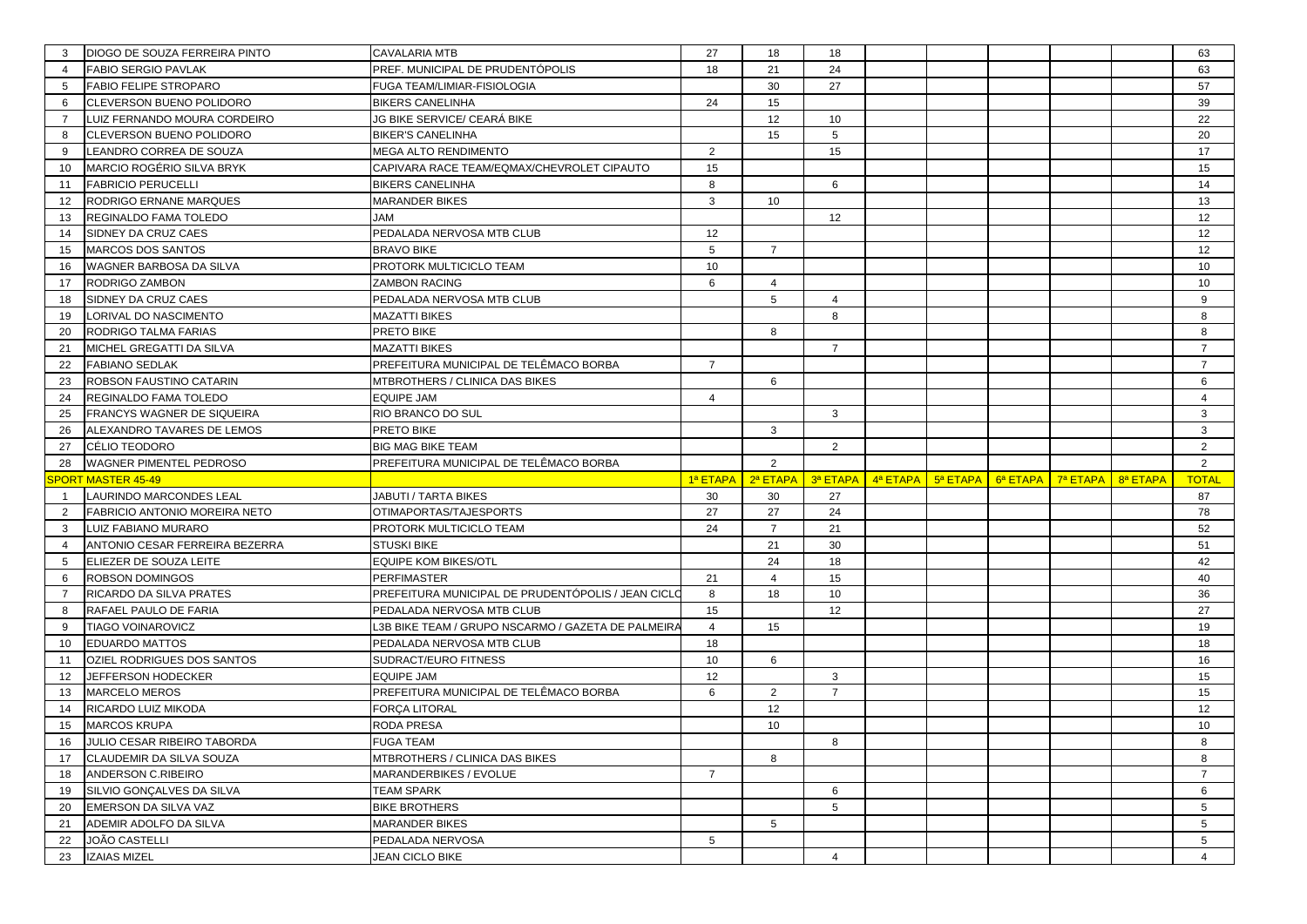| 3              | DIOGO DE SOUZA FERREIRA PINTO               | CAVALARIA MTB                                      | 27              | 18             | 18              |                                               |          |          |          | 63                                |
|----------------|---------------------------------------------|----------------------------------------------------|-----------------|----------------|-----------------|-----------------------------------------------|----------|----------|----------|-----------------------------------|
| $\overline{4}$ | <b>FABIO SERGIO PAVLAK</b>                  | PREF. MUNICIPAL DE PRUDENTÓPOLIS                   | 18              | 21             | 24              |                                               |          |          |          | 63                                |
| 5              | <b>FABIO FELIPE STROPARO</b>                | FUGA TEAM/LIMIAR-FISIOLOGIA                        |                 | 30             | 27              |                                               |          |          |          | 57                                |
| 6              | CLEVERSON BUENO POLIDORO                    | <b>BIKERS CANELINHA</b>                            | 24              | 15             |                 |                                               |          |          |          | 39                                |
| $\overline{7}$ | LUIZ FERNANDO MOURA CORDEIRO                | JG BIKE SERVICE/ CEARÁ BIKE                        |                 | 12             | 10              |                                               |          |          |          | 22                                |
| 8              | CLEVERSON BUENO POLIDORO                    | <b>BIKER'S CANELINHA</b>                           |                 | 15             | 5               |                                               |          |          |          | 20                                |
| 9              | LEANDRO CORREA DE SOUZA                     | <b>MEGA ALTO RENDIMENTO</b>                        | $\overline{2}$  |                | 15              |                                               |          |          |          | 17                                |
| 10             | MARCIO ROGÉRIO SILVA BRYK                   | CAPIVARA RACE TEAM/EQMAX/CHEVROLET CIPAUTO         | 15              |                |                 |                                               |          |          |          | 15                                |
| 11             | <b>FABRICIO PERUCELLI</b>                   | <b>BIKERS CANELINHA</b>                            | 8               |                | 6               |                                               |          |          |          | 14                                |
| 12             | RODRIGO ERNANE MARQUES                      | MARANDER BIKES                                     | 3               | 10             |                 |                                               |          |          |          | 13                                |
| 13             | REGINALDO FAMA TOLEDO                       | <b>JAM</b>                                         |                 |                | 12              |                                               |          |          |          | 12                                |
| 14             | SIDNEY DA CRUZ CAES                         | PEDALADA NERVOSA MTB CLUB                          | 12              |                |                 |                                               |          |          |          | 12                                |
| 15             | <b>MARCOS DOS SANTOS</b>                    | <b>BRAVO BIKE</b>                                  | 5               | $\overline{7}$ |                 |                                               |          |          |          | 12                                |
| 16             | WAGNER BARBOSA DA SILVA                     | PROTORK MULTICICLO TEAM                            | 10              |                |                 |                                               |          |          |          | 10                                |
| 17             | RODRIGO ZAMBON                              | <b>ZAMBON RACING</b>                               | 6               | $\overline{4}$ |                 |                                               |          |          |          | 10                                |
| 18             | SIDNEY DA CRUZ CAES                         | PEDALADA NERVOSA MTB CLUB                          |                 | 5              | $\overline{4}$  |                                               |          |          |          | 9                                 |
| 19             | LORIVAL DO NASCIMENTO                       | <b>MAZATTI BIKES</b>                               |                 |                | 8               |                                               |          |          |          | 8                                 |
| 20             | RODRIGO TALMA FARIAS                        | PRETO BIKE                                         |                 | 8              |                 |                                               |          |          |          | 8                                 |
| 21             | MICHEL GREGATTI DA SILVA                    | <b>MAZATTI BIKES</b>                               |                 |                | $\overline{7}$  |                                               |          |          |          | $\overline{7}$                    |
| 22             | <b>FABIANO SEDLAK</b>                       | PREFEITURA MUNICIPAL DE TELÊMACO BORBA             | $\overline{7}$  |                |                 |                                               |          |          |          | $\overline{7}$                    |
| 23             | ROBSON FAUSTINO CATARIN                     | MTBROTHERS / CLINICA DAS BIKES                     |                 | 6              |                 |                                               |          |          |          | 6                                 |
| 24             | REGINALDO FAMA TOLEDO                       | EQUIPE JAM                                         | $\overline{4}$  |                |                 |                                               |          |          |          | $\overline{4}$                    |
| 25             | FRANCYS WAGNER DE SIQUEIRA                  | RIO BRANCO DO SUL                                  |                 |                | 3               |                                               |          |          |          | 3                                 |
| 26             | ALEXANDRO TAVARES DE LEMOS                  | PRETO BIKE                                         |                 | 3              |                 |                                               |          |          |          | 3                                 |
| 27             | CÉLIO TEODORO                               | <b>BIG MAG BIKE TEAM</b>                           |                 |                | 2               |                                               |          |          |          | $\overline{2}$                    |
|                |                                             |                                                    |                 |                |                 |                                               |          |          |          |                                   |
| 28             | WAGNER PIMENTEL PEDROSO                     | PREFEITURA MUNICIPAL DE TELÊMACO BORBA             |                 | 2              |                 |                                               |          |          |          | $\overline{2}$                    |
|                | PORT MASTER 45-49                           |                                                    | 1ª ETAPA        | 2ª ETAPA       | 3ª ETAPA        | $\frac{4^a}{a^b}$ ETAPA $\frac{1}{2^a}$ ETAPA | 6ª ETAPA | 7ª ETAPA | 8ª ETAPA | <b>TOTAL</b>                      |
| $\overline{1}$ | LAURINDO MARCONDES LEAL                     | JABUTI / TARTA BIKES                               | 30              | 30             | 27              |                                               |          |          |          | 87                                |
| 2              | FABRICIO ANTONIO MOREIRA NETO               | OTIMAPORTAS/TAJESPORTS                             | 27              | 27             | 24              |                                               |          |          |          | 78                                |
| 3              | LUIZ FABIANO MURARO                         | PROTORK MULTICICLO TEAM                            | 24              | $\overline{7}$ | 21              |                                               |          |          |          | 52                                |
| $\overline{4}$ | ANTONIO CESAR FERREIRA BEZERRA              | <b>STUSKI BIKE</b>                                 |                 | 21             | 30              |                                               |          |          |          | 51                                |
| 5              | ELIEZER DE SOUZA LEITE                      | <b>EQUIPE KOM BIKES/OTL</b>                        |                 | 24             | 18              |                                               |          |          |          | 42                                |
| 6              | <b>ROBSON DOMINGOS</b>                      | PERFIMASTER                                        | 21              | $\overline{4}$ | 15              |                                               |          |          |          | 40                                |
| $\overline{7}$ | RICARDO DA SILVA PRATES                     | PREFEITURA MUNICIPAL DE PRUDENTÓPOLIS / JEAN CICL( | 8               | 18             | 10              |                                               |          |          |          | 36                                |
| 8              | RAFAEL PAULO DE FARIA                       | PEDALADA NERVOSA MTB CLUB                          | 15              |                | 12              |                                               |          |          |          | 27                                |
| 9              | <b>TIAGO VOINAROVICZ</b>                    | L3B BIKE TEAM / GRUPO NSCARMO / GAZETA DE PALMEIR/ | $\overline{4}$  | 15             |                 |                                               |          |          |          | 19                                |
| 10             | <b>EDUARDO MATTOS</b>                       | PEDALADA NERVOSA MTB CLUB                          | 18              |                |                 |                                               |          |          |          | 18                                |
| 11             | OZIEL RODRIGUES DOS SANTOS                  | SUDRACT/EURO FITNESS                               | 10              | 6              |                 |                                               |          |          |          | 16                                |
| 12             | JEFFERSON HODECKER                          | <b>EQUIPE JAM</b>                                  | 12              |                | 3               |                                               |          |          |          | 15                                |
| 13             | <b>MARCELO MEROS</b>                        | PREFEITURA MUNICIPAL DE TELÊMACO BORBA             | 6               | 2              | $\overline{7}$  |                                               |          |          |          | 15                                |
| 14             | RICARDO LUIZ MIKODA                         | FORÇA LITORAL                                      |                 | 12             |                 |                                               |          |          |          | 12                                |
| 15             | <b>MARCOS KRUPA</b>                         | RODA PRESA                                         |                 | 10             |                 |                                               |          |          |          | 10                                |
|                | 16 JULIO CESAR RIBEIRO TABORDA              | <b>FUGA TEAM</b>                                   |                 |                | 8               |                                               |          |          |          | 8                                 |
|                | 17 CLAUDEMIR DA SILVA SOUZA                 | MTBROTHERS / CLINICA DAS BIKES                     |                 | 8              |                 |                                               |          |          |          | 8                                 |
| 18             | ANDERSON C.RIBEIRO                          | MARANDERBIKES / EVOLUE                             | $\overline{7}$  |                |                 |                                               |          |          |          | $\overline{7}$                    |
| 19             | SILVIO GONÇALVES DA SILVA                   | <b>TEAM SPARK</b>                                  |                 |                | 6               |                                               |          |          |          | 6                                 |
| 20             | EMERSON DA SILVA VAZ                        | <b>BIKE BROTHERS</b>                               |                 |                | $5\overline{5}$ |                                               |          |          |          | 5 <sup>5</sup>                    |
| 21             | ADEMIR ADOLFO DA SILVA                      | MARANDER BIKES                                     |                 | 5              |                 |                                               |          |          |          | $5\phantom{.0}$                   |
| 22<br>23       | <b>JOÃO CASTELLI</b><br><b>IZAIAS MIZEL</b> | PEDALADA NERVOSA<br><b>JEAN CICLO BIKE</b>         | $5\phantom{.0}$ |                | $\overline{4}$  |                                               |          |          |          | $5\overline{)}$<br>$\overline{4}$ |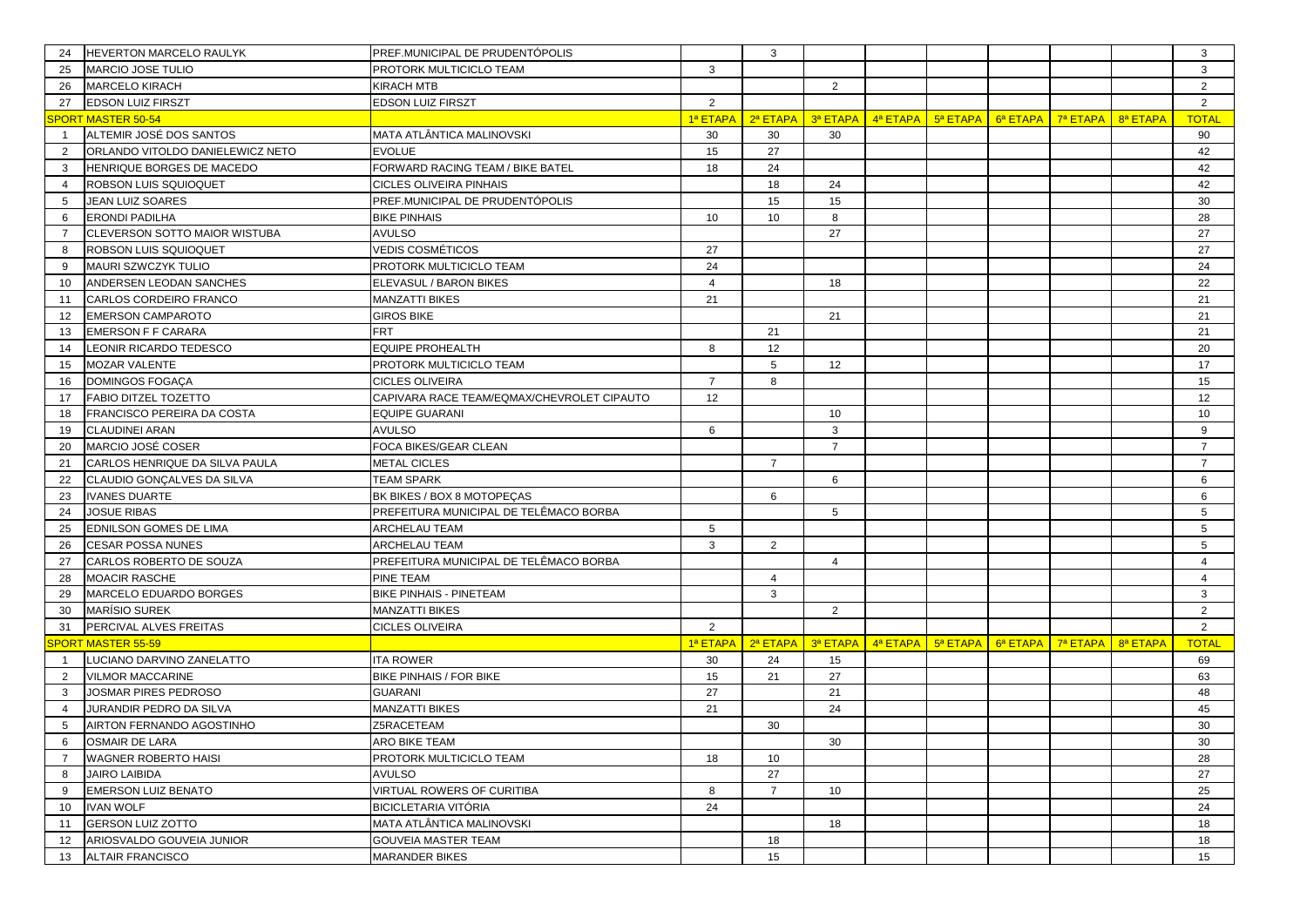| 24             | HEVERTON MARCELO RAULYK          | PREF.MUNICIPAL DE PRUDENTÓPOLIS            |                 | 3                 |                |                                                                                                                                                                 |  |          | 3               |
|----------------|----------------------------------|--------------------------------------------|-----------------|-------------------|----------------|-----------------------------------------------------------------------------------------------------------------------------------------------------------------|--|----------|-----------------|
| 25             | <b>MARCIO JOSE TULIO</b>         | PROTORK MULTICICLO TEAM                    | 3               |                   |                |                                                                                                                                                                 |  |          | 3               |
| 26             | MARCELO KIRACH                   | <b>KIRACH MTB</b>                          |                 |                   | 2              |                                                                                                                                                                 |  |          | $\overline{2}$  |
| 27             | <b>EDSON LUIZ FIRSZT</b>         | <b>EDSON LUIZ FIRSZT</b>                   | $\overline{2}$  |                   |                |                                                                                                                                                                 |  |          | 2               |
|                | SPORT MASTER 50-54               |                                            | 1ª ETAPA        | 2ª ETAPA          |                | $\frac{3}{9}$ ETAPA $\frac{1}{9}$ 4 <sup>a</sup> ETAPA $\frac{1}{9}$ 5 <sup>a</sup> ETAPA $\frac{1}{9}$ 6 <sup>a</sup> ETAPA $\frac{1}{9}$ 7 <sup>a</sup> ETAPA |  | 8ª ETAPA | <b>TOTAL</b>    |
| $\overline{1}$ | ALTEMIR JOSÉ DOS SANTOS          | MATA ATLÂNTICA MALINOVSKI                  | 30              | 30                | 30             |                                                                                                                                                                 |  |          | 90              |
| 2              | ORLANDO VITOLDO DANIELEWICZ NETO | <b>EVOLUE</b>                              | 15              | 27                |                |                                                                                                                                                                 |  |          | 42              |
| 3              | HENRIQUE BORGES DE MACEDO        | FORWARD RACING TEAM / BIKE BATEL           | 18              | 24                |                |                                                                                                                                                                 |  |          | 42              |
| $\overline{4}$ | ROBSON LUIS SQUIOQUET            | <b>CICLES OLIVEIRA PINHAIS</b>             |                 | 18                | 24             |                                                                                                                                                                 |  |          | 42              |
| 5              | <b>JEAN LUIZ SOARES</b>          | PREF.MUNICIPAL DE PRUDENTÓPOLIS            |                 | 15                | 15             |                                                                                                                                                                 |  |          | 30              |
| 6              | ERONDI PADILHA                   | <b>BIKE PINHAIS</b>                        | 10 <sup>°</sup> | 10                | 8              |                                                                                                                                                                 |  |          | 28              |
|                | CLEVERSON SOTTO MAIOR WISTUBA    | <b>AVULSO</b>                              |                 |                   | 27             |                                                                                                                                                                 |  |          | 27              |
| 8              | ROBSON LUIS SQUIOQUET            | <b>VEDIS COSMÉTICOS</b>                    | 27              |                   |                |                                                                                                                                                                 |  |          | 27              |
| 9              | MAURI SZWCZYK TULIO              | PROTORK MULTICICLO TEAM                    | 24              |                   |                |                                                                                                                                                                 |  |          | 24              |
| 10             | ANDERSEN LEODAN SANCHES          | ELEVASUL / BARON BIKES                     | $\overline{4}$  |                   | 18             |                                                                                                                                                                 |  |          | 22              |
| 11             | CARLOS CORDEIRO FRANCO           | <b>MANZATTI BIKES</b>                      | 21              |                   |                |                                                                                                                                                                 |  |          | 21              |
| 12             | <b>EMERSON CAMPAROTO</b>         | <b>GIROS BIKE</b>                          |                 |                   | 21             |                                                                                                                                                                 |  |          | 21              |
| 13             | <b>EMERSON F F CARARA</b>        | <b>FRT</b>                                 |                 | 21                |                |                                                                                                                                                                 |  |          | 21              |
| 14             | LEONIR RICARDO TEDESCO           | <b>EQUIPE PROHEALTH</b>                    | 8               | 12                |                |                                                                                                                                                                 |  |          | 20              |
| 15             | MOZAR VALENTE                    | PROTORK MULTICICLO TEAM                    |                 | 5                 | 12             |                                                                                                                                                                 |  |          | 17              |
| 16             | DOMINGOS FOGAÇA                  | <b>CICLES OLIVEIRA</b>                     | $\overline{7}$  | 8                 |                |                                                                                                                                                                 |  |          | 15              |
| 17             | FABIO DITZEL TOZETTO             | CAPIVARA RACE TEAM/EQMAX/CHEVROLET CIPAUTO | 12              |                   |                |                                                                                                                                                                 |  |          | 12              |
| 18             | FRANCISCO PEREIRA DA COSTA       | <b>EQUIPE GUARANI</b>                      |                 |                   | 10             |                                                                                                                                                                 |  |          | 10              |
| 19             | CLAUDINEI ARAN                   | <b>AVULSO</b>                              | 6               |                   | 3              |                                                                                                                                                                 |  |          | 9               |
| 20             | MARCIO JOSÉ COSER                | FOCA BIKES/GEAR CLEAN                      |                 |                   | $\overline{7}$ |                                                                                                                                                                 |  |          | $\overline{7}$  |
| 21             | CARLOS HENRIQUE DA SILVA PAULA   | <b>METAL CICLES</b>                        |                 | $\overline{7}$    |                |                                                                                                                                                                 |  |          | $\overline{7}$  |
| 22             | CLAUDIO GONCALVES DA SILVA       | <b>TEAM SPARK</b>                          |                 |                   | 6              |                                                                                                                                                                 |  |          | 6               |
| 23             | <b>IVANES DUARTE</b>             | BK BIKES / BOX 8 MOTOPECAS                 |                 | 6                 |                |                                                                                                                                                                 |  |          | 6               |
| 24             | <b>JOSUE RIBAS</b>               | PREFEITURA MUNICIPAL DE TELÊMACO BORBA     |                 |                   | 5              |                                                                                                                                                                 |  |          | 5               |
| 25             | EDNILSON GOMES DE LIMA           | ARCHELAU TEAM                              | 5               |                   |                |                                                                                                                                                                 |  |          | $5^{\circ}$     |
| 26             | <b>CESAR POSSA NUNES</b>         | <b>ARCHELAU TEAM</b>                       | 3               | 2                 |                |                                                                                                                                                                 |  |          | 5               |
| 27             | CARLOS ROBERTO DE SOUZA          | PREFEITURA MUNICIPAL DE TELÊMACO BORBA     |                 |                   | $\overline{4}$ |                                                                                                                                                                 |  |          | $\overline{4}$  |
| 28             | <b>MOACIR RASCHE</b>             | <b>PINE TEAM</b>                           |                 | $\overline{4}$    |                |                                                                                                                                                                 |  |          | $\overline{4}$  |
| 29             | MARCELO EDUARDO BORGES           | <b>BIKE PINHAIS - PINETEAM</b>             |                 | 3                 |                |                                                                                                                                                                 |  |          | 3               |
| 30             | <b>MARÍSIO SUREK</b>             | <b>MANZATTI BIKES</b>                      |                 |                   | $\overline{2}$ |                                                                                                                                                                 |  |          | $\overline{2}$  |
| 31             | PERCIVAL ALVES FREITAS           | <b>CICLES OLIVEIRA</b>                     | 2               |                   |                |                                                                                                                                                                 |  |          | 2               |
|                | <b>SPORT MASTER 55-59</b>        |                                            |                 | 1ª ETAPA 2ª ETAPA |                | $\frac{3}{3}$ ETAPA $\left  \frac{4}{3}$ ETAPA $\left  \frac{5}{3}$ ETAPA $\left  \frac{6}{3}$ ETAPA $\right $ $\left  \frac{7}{3}$ ETAPA                       |  | 8ª ETAPA | <b>TOTAL</b>    |
| $\overline{1}$ | LUCIANO DARVINO ZANELATTO        | <b>ITA ROWER</b>                           | 30              | 24                | 15             |                                                                                                                                                                 |  |          | 69              |
| $\overline{2}$ | <b>VILMOR MACCARINE</b>          | <b>BIKE PINHAIS / FOR BIKE</b>             | 15              | 21                | 27             |                                                                                                                                                                 |  |          | 63              |
| 3              | JOSMAR PIRES PEDROSO             | <b>GUARANI</b>                             | 27              |                   | 21             |                                                                                                                                                                 |  |          | 48              |
| $\overline{4}$ | <b>JURANDIR PEDRO DA SILVA</b>   | <b>MANZATTI BIKES</b>                      | 21              |                   | 24             |                                                                                                                                                                 |  |          | 45              |
| 5              | AIRTON FERNANDO AGOSTINHO        | Z5RACETEAM                                 |                 | 30                |                |                                                                                                                                                                 |  |          | 30              |
| 6              | <b>OSMAIR DE LARA</b>            | ARO BIKE TEAM                              |                 |                   | 30             |                                                                                                                                                                 |  |          | 30 <sup>°</sup> |
| $\overline{7}$ | <b>WAGNER ROBERTO HAISI</b>      | PROTORK MULTICICLO TEAM                    | 18              | 10                |                |                                                                                                                                                                 |  |          | 28              |
| 8              | <b>JAIRO LAIBIDA</b>             | <b>AVULSO</b>                              |                 | 27                |                |                                                                                                                                                                 |  |          | 27              |
| 9              | <b>EMERSON LUIZ BENATO</b>       | VIRTUAL ROWERS OF CURITIBA                 | 8               | $\overline{7}$    | 10             |                                                                                                                                                                 |  |          | 25              |
| 10             | <b>IVAN WOLF</b>                 | <b>BICICLETARIA VITÓRIA</b>                | 24              |                   |                |                                                                                                                                                                 |  |          | 24              |
| 11             | <b>GERSON LUIZ ZOTTO</b>         | MATA ATLÂNTICA MALINOVSKI                  |                 |                   | 18             |                                                                                                                                                                 |  |          | 18              |
| 12             | ARIOSVALDO GOUVEIA JUNIOR        | <b>GOUVEIA MASTER TEAM</b>                 |                 | 18                |                |                                                                                                                                                                 |  |          | 18              |
| 13             | <b>ALTAIR FRANCISCO</b>          | <b>MARANDER BIKES</b>                      |                 | 15                |                |                                                                                                                                                                 |  |          | 15              |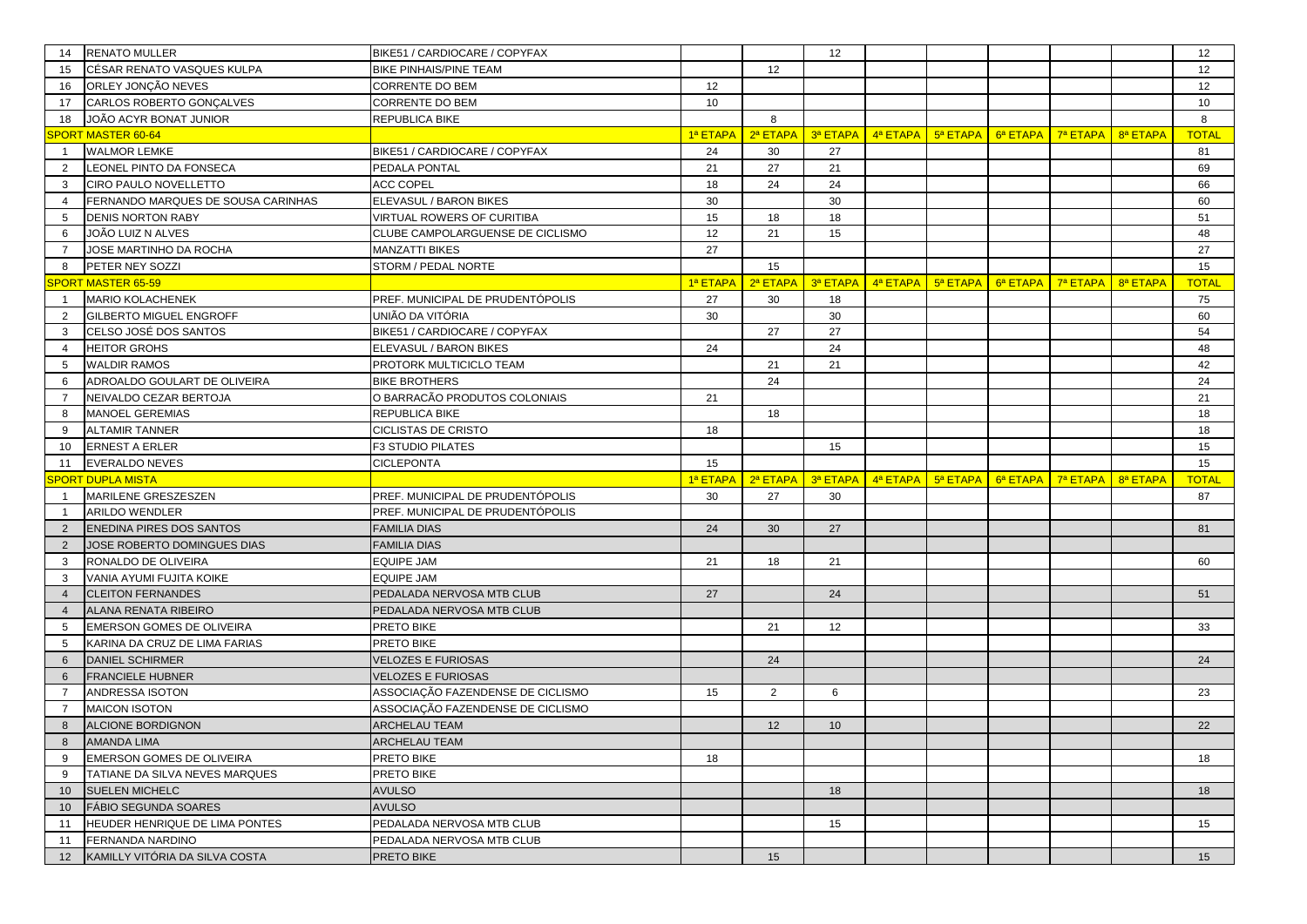| 14              | <b>RENATO MULLER</b>                                      | BIKE51 / CARDIOCARE / COPYFAX           |                 |          | 12              |                                                            |                                                                                                                 |          |          |          | 12           |
|-----------------|-----------------------------------------------------------|-----------------------------------------|-----------------|----------|-----------------|------------------------------------------------------------|-----------------------------------------------------------------------------------------------------------------|----------|----------|----------|--------------|
| 15              | CÉSAR RENATO VASQUES KULPA                                | <b>BIKE PINHAIS/PINE TEAM</b>           |                 | 12       |                 |                                                            |                                                                                                                 |          |          |          | 12           |
| 16              | ORLEY JONÇÃO NEVES                                        | CORRENTE DO BEM                         | 12              |          |                 |                                                            |                                                                                                                 |          |          |          | 12           |
| 17              | CARLOS ROBERTO GONCALVES                                  | CORRENTE DO BEM                         | 10 <sup>1</sup> |          |                 |                                                            |                                                                                                                 |          |          |          | 10           |
| 18              | JOÃO ACYR BONAT JUNIOR                                    | REPUBLICA BIKE                          |                 | 8        |                 |                                                            |                                                                                                                 |          |          |          | 8            |
|                 | <b>PORT MASTER 60-64</b>                                  |                                         | 1ª ETAPA        | 2ª ETAPA | 3ª ETAPA        | 4ª ETAPA                                                   | 5ª ETAPA                                                                                                        | 6ª ETAPA | 7ª ETAPA | 8ª ETAPA | <b>TOTAL</b> |
| $\overline{1}$  | <b>WALMOR LEMKE</b>                                       | BIKE51 / CARDIOCARE / COPYFAX           | 24              | 30       | 27              |                                                            |                                                                                                                 |          |          |          | 81           |
| 2               | LEONEL PINTO DA FONSECA                                   | PEDALA PONTAL                           | 21              | 27       | 21              |                                                            |                                                                                                                 |          |          |          | 69           |
| 3               | CIRO PAULO NOVELLETTO                                     | <b>ACC COPEL</b>                        | 18              | 24       | 24              |                                                            |                                                                                                                 |          |          |          | 66           |
| $\overline{4}$  | FERNANDO MARQUES DE SOUSA CARINHAS                        | ELEVASUL / BARON BIKES                  | 30              |          | 30              |                                                            |                                                                                                                 |          |          |          | 60           |
| 5               | <b>DENIS NORTON RABY</b>                                  | <b>VIRTUAL ROWERS OF CURITIBA</b>       | 15              | 18       | 18              |                                                            |                                                                                                                 |          |          |          | 51           |
| 6               | JOÃO LUIZ N ALVES                                         | CLUBE CAMPOLARGUENSE DE CICLISMO        | 12              | 21       | 15              |                                                            |                                                                                                                 |          |          |          | 48           |
| $\overline{7}$  | JOSE MARTINHO DA ROCHA                                    | <b>MANZATTI BIKES</b>                   | 27              |          |                 |                                                            |                                                                                                                 |          |          |          | 27           |
| 8               | PETER NEY SOZZI                                           | STORM / PEDAL NORTE                     |                 | 15       |                 |                                                            |                                                                                                                 |          |          |          | 15           |
|                 | <b>SPORT MASTER 65-59</b>                                 |                                         | 1ª ETAPA        | 2ª ETAPA |                 |                                                            | $\frac{3}{3}$ ETAPA $\frac{1}{3}$ 4ª ETAPA $\frac{1}{3}$ 5ª ETAPA $\frac{1}{3}$ 6ª ETAPA $\frac{1}{3}$ 7ª ETAPA |          |          | 8ª ETAPA | <b>TOTAL</b> |
| $\mathbf{1}$    | <b>MARIO KOLACHENEK</b>                                   | PREF. MUNICIPAL DE PRUDENTÓPOLIS        | 27              | 30       | 18              |                                                            |                                                                                                                 |          |          |          | 75           |
| 2               | <b>GILBERTO MIGUEL ENGROFF</b>                            | UNIÃO DA VITÓRIA                        | 30              |          | 30              |                                                            |                                                                                                                 |          |          |          | 60           |
| 3               | CELSO JOSÉ DOS SANTOS                                     | BIKE51 / CARDIOCARE / COPYFAX           |                 | 27       | 27              |                                                            |                                                                                                                 |          |          |          | 54           |
| $\overline{4}$  | <b>HEITOR GROHS</b>                                       | ELEVASUL / BARON BIKES                  | 24              |          | 24              |                                                            |                                                                                                                 |          |          |          | 48           |
| 5               | <b>WALDIR RAMOS</b>                                       | PROTORK MULTICICLO TEAM                 |                 | 21       | 21              |                                                            |                                                                                                                 |          |          |          | 42           |
| 6               | ADROALDO GOULART DE OLIVEIRA                              | <b>BIKE BROTHERS</b>                    |                 | 24       |                 |                                                            |                                                                                                                 |          |          |          | 24           |
| $\overline{7}$  | NEIVALDO CEZAR BERTOJA                                    | O BARRACÃO PRODUTOS COLONIAIS           | 21              |          |                 |                                                            |                                                                                                                 |          |          |          | 21           |
| 8               | MANOEL GEREMIAS                                           | REPUBLICA BIKE                          |                 | 18       |                 |                                                            |                                                                                                                 |          |          |          | 18           |
| 9               | <b>ALTAMIR TANNER</b>                                     | CICLISTAS DE CRISTO                     | 18              |          |                 |                                                            |                                                                                                                 |          |          |          | 18           |
| 10              | <b>ERNEST A ERLER</b>                                     | F3 STUDIO PILATES                       |                 |          | 15              |                                                            |                                                                                                                 |          |          |          | 15           |
|                 |                                                           |                                         |                 |          |                 |                                                            |                                                                                                                 |          |          |          |              |
| 11              | EVERALDO NEVES                                            | CICLEPONTA                              | 15              |          |                 |                                                            |                                                                                                                 |          |          |          | 15           |
|                 | <b>SPORT DUPLA MISTA</b>                                  |                                         | 1ª ETAPA        | 2ª ETAPA | 3ª ETAPA        | $\frac{4^a}{a^b}$ ETAPA $\frac{1}{2}$ 5 <sup>a</sup> ETAPA |                                                                                                                 | 6ª ETAPA | 7ª ETAPA | 8ª ETAPA | <b>TOTAL</b> |
| $\overline{1}$  | MARILENE GRESZESZEN                                       | PREF. MUNICIPAL DE PRUDENTÓPOLIS        | 30              | 27       | 30              |                                                            |                                                                                                                 |          |          |          | 87           |
| $\overline{1}$  | <b>ARILDO WENDLER</b>                                     | PREF. MUNICIPAL DE PRUDENTÓPOLIS        |                 |          |                 |                                                            |                                                                                                                 |          |          |          |              |
| 2               | ENEDINA PIRES DOS SANTOS                                  | FAMILIA DIAS                            | 24              | 30       | 27              |                                                            |                                                                                                                 |          |          |          | 81           |
| 2               | JOSE ROBERTO DOMINGUES DIAS                               | <b>FAMILIA DIAS</b>                     |                 |          |                 |                                                            |                                                                                                                 |          |          |          |              |
| 3               | RONALDO DE OLIVEIRA                                       | EQUIPE JAM                              | 21              | 18       | 21              |                                                            |                                                                                                                 |          |          |          | 60           |
| 3               | VANIA AYUMI FUJITA KOIKE                                  | EQUIPE JAM                              |                 |          |                 |                                                            |                                                                                                                 |          |          |          |              |
| $\overline{4}$  | <b>CLEITON FERNANDES</b>                                  | PEDALADA NERVOSA MTB CLUB               | 27              |          | 24              |                                                            |                                                                                                                 |          |          |          | 51           |
| $\overline{4}$  | ALANA RENATA RIBEIRO                                      | PEDALADA NERVOSA MTB CLUB               |                 |          |                 |                                                            |                                                                                                                 |          |          |          |              |
| 5               | <b>EMERSON GOMES DE OLIVEIRA</b>                          | PRETO BIKE                              |                 | 21       | 12              |                                                            |                                                                                                                 |          |          |          | 33           |
| 5               | KARINA DA CRUZ DE LIMA FARIAS                             | PRETO BIKE                              |                 |          |                 |                                                            |                                                                                                                 |          |          |          |              |
| 6               | <b>DANIEL SCHIRMER</b>                                    | <b>VELOZES E FURIOSAS</b>               |                 | 24       |                 |                                                            |                                                                                                                 |          |          |          | 24           |
| 6               | <b>FRANCIELE HUBNER</b>                                   | <b>VELOZES E FURIOSAS</b>               |                 |          |                 |                                                            |                                                                                                                 |          |          |          |              |
| 7               | ANDRESSA ISOTON                                           | ASSOCIAÇÃO FAZENDENSE DE CICLISMO       | 15              | 2        | 6               |                                                            |                                                                                                                 |          |          |          | 23           |
| $\overline{7}$  | <b>MAICON ISOTON</b>                                      | ASSOCIAÇÃO FAZENDENSE DE CICLISMO       |                 |          |                 |                                                            |                                                                                                                 |          |          |          |              |
| 8               | <b>ALCIONE BORDIGNON</b>                                  | <b>ARCHELAU TEAM</b>                    |                 | 12       | 10 <sup>1</sup> |                                                            |                                                                                                                 |          |          |          | 22           |
| 8               | <b>AMANDA LIMA</b>                                        | ARCHELAU TEAM                           |                 |          |                 |                                                            |                                                                                                                 |          |          |          |              |
| 9               | <b>EMERSON GOMES DE OLIVEIRA</b>                          | PRETO BIKE                              | 18              |          |                 |                                                            |                                                                                                                 |          |          |          | 18           |
| 9               | TATIANE DA SILVA NEVES MARQUES                            | PRETO BIKE                              |                 |          |                 |                                                            |                                                                                                                 |          |          |          |              |
| 10 <sup>°</sup> | SUELEN MICHELC                                            | <b>AVULSO</b>                           |                 |          | 18              |                                                            |                                                                                                                 |          |          |          | 18           |
| 10 <sup>°</sup> | <b>FÁBIO SEGUNDA SOARES</b>                               | <b>AVULSO</b>                           |                 |          |                 |                                                            |                                                                                                                 |          |          |          |              |
| 11              | HEUDER HENRIQUE DE LIMA PONTES                            | PEDALADA NERVOSA MTB CLUB               |                 |          | 15              |                                                            |                                                                                                                 |          |          |          | 15           |
| 11<br>12        | <b>FERNANDA NARDINO</b><br>KAMILLY VITÓRIA DA SILVA COSTA | PEDALADA NERVOSA MTB CLUB<br>PRETO BIKE |                 | 15       |                 |                                                            |                                                                                                                 |          |          |          | 15           |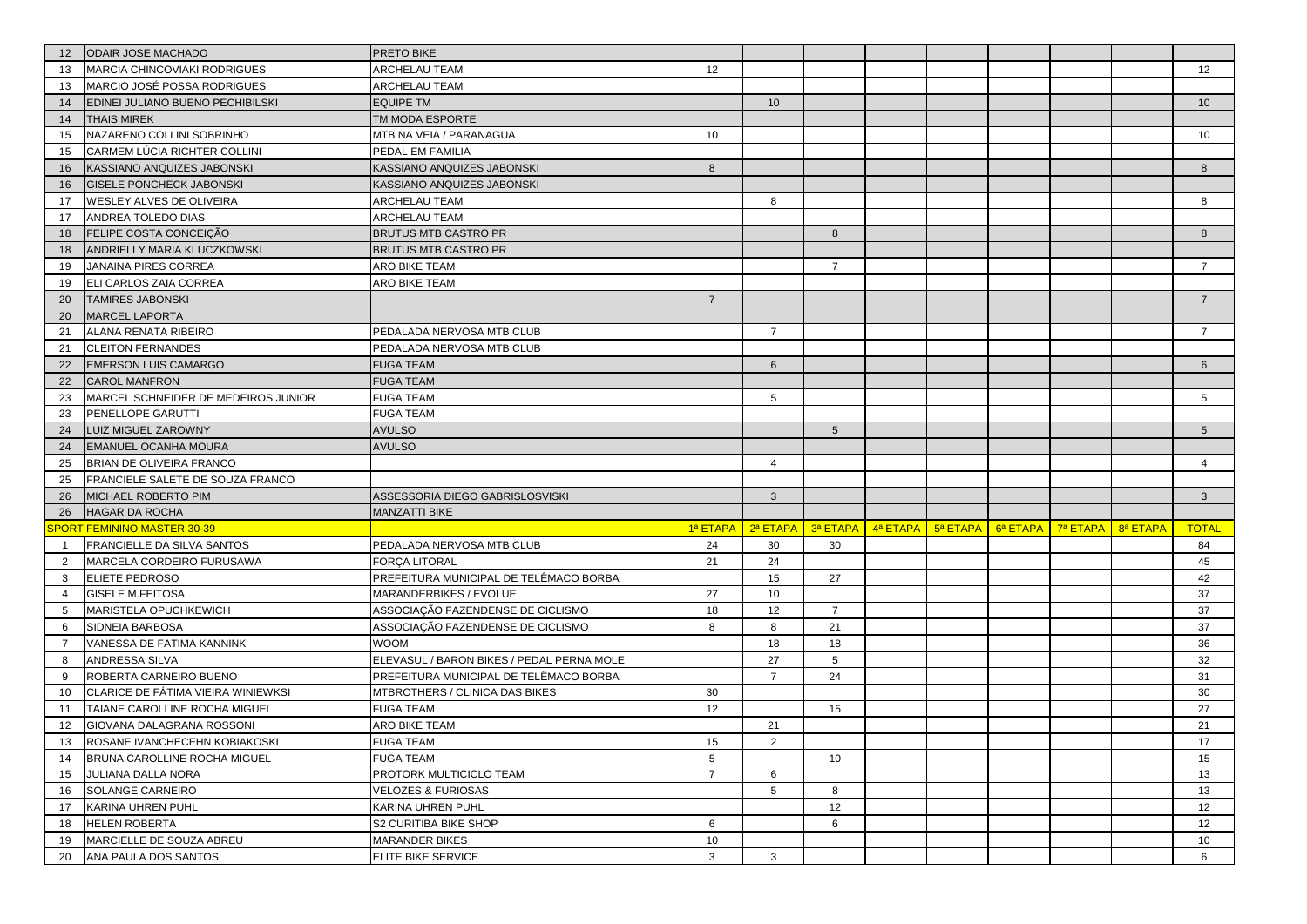| 12             | <b>ODAIR JOSE MACHADO</b>                        | PRETO BIKE                                  |                |                |                 |                   |          |          |          |          |                      |
|----------------|--------------------------------------------------|---------------------------------------------|----------------|----------------|-----------------|-------------------|----------|----------|----------|----------|----------------------|
| 13             | MARCIA CHINCOVIAKI RODRIGUES                     | <b>ARCHELAU TEAM</b>                        | 12             |                |                 |                   |          |          |          |          | 12                   |
| 13             | MARCIO JOSÉ POSSA RODRIGUES                      | ARCHELAU TEAM                               |                |                |                 |                   |          |          |          |          |                      |
| 14             | EDINEI JULIANO BUENO PECHIBILSKI                 | <b>EQUIPE TM</b>                            |                | 10             |                 |                   |          |          |          |          | 10                   |
| 14             | <b>THAIS MIREK</b>                               | TM MODA ESPORTE                             |                |                |                 |                   |          |          |          |          |                      |
| 15             | NAZARENO COLLINI SOBRINHO                        | MTB NA VEIA / PARANAGUA                     | 10             |                |                 |                   |          |          |          |          | 10                   |
| 15             | CARMEM LÚCIA RICHTER COLLINI                     | PEDAL EM FAMILIA                            |                |                |                 |                   |          |          |          |          |                      |
| 16             | KASSIANO ANQUIZES JABONSKI                       | KASSIANO ANQUIZES JABONSKI                  | 8              |                |                 |                   |          |          |          |          | 8                    |
| 16             | <b>GISELE PONCHECK JABONSKI</b>                  | KASSIANO ANQUIZES JABONSKI                  |                |                |                 |                   |          |          |          |          |                      |
| 17             | WESLEY ALVES DE OLIVEIRA                         | <b>ARCHELAU TEAM</b>                        |                | 8              |                 |                   |          |          |          |          | 8                    |
| 17             | ANDREA TOLEDO DIAS                               | ARCHELAU TEAM                               |                |                |                 |                   |          |          |          |          |                      |
| 18             | FELIPE COSTA CONCEIÇÃO                           | <b>BRUTUS MTB CASTRO PR</b>                 |                |                | 8               |                   |          |          |          |          | 8                    |
| 18             | ANDRIELLY MARIA KLUCZKOWSKI                      | <b>BRUTUS MTB CASTRO PR</b>                 |                |                |                 |                   |          |          |          |          |                      |
| 19             | JANAINA PIRES CORREA                             | ARO BIKE TEAM                               |                |                | $\overline{7}$  |                   |          |          |          |          | $\overline{7}$       |
| 19             | ELI CARLOS ZAIA CORREA                           | ARO BIKE TEAM                               |                |                |                 |                   |          |          |          |          |                      |
| 20             | <b>TAMIRES JABONSKI</b>                          |                                             | $\overline{7}$ |                |                 |                   |          |          |          |          | $\overline{7}$       |
| 20             | <b>MARCEL LAPORTA</b>                            |                                             |                |                |                 |                   |          |          |          |          |                      |
| 21             | ALANA RENATA RIBEIRO                             | PEDALADA NERVOSA MTB CLUB                   |                | $\overline{7}$ |                 |                   |          |          |          |          | $\overline{7}$       |
| 21             | <b>CLEITON FERNANDES</b>                         | PEDALADA NERVOSA MTB CLUB                   |                |                |                 |                   |          |          |          |          |                      |
| 22             | <b>EMERSON LUIS CAMARGO</b>                      | <b>FUGA TEAM</b>                            |                | 6              |                 |                   |          |          |          |          | 6                    |
| 22             | <b>CAROL MANFRON</b>                             | <b>FUGA TEAM</b>                            |                |                |                 |                   |          |          |          |          |                      |
| 23             | MARCEL SCHNEIDER DE MEDEIROS JUNIOR              | FUGA TEAM                                   |                | 5              |                 |                   |          |          |          |          | 5                    |
| 23             | PENELLOPE GARUTTI                                | <b>FUGA TEAM</b>                            |                |                |                 |                   |          |          |          |          |                      |
| 24             | <b>LUIZ MIGUEL ZAROWNY</b>                       | <b>AVULSO</b>                               |                |                | $5\phantom{.0}$ |                   |          |          |          |          | 5 <sup>5</sup>       |
| 24             | <b>EMANUEL OCANHA MOURA</b>                      | <b>AVULSO</b>                               |                |                |                 |                   |          |          |          |          |                      |
| 25             | BRIAN DE OLIVEIRA FRANCO                         |                                             |                | $\overline{4}$ |                 |                   |          |          |          |          | $\overline{4}$       |
| 25             | FRANCIELE SALETE DE SOUZA FRANCO                 |                                             |                |                |                 |                   |          |          |          |          |                      |
| 26             | MICHAEL ROBERTO PIM                              | ASSESSORIA DIEGO GABRISLOSVISKI             |                | $\mathbf{3}$   |                 |                   |          |          |          |          | $\mathbf{3}$         |
| 26             | <b>HAGAR DA ROCHA</b>                            | <b>MANZATTI BIKE</b>                        |                |                |                 |                   |          |          |          |          |                      |
|                | <b>PORT FEMININO MASTER 30-39</b>                |                                             | 1ª ETAPA       | 2ª ETAPA       |                 | 3ª ETAPA 4ª ETAPA | 5ª ETAPA | 6ª ETAPA | 7ª ETAPA | 8ª ETAPA | <b>TOTAL</b>         |
| $\overline{1}$ | FRANCIELLE DA SILVA SANTOS                       | PEDALADA NERVOSA MTB CLUB                   | 24             | 30             | 30              |                   |          |          |          |          | 84                   |
| $\overline{2}$ | MARCELA CORDEIRO FURUSAWA                        | FORÇA LITORAL                               | 21             | 24             |                 |                   |          |          |          |          | 45                   |
| 3              | ELIETE PEDROSO                                   | PREFEITURA MUNICIPAL DE TELÊMACO BORBA      |                | 15             | 27              |                   |          |          |          |          | 42                   |
| $\overline{4}$ | <b>GISELE M.FEITOSA</b>                          | MARANDERBIKES / EVOLUE                      | 27             | 10             |                 |                   |          |          |          |          |                      |
| 5              |                                                  |                                             |                |                |                 |                   |          |          |          |          | 37                   |
|                | MARISTELA OPUCHKEWICH                            | ASSOCIAÇÃO FAZENDENSE DE CICLISMO           | 18             | 12             | $\overline{7}$  |                   |          |          |          |          | 37                   |
| 6              | SIDNEIA BARBOSA                                  | ASSOCIAÇÃO FAZENDENSE DE CICLISMO           | 8              | 8              | 21              |                   |          |          |          |          | 37                   |
| $\overline{7}$ | VANESSA DE FATIMA KANNINK                        | <b>WOOM</b>                                 |                | 18             | 18              |                   |          |          |          |          | 36                   |
| 8              | ANDRESSA SILVA                                   | ELEVASUL / BARON BIKES / PEDAL PERNA MOLE   |                | 27             | 5               |                   |          |          |          |          | 32                   |
| 9              | ROBERTA CARNEIRO BUENO                           | PREFEITURA MUNICIPAL DE TELÊMACO BORBA      |                | $\overline{7}$ | 24              |                   |          |          |          |          | 31                   |
| 10             | CLARICE DE FÁTIMA VIEIRA WINIEWKSI               | MTBROTHERS / CLINICA DAS BIKES              | 30             |                |                 |                   |          |          |          |          | 30                   |
| 11             | TAIANE CAROLLINE ROCHA MIGUEL                    | <b>FUGA TEAM</b>                            | 12             |                | 15              |                   |          |          |          |          | 27                   |
| 12             | GIOVANA DALAGRANA ROSSONI                        | ARO BIKE TEAM                               |                | 21             |                 |                   |          |          |          |          | 21                   |
| 13             | ROSANE IVANCHECEHN KOBIAKOSKI                    | <b>FUGA TEAM</b>                            | 15             | 2              |                 |                   |          |          |          |          | 17                   |
| 14             | BRUNA CAROLLINE ROCHA MIGUEL                     | <b>FUGA TEAM</b>                            | 5              |                | 10              |                   |          |          |          |          | 15                   |
| 15             | JULIANA DALLA NORA                               | PROTORK MULTICICLO TEAM                     | $\overline{7}$ | 6              |                 |                   |          |          |          |          | 13                   |
| 16             | SOLANGE CARNEIRO                                 | <b>VELOZES &amp; FURIOSAS</b>               |                | 5              | 8               |                   |          |          |          |          | 13                   |
| 17             | KARINA UHREN PUHL                                | KARINA UHREN PUHL                           |                |                | 12              |                   |          |          |          |          | 12                   |
| 18             | <b>HELEN ROBERTA</b>                             | S2 CURITIBA BIKE SHOP                       | 6              |                | 6               |                   |          |          |          |          | 12                   |
| 19<br>20       | MARCIELLE DE SOUZA ABREU<br>ANA PAULA DOS SANTOS | <b>MARANDER BIKES</b><br>ELITE BIKE SERVICE | 10<br>3        | 3              |                 |                   |          |          |          |          | 10 <sup>1</sup><br>6 |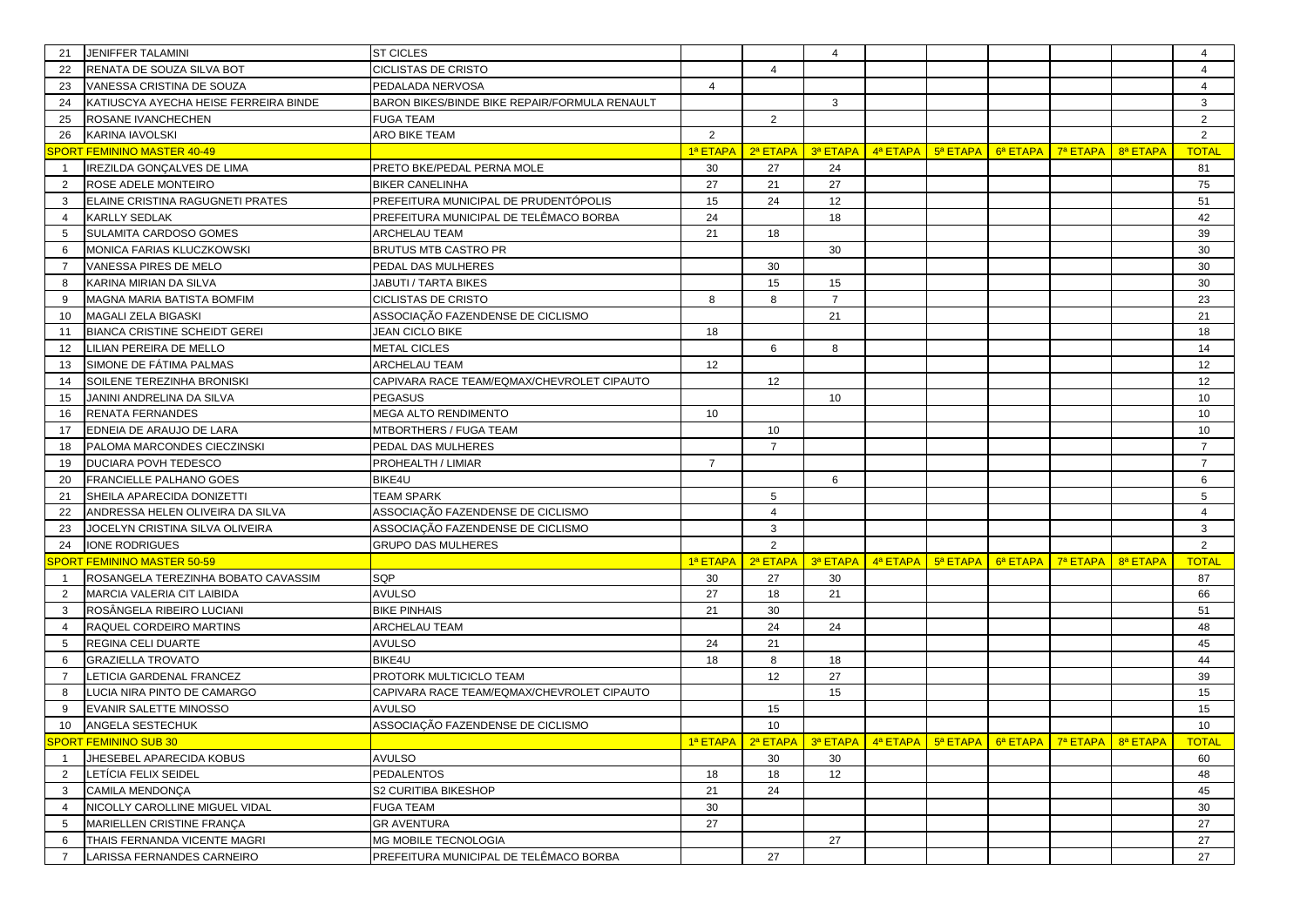| 21                  | JENIFFER TALAMINI                                          | <b>ST CICLES</b>                                               |                |                | $\overline{4}$ |                                  |                                                                        |                                                        |                                                                                                      | $\overline{4}$  |
|---------------------|------------------------------------------------------------|----------------------------------------------------------------|----------------|----------------|----------------|----------------------------------|------------------------------------------------------------------------|--------------------------------------------------------|------------------------------------------------------------------------------------------------------|-----------------|
| 22                  | RENATA DE SOUZA SILVA BOT                                  | CICLISTAS DE CRISTO                                            |                | $\Delta$       |                |                                  |                                                                        |                                                        |                                                                                                      |                 |
| 23                  | VANESSA CRISTINA DE SOUZA                                  | PEDALADA NERVOSA                                               | $\overline{4}$ |                |                |                                  |                                                                        |                                                        |                                                                                                      | $\overline{4}$  |
| 24                  | KATIUSCYA AYECHA HEISE FERREIRA BINDE                      | <b>BARON BIKES/BINDE BIKE REPAIR/FORMULA RENAULT</b>           |                |                | 3              |                                  |                                                                        |                                                        |                                                                                                      | 3               |
| 25                  | ROSANE IVANCHECHEN                                         | <b>FUGA TEAM</b>                                               |                | 2              |                |                                  |                                                                        |                                                        |                                                                                                      | $\overline{2}$  |
| 26                  | <b>KARINA IAVOLSKI</b>                                     | <b>ARO BIKE TEAM</b>                                           | $\overline{2}$ |                |                |                                  |                                                                        |                                                        |                                                                                                      | $\overline{2}$  |
|                     | <b>SPORT FEMININO MASTER 40-49</b>                         |                                                                | 1ª ETAPA       | 2ª ETAPA       | 3ª ETAPA       |                                  | $\frac{4^a}{a}$ ETAPA $\frac{1}{2}$ 5 <sup>a</sup> ETAPA $\frac{1}{2}$ | $\frac{6}{3}$ ETAPA $\frac{1}{3}$ T <sup>a</sup> ETAPA | 8ª ETAPA                                                                                             | <b>TOTAL</b>    |
|                     | IREZILDA GONÇALVES DE LIMA                                 | PRETO BKE/PEDAL PERNA MOLE                                     | 30             | 27             | 24             |                                  |                                                                        |                                                        |                                                                                                      | 81              |
| $\overline{2}$      | ROSE ADELE MONTEIRO                                        | <b>BIKER CANELINHA</b>                                         | 27             | 21             | 27             |                                  |                                                                        |                                                        |                                                                                                      | 75              |
| 3                   | ELAINE CRISTINA RAGUGNETI PRATES                           | PREFEITURA MUNICIPAL DE PRUDENTÓPOLIS                          | 15             | 24             | 12             |                                  |                                                                        |                                                        |                                                                                                      | 51              |
| 4                   | <b>KARLLY SEDLAK</b>                                       | PREFEITURA MUNICIPAL DE TELÊMACO BORBA                         | 24             |                | 18             |                                  |                                                                        |                                                        |                                                                                                      | 42              |
| 5                   | SULAMITA CARDOSO GOMES                                     | <b>ARCHELAU TEAM</b>                                           | 21             | 18             |                |                                  |                                                                        |                                                        |                                                                                                      | 39              |
| 6                   | MONICA FARIAS KLUCZKOWSKI                                  | <b>BRUTUS MTB CASTRO PR</b>                                    |                |                | 30             |                                  |                                                                        |                                                        |                                                                                                      | 30              |
| $\overline{7}$      | VANESSA PIRES DE MELO                                      | PEDAL DAS MULHERES                                             |                | 30             |                |                                  |                                                                        |                                                        |                                                                                                      | 30              |
| 8                   | KARINA MIRIAN DA SILVA                                     | JABUTI / TARTA BIKES                                           |                | 15             | 15             |                                  |                                                                        |                                                        |                                                                                                      | 30              |
| 9                   | MAGNA MARIA BATISTA BOMFIM                                 | CICLISTAS DE CRISTO                                            | 8              | 8              | $\overline{7}$ |                                  |                                                                        |                                                        |                                                                                                      | 23              |
| 10                  | MAGALI ZELA BIGASKI                                        | ASSOCIAÇÃO FAZENDENSE DE CICLISMO                              |                |                | 21             |                                  |                                                                        |                                                        |                                                                                                      | 21              |
| 11                  | <b>BIANCA CRISTINE SCHEIDT GEREI</b>                       | <b>JEAN CICLO BIKE</b>                                         | 18             |                |                |                                  |                                                                        |                                                        |                                                                                                      | 18              |
| 12                  | LILIAN PEREIRA DE MELLO                                    | <b>METAL CICLES</b>                                            |                | 6              | 8              |                                  |                                                                        |                                                        |                                                                                                      | 14              |
| 13                  | SIMONE DE FÁTIMA PALMAS                                    | <b>ARCHELAU TEAM</b>                                           | 12             |                |                |                                  |                                                                        |                                                        |                                                                                                      | 12              |
| 14                  | SOILENE TEREZINHA BRONISKI                                 | CAPIVARA RACE TEAM/EQMAX/CHEVROLET CIPAUTO                     |                | 12             |                |                                  |                                                                        |                                                        |                                                                                                      | 12              |
| 15                  | JANINI ANDRELINA DA SILVA                                  | <b>PEGASUS</b>                                                 |                |                | 10             |                                  |                                                                        |                                                        |                                                                                                      | 10              |
| 16                  | RENATA FERNANDES                                           | MEGA ALTO RENDIMENTO                                           | 10             |                |                |                                  |                                                                        |                                                        |                                                                                                      | 10 <sup>1</sup> |
| 17                  | EDNEIA DE ARAUJO DE LARA                                   | MTBORTHERS / FUGA TEAM                                         |                | 10             |                |                                  |                                                                        |                                                        |                                                                                                      | 10              |
| 18                  | PALOMA MARCONDES CIECZINSKI                                | PEDAL DAS MULHERES                                             |                | $\overline{7}$ |                |                                  |                                                                        |                                                        |                                                                                                      | $\overline{7}$  |
| 19                  | <b>DUCIARA POVH TEDESCO</b>                                | PROHEALTH / LIMIAR                                             | $\overline{7}$ |                |                |                                  |                                                                        |                                                        |                                                                                                      | $\overline{7}$  |
| 20                  | <b>FRANCIELLE PALHANO GOES</b>                             | BIKE4U                                                         |                |                | 6              |                                  |                                                                        |                                                        |                                                                                                      | 6               |
| 21                  | SHEILA APARECIDA DONIZETTI                                 | <b>TEAM SPARK</b>                                              |                | 5              |                |                                  |                                                                        |                                                        |                                                                                                      | 5               |
| 22                  | ANDRESSA HELEN OLIVEIRA DA SILVA                           | ASSOCIAÇÃO FAZENDENSE DE CICLISMO                              |                | 4              |                |                                  |                                                                        |                                                        |                                                                                                      | $\overline{4}$  |
| 23                  | JOCELYN CRISTINA SILVA OLIVEIRA                            | ASSOCIAÇÃO FAZENDENSE DE CICLISMO                              |                | 3              |                |                                  |                                                                        |                                                        |                                                                                                      | 3               |
| 24                  | <b>IONE RODRIGUES</b>                                      | <b>GRUPO DAS MULHERES</b>                                      |                | 2              |                |                                  |                                                                        |                                                        |                                                                                                      | $\overline{2}$  |
|                     | <b>SPORT FEMININO MASTER 50-59</b>                         |                                                                | 1ª ETAPA       | 2ª ETAPA       |                | $3a$ ETAPA $4a$ ETAPA $5a$ ETAPA |                                                                        | <mark>6ª ЕТАРА   7ª ЕТАРА</mark>                       | 8ª ETAPA                                                                                             | <b>TOTAL</b>    |
|                     | ROSANGELA TEREZINHA BOBATO CAVASSIM                        | SQP                                                            | 30             | 27             | 30             |                                  |                                                                        |                                                        |                                                                                                      | 87              |
| 2                   | MARCIA VALERIA CIT LAIBIDA                                 | <b>AVULSO</b>                                                  | 27             | 18             | 21             |                                  |                                                                        |                                                        |                                                                                                      | 66              |
| 3                   | ROSÂNGELA RIBEIRO LUCIANI                                  | <b>BIKE PINHAIS</b>                                            | 21             | 30             |                |                                  |                                                                        |                                                        |                                                                                                      | 51              |
| 4                   | RAQUEL CORDEIRO MARTINS                                    | ARCHELAU TEAM                                                  |                | 24             | 24             |                                  |                                                                        |                                                        |                                                                                                      | 48              |
| 5                   | REGINA CELI DUARTE                                         | <b>AVULSO</b>                                                  | 24             | 21             |                |                                  |                                                                        |                                                        |                                                                                                      | 45              |
| 6                   | <b>GRAZIELLA TROVATO</b>                                   | BIKE4U                                                         | 18             | 8              | 18             |                                  |                                                                        |                                                        |                                                                                                      | 44              |
| $\overline{7}$      | LETICIA GARDENAL FRANCEZ                                   | PROTORK MULTICICLO TEAM                                        |                | 12             | 27             |                                  |                                                                        |                                                        |                                                                                                      | 39              |
| 8                   | LUCIA NIRA PINTO DE CAMARGO                                | CAPIVARA RACE TEAM/EQMAX/CHEVROLET CIPAUTO                     |                |                | 15             |                                  |                                                                        |                                                        |                                                                                                      | 15              |
| -9                  | EVANIR SALETTE MINOSSO                                     | <b>AVULSO</b>                                                  |                | 15             |                |                                  |                                                                        |                                                        |                                                                                                      | 15              |
| 10                  | ANGELA SESTECHUK                                           | ASSOCIAÇÃO FAZENDENSE DE CICLISMO                              |                | 10             |                |                                  |                                                                        |                                                        |                                                                                                      | 10              |
|                     | <b>SPORT FEMININO SUB 30</b>                               |                                                                |                |                |                |                                  |                                                                        |                                                        | <mark>1ª ЕТАРА   2ª ЕТАРА   3ª ЕТАРА   4ª ЕТАРА   5ª ЕТАРА   6ª ЕТАРА   7ª ЕТАРА   8ª ЕТАРА  </mark> | <b>TOTAL</b>    |
| $\overline{1}$      | JHESEBEL APARECIDA KOBUS                                   | <b>AVULSO</b>                                                  |                | 30             | 30             |                                  |                                                                        |                                                        |                                                                                                      | 60              |
| $\overline{2}$      | LETÍCIA FELIX SEIDEL                                       | <b>PEDALENTOS</b>                                              | 18             | 18             | 12             |                                  |                                                                        |                                                        |                                                                                                      | 48              |
| 3                   | <b>CAMILA MENDONÇA</b>                                     | S2 CURITIBA BIKESHOP                                           | 21             | 24             |                |                                  |                                                                        |                                                        |                                                                                                      | 45              |
| $\overline{4}$      | NICOLLY CAROLLINE MIGUEL VIDAL                             | <b>FUGA TEAM</b>                                               | 30             |                |                |                                  |                                                                        |                                                        |                                                                                                      | 30              |
| 5                   |                                                            |                                                                |                |                |                |                                  |                                                                        |                                                        |                                                                                                      | 27              |
|                     | MARIELLEN CRISTINE FRANÇA                                  | <b>GR AVENTURA</b>                                             | 27             |                |                |                                  |                                                                        |                                                        |                                                                                                      |                 |
| 6<br>$\overline{7}$ | THAIS FERNANDA VICENTE MAGRI<br>LARISSA FERNANDES CARNEIRO | MG MOBILE TECNOLOGIA<br>PREFEITURA MUNICIPAL DE TELÊMACO BORBA |                | 27             | 27             |                                  |                                                                        |                                                        |                                                                                                      | 27<br>27        |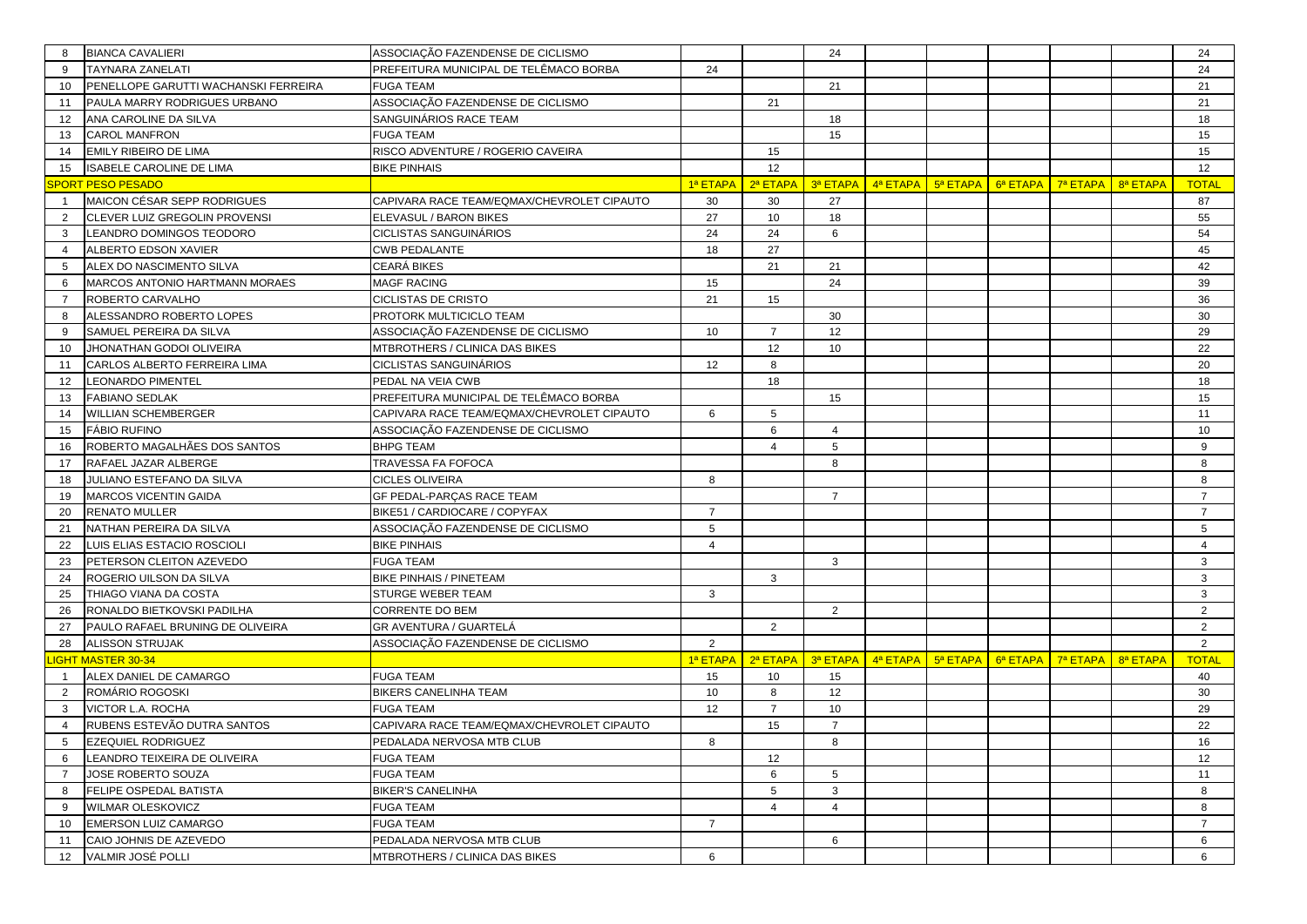| 8               | <b>BIANCA CAVALIERI</b>              | ASSOCIAÇÃO FAZENDENSE DE CICLISMO          |                 |                | 24             |                                                             |          |                      |          |          | 24             |
|-----------------|--------------------------------------|--------------------------------------------|-----------------|----------------|----------------|-------------------------------------------------------------|----------|----------------------|----------|----------|----------------|
| 9               | <b>TAYNARA ZANELATI</b>              | PREFEITURA MUNICIPAL DE TELÊMACO BORBA     | 24              |                |                |                                                             |          |                      |          |          | 24             |
| 10              | PENELLOPE GARUTTI WACHANSKI FERREIRA | <b>FUGA TEAM</b>                           |                 |                | 21             |                                                             |          |                      |          |          | 21             |
| 11              | PAULA MARRY RODRIGUES URBANO         | ASSOCIAÇÃO FAZENDENSE DE CICLISMO          |                 | 21             |                |                                                             |          |                      |          |          | 21             |
| 12              | ANA CAROLINE DA SILVA                | SANGUINÁRIOS RACE TEAM                     |                 |                | 18             |                                                             |          |                      |          |          | 18             |
| 13              | <b>CAROL MANFRON</b>                 | <b>FUGA TEAM</b>                           |                 |                | 15             |                                                             |          |                      |          |          | 15             |
| 14              | <b>EMILY RIBEIRO DE LIMA</b>         | RISCO ADVENTURE / ROGERIO CAVEIRA          |                 | 15             |                |                                                             |          |                      |          |          | 15             |
| 15              | <b>ISABELE CAROLINE DE LIMA</b>      | <b>BIKE PINHAIS</b>                        |                 | 12             |                |                                                             |          |                      |          |          | 12             |
|                 | <b>SPORT PESO PESADO</b>             |                                            | 1ª ETAPA        | 2ª ETAPA       | 3ª ETAPA       | 4ª ETAPA                                                    | 5ª ETAPA | 6ª ETAPA             | 7ª ETAPA | 8ª ETAPA | <b>TOTAL</b>   |
| $\overline{1}$  | MAICON CÉSAR SEPP RODRIGUES          | CAPIVARA RACE TEAM/EQMAX/CHEVROLET CIPAUTO | 30              | 30             | 27             |                                                             |          |                      |          |          | 87             |
| $\overline{2}$  | CLEVER LUIZ GREGOLIN PROVENSI        | ELEVASUL / BARON BIKES                     | 27              | 10             | 18             |                                                             |          |                      |          |          | 55             |
| 3               | LEANDRO DOMINGOS TEODORO             | CICLISTAS SANGUINÁRIOS                     | 24              | 24             | 6              |                                                             |          |                      |          |          | 54             |
| $\overline{4}$  | ALBERTO EDSON XAVIER                 | <b>CWB PEDALANTE</b>                       | 18              | 27             |                |                                                             |          |                      |          |          | 45             |
| 5               | ALEX DO NASCIMENTO SILVA             | CEARÁ BIKES                                |                 | 21             | 21             |                                                             |          |                      |          |          | 42             |
| 6               | MARCOS ANTONIO HARTMANN MORAES       | MAGF RACING                                | 15              |                | 24             |                                                             |          |                      |          |          | 39             |
| $\overline{7}$  | ROBERTO CARVALHO                     | CICLISTAS DE CRISTO                        | 21              | 15             |                |                                                             |          |                      |          |          | 36             |
| 8               | ALESSANDRO ROBERTO LOPES             | PROTORK MULTICICLO TEAM                    |                 |                | 30             |                                                             |          |                      |          |          | 30             |
| 9               | SAMUEL PEREIRA DA SILVA              | ASSOCIAÇÃO FAZENDENSE DE CICLISMO          | 10              | $\overline{7}$ | 12             |                                                             |          |                      |          |          | 29             |
| 10              | JHONATHAN GODOI OLIVEIRA             | MTBROTHERS / CLINICA DAS BIKES             |                 | 12             | 10             |                                                             |          |                      |          |          | 22             |
| 11              | CARLOS ALBERTO FERREIRA LIMA         | CICLISTAS SANGUINÁRIOS                     | 12              | 8              |                |                                                             |          |                      |          |          | 20             |
| 12              | <b>LEONARDO PIMENTEL</b>             | PEDAL NA VEIA CWB                          |                 | 18             |                |                                                             |          |                      |          |          | 18             |
| 13              | <b>FABIANO SEDLAK</b>                | PREFEITURA MUNICIPAL DE TELÊMACO BORBA     |                 |                | 15             |                                                             |          |                      |          |          | 15             |
| 14              | <b>WILLIAN SCHEMBERGER</b>           | CAPIVARA RACE TEAM/EQMAX/CHEVROLET CIPAUTO | 6               | 5              |                |                                                             |          |                      |          |          | 11             |
| 15              | <b>FÁBIO RUFINO</b>                  | ASSOCIAÇÃO FAZENDENSE DE CICLISMO          |                 | 6              | $\overline{4}$ |                                                             |          |                      |          |          | 10             |
| 16              | ROBERTO MAGALHÃES DOS SANTOS         | <b>BHPG TEAM</b>                           |                 | 4              | 5              |                                                             |          |                      |          |          | 9              |
| 17              | RAFAEL JAZAR ALBERGE                 | TRAVESSA FA FOFOCA                         |                 |                | 8              |                                                             |          |                      |          |          | 8              |
| 18              | JULIANO ESTEFANO DA SILVA            | <b>CICLES OLIVEIRA</b>                     | 8               |                |                |                                                             |          |                      |          |          | 8              |
| 19              | <b>MARCOS VICENTIN GAIDA</b>         | GF PEDAL-PARÇAS RACE TEAM                  |                 |                | $\overline{7}$ |                                                             |          |                      |          |          | $\overline{7}$ |
| 20              | <b>RENATO MULLER</b>                 | BIKE51 / CARDIOCARE / COPYFAX              | $\overline{7}$  |                |                |                                                             |          |                      |          |          | $\overline{7}$ |
| 21              | NATHAN PEREIRA DA SILVA              | ASSOCIAÇÃO FAZENDENSE DE CICLISMO          | $5\phantom{.0}$ |                |                |                                                             |          |                      |          |          | 5              |
| 22              | LUIS ELIAS ESTACIO ROSCIOLI          | <b>BIKE PINHAIS</b>                        | $\overline{4}$  |                |                |                                                             |          |                      |          |          | $\overline{4}$ |
| 23              | PETERSON CLEITON AZEVEDO             | <b>FUGA TEAM</b>                           |                 |                | 3              |                                                             |          |                      |          |          | 3              |
| 24              | ROGERIO UILSON DA SILVA              | <b>BIKE PINHAIS / PINETEAM</b>             |                 | 3              |                |                                                             |          |                      |          |          | 3              |
| 25              | THIAGO VIANA DA COSTA                | STURGE WEBER TEAM                          | 3               |                |                |                                                             |          |                      |          |          | 3              |
| 26              | RONALDO BIETKOVSKI PADILHA           | CORRENTE DO BEM                            |                 |                | $\overline{2}$ |                                                             |          |                      |          |          | 2              |
| 27              | PAULO RAFAEL BRUNING DE OLIVEIRA     | <b>GR AVENTURA / GUARTELÁ</b>              |                 | 2              |                |                                                             |          |                      |          |          | $\overline{2}$ |
| 28              | <b>ALISSON STRUJAK</b>               | ASSOCIAÇÃO FAZENDENSE DE CICLISMO          | $\overline{2}$  |                |                |                                                             |          |                      |          |          | 2              |
|                 | <b>IGHT MASTER 30-34</b>             |                                            | 1ª ETAPA        | 2ª ETAPA       |                | $\frac{3}{9}$ STAPA $\frac{4}{9}$ ETAPA $\frac{5}{9}$ ETAPA |          | 6 <sup>a</sup> ETAPA | 7ª ETAPA | 8ª ETAPA | <b>TOTAL</b>   |
| $\overline{1}$  | ALEX DANIEL DE CAMARGO               | <b>FUGA TEAM</b>                           | 15              | 10             | 15             |                                                             |          |                      |          |          | 40             |
| $\overline{2}$  | ROMÁRIO ROGOSKI                      | <b>BIKERS CANELINHA TEAM</b>               | 10              | 8              | 12             |                                                             |          |                      |          |          | 30             |
| 3               | VICTOR L.A. ROCHA                    | <b>FUGA TEAM</b>                           | 12              | $\overline{7}$ | 10             |                                                             |          |                      |          |          | 29             |
| $\overline{4}$  | RUBENS ESTEVÃO DUTRA SANTOS          | CAPIVARA RACE TEAM/EQMAX/CHEVROLET CIPAUTO |                 | 15             | $\overline{7}$ |                                                             |          |                      |          |          | 22             |
| 5               | <b>EZEQUIEL RODRIGUEZ</b>            | PEDALADA NERVOSA MTB CLUB                  | 8               |                | 8              |                                                             |          |                      |          |          | 16             |
| 6               | LEANDRO TEIXEIRA DE OLIVEIRA         | <b>FUGA TEAM</b>                           |                 | 12             |                |                                                             |          |                      |          |          | 12             |
| $\overline{7}$  | JOSE ROBERTO SOUZA                   | <b>FUGA TEAM</b>                           |                 | 6              | 5              |                                                             |          |                      |          |          | 11             |
| 8               | <b>FELIPE OSPEDAL BATISTA</b>        | <b>BIKER'S CANELINHA</b>                   |                 | 5              | 3              |                                                             |          |                      |          |          | 8              |
| 9               | <b>WILMAR OLESKOVICZ</b>             | <b>FUGA TEAM</b>                           |                 | $\overline{4}$ | $\overline{4}$ |                                                             |          |                      |          |          | 8              |
| 10 <sup>°</sup> | <b>EMERSON LUIZ CAMARGO</b>          | <b>FUGA TEAM</b>                           | $\overline{7}$  |                |                |                                                             |          |                      |          |          | $\overline{7}$ |
| 11              | CAIO JOHNIS DE AZEVEDO               | PEDALADA NERVOSA MTB CLUB                  |                 |                | 6              |                                                             |          |                      |          |          | 6              |
| 12              | VALMIR JOSÉ POLLI                    | MTBROTHERS / CLINICA DAS BIKES             | 6               |                |                |                                                             |          |                      |          |          | 6              |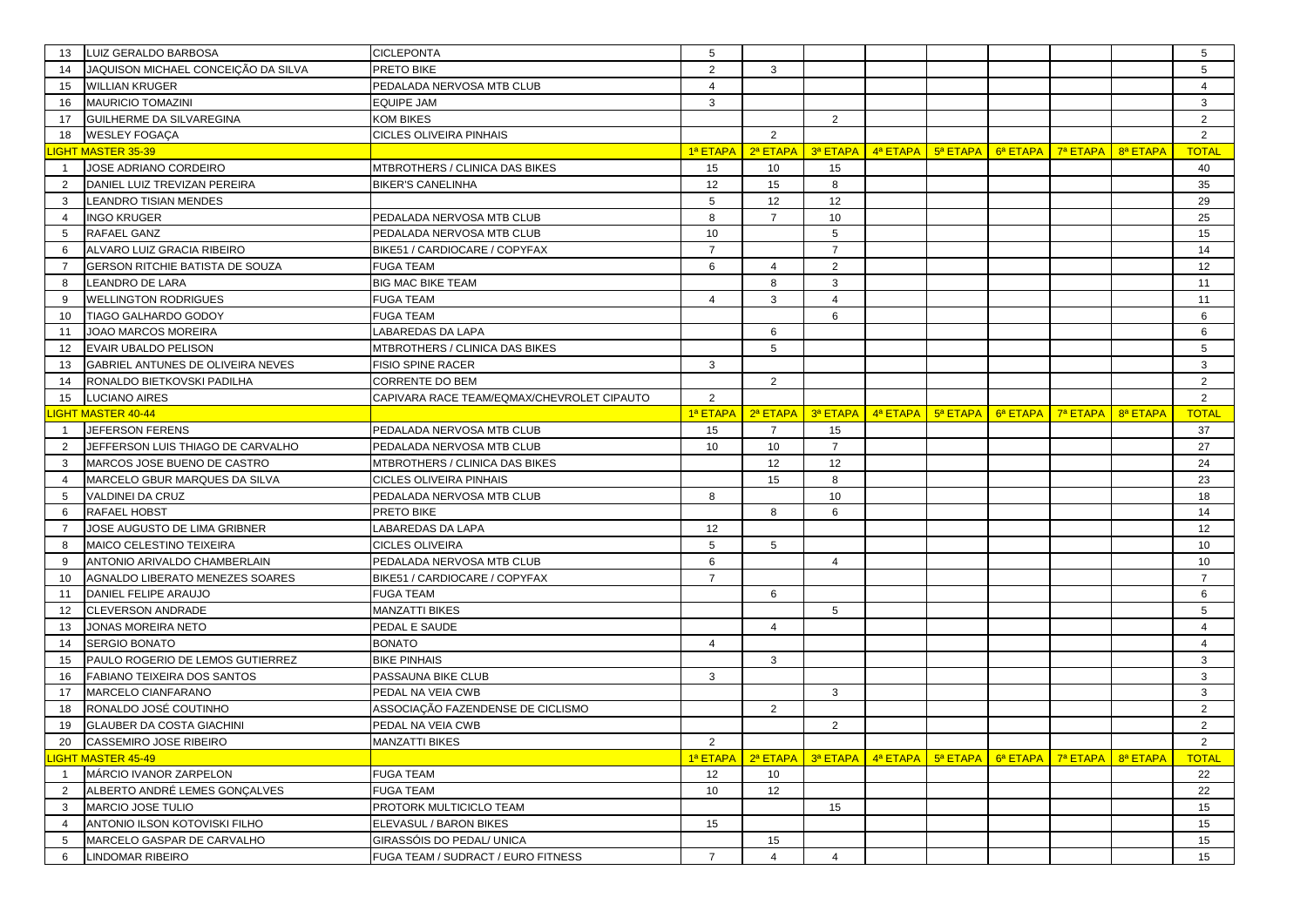| 13             | LUIZ GERALDO BARBOSA                | <b>CICLEPONTA</b>                          | 5              |                |                |                                                                                             |                                   |          |                      | 5              |
|----------------|-------------------------------------|--------------------------------------------|----------------|----------------|----------------|---------------------------------------------------------------------------------------------|-----------------------------------|----------|----------------------|----------------|
| 14             | JAQUISON MICHAEL CONCEIÇÃO DA SILVA | PRETO BIKE                                 | $\overline{2}$ | 3              |                |                                                                                             |                                   |          |                      | 5              |
| 15             | <b>WILLIAN KRUGER</b>               | PEDALADA NERVOSA MTB CLUB                  | $\overline{4}$ |                |                |                                                                                             |                                   |          |                      | $\overline{4}$ |
| 16             | <b>MAURICIO TOMAZINI</b>            | <b>EQUIPE JAM</b>                          | 3              |                |                |                                                                                             |                                   |          |                      | 3              |
| 17             | GUILHERME DA SILVAREGINA            | KOM BIKES                                  |                |                | $\overline{2}$ |                                                                                             |                                   |          |                      | $\overline{2}$ |
| 18             | <b>WESLEY FOGAÇA</b>                | CICLES OLIVEIRA PINHAIS                    |                | 2              |                |                                                                                             |                                   |          |                      | $\overline{2}$ |
|                | <b>IGHT MASTER 35-39</b>            |                                            | 1ª ETAPA       | 2ª ETAPA       | 3ª ETAPA       | $\frac{1}{2}$ 4ª ETAPA $\frac{1}{2}$ 5ª ETAPA $\frac{1}{2}$ 6ª ETAPA $\frac{1}{2}$ 7ª ETAPA |                                   |          | 8ª ETAPA             | <b>TOTAL</b>   |
|                | JOSE ADRIANO CORDEIRO               | MTBROTHERS / CLINICA DAS BIKES             | 15             | 10             | 15             |                                                                                             |                                   |          |                      | 40             |
| 2              | DANIEL LUIZ TREVIZAN PEREIRA        | <b>BIKER'S CANELINHA</b>                   | 12             | 15             | 8              |                                                                                             |                                   |          |                      | 35             |
| 3              | <b>LEANDRO TISIAN MENDES</b>        |                                            | 5              | 12             | 12             |                                                                                             |                                   |          |                      | 29             |
| $\overline{4}$ | <b>INGO KRUGER</b>                  | PEDALADA NERVOSA MTB CLUB                  | 8              | $\overline{7}$ | 10             |                                                                                             |                                   |          |                      | 25             |
| 5              | RAFAEL GANZ                         | PEDALADA NERVOSA MTB CLUB                  | 10             |                | 5              |                                                                                             |                                   |          |                      | 15             |
| 6              | ALVARO LUIZ GRACIA RIBEIRO          | BIKE51 / CARDIOCARE / COPYFAX              | $\overline{7}$ |                | $\overline{7}$ |                                                                                             |                                   |          |                      | 14             |
| $\overline{7}$ | GERSON RITCHIE BATISTA DE SOUZA     | <b>FUGA TEAM</b>                           | 6              | 4              | 2              |                                                                                             |                                   |          |                      | 12             |
| 8              | <b>LEANDRO DE LARA</b>              | <b>BIG MAC BIKE TEAM</b>                   |                | 8              | 3              |                                                                                             |                                   |          |                      | 11             |
| 9              | <b>WELLINGTON RODRIGUES</b>         | <b>FUGA TEAM</b>                           | $\overline{4}$ | 3              | $\overline{4}$ |                                                                                             |                                   |          |                      | 11             |
| 10             | TIAGO GALHARDO GODOY                | FUGA TEAM                                  |                |                | 6              |                                                                                             |                                   |          |                      | 6              |
| 11             | JOAO MARCOS MOREIRA                 | LABAREDAS DA LAPA                          |                | 6              |                |                                                                                             |                                   |          |                      | 6              |
| 12             | <b>EVAIR UBALDO PELISON</b>         | MTBROTHERS / CLINICA DAS BIKES             |                | 5              |                |                                                                                             |                                   |          |                      | 5              |
| 13             | GABRIEL ANTUNES DE OLIVEIRA NEVES   | <b>FISIO SPINE RACER</b>                   | 3              |                |                |                                                                                             |                                   |          |                      | 3              |
| 14             | RONALDO BIETKOVSKI PADILHA          | CORRENTE DO BEM                            |                | 2              |                |                                                                                             |                                   |          |                      | $\overline{2}$ |
| 15             | <b>LUCIANO AIRES</b>                | CAPIVARA RACE TEAM/EQMAX/CHEVROLET CIPAUTO | 2              |                |                |                                                                                             |                                   |          |                      | $\overline{2}$ |
|                | <b>IGHT MASTER 40-44</b>            |                                            | 1ª ETAPA       | 2ª ETAPA       |                | $3a$ ETAPA $4a$ ETAPA $5a$ ETAPA                                                            | $6^{\mathsf{a}}$ ETAPA   7ª ETAPA |          | 8ª ETAPA             | <b>TOTAL</b>   |
|                | JEFERSON FERENS                     | PEDALADA NERVOSA MTB CLUB                  | 15             | $\overline{7}$ | 15             |                                                                                             |                                   |          |                      | 37             |
| 2              | JEFFERSON LUIS THIAGO DE CARVALHO   | PEDALADA NERVOSA MTB CLUB                  | 10             | 10             | $\overline{7}$ |                                                                                             |                                   |          |                      | 27             |
| 3              | MARCOS JOSE BUENO DE CASTRO         | MTBROTHERS / CLINICA DAS BIKES             |                | 12             | 12             |                                                                                             |                                   |          |                      | 24             |
| 4              | MARCELO GBUR MARQUES DA SILVA       | CICLES OLIVEIRA PINHAIS                    |                | 15             | 8              |                                                                                             |                                   |          |                      | 23             |
| 5              | VALDINEI DA CRUZ                    | PEDALADA NERVOSA MTB CLUB                  | 8              |                | 10             |                                                                                             |                                   |          |                      | 18             |
| 6              | <b>RAFAEL HOBST</b>                 | PRETO BIKE                                 |                | 8              | 6              |                                                                                             |                                   |          |                      | 14             |
| $\overline{7}$ | JOSE AUGUSTO DE LIMA GRIBNER        | ABAREDAS DA LAPA                           | 12             |                |                |                                                                                             |                                   |          |                      | 12             |
| 8              | MAICO CELESTINO TEIXEIRA            | CICLES OLIVEIRA                            | 5              | 5              |                |                                                                                             |                                   |          |                      | 10             |
| 9              | ANTONIO ARIVALDO CHAMBERLAIN        | PEDALADA NERVOSA MTB CLUB                  | 6              |                | $\overline{4}$ |                                                                                             |                                   |          |                      | 10             |
| 10             | AGNALDO LIBERATO MENEZES SOARES     | BIKE51 / CARDIOCARE / COPYFAX              | $\overline{7}$ |                |                |                                                                                             |                                   |          |                      | $\overline{7}$ |
| 11             | DANIEL FELIPE ARAUJO                | <b>FUGA TEAM</b>                           |                | 6              |                |                                                                                             |                                   |          |                      | 6              |
| 12             | <b>CLEVERSON ANDRADE</b>            | MANZATTI BIKES                             |                |                | 5              |                                                                                             |                                   |          |                      | 5              |
| 13             | JONAS MOREIRA NETO                  | PEDAL E SAUDE                              |                | 4              |                |                                                                                             |                                   |          |                      | $\overline{4}$ |
| 14             | <b>SERGIO BONATO</b>                | <b>BONATO</b>                              | $\overline{4}$ |                |                |                                                                                             |                                   |          |                      | $\overline{4}$ |
| 15             | PAULO ROGERIO DE LEMOS GUTIERREZ    | <b>BIKE PINHAIS</b>                        |                | 3              |                |                                                                                             |                                   |          |                      | 3              |
| 16             | FABIANO TEIXEIRA DOS SANTOS         | PASSAUNA BIKE CLUB                         | 3              |                |                |                                                                                             |                                   |          |                      | 3              |
| 17             | MARCELO CIANFARANO                  | PEDAL NA VEIA CWB                          |                |                | 3              |                                                                                             |                                   |          |                      | 3              |
| 18             | RONALDO JOSÉ COUTINHO               | ASSOCIAÇÃO FAZENDENSE DE CICLISMO          |                | $\overline{2}$ |                |                                                                                             |                                   |          |                      | $\overline{2}$ |
| 19             | <b>GLAUBER DA COSTA GIACHINI</b>    | PEDAL NA VEIA CWB                          |                |                | $\overline{2}$ |                                                                                             |                                   |          |                      | $\overline{2}$ |
|                | 20 CASSEMIRO JOSE RIBEIRO           | MANZATTI BIKES                             | 2              |                |                |                                                                                             |                                   |          |                      | 2              |
|                | IGHT MASTER 45-49                   |                                            | 1ª ETAPA       | 2ª ETAPA       |                | $3a$ ETAPA $4a$ ETAPA $5a$ ETAPA                                                            | 6ª ETAPA                          | 7ª ETAPA | 8 <sup>a</sup> ETAPA | <b>TOTAL</b>   |
| $\overline{1}$ | MÁRCIO IVANOR ZARPELON              | <b>FUGA TEAM</b>                           | 12             | 10             |                |                                                                                             |                                   |          |                      | 22             |
| $\overline{2}$ | ALBERTO ANDRÉ LEMES GONÇALVES       | <b>FUGA TEAM</b>                           | 10             | 12             |                |                                                                                             |                                   |          |                      | 22             |
| 3              | <b>MARCIO JOSE TULIO</b>            | PROTORK MULTICICLO TEAM                    |                |                | 15             |                                                                                             |                                   |          |                      | 15             |
| $\overline{4}$ | ANTONIO ILSON KOTOVISKI FILHO       | ELEVASUL / BARON BIKES                     | 15             |                |                |                                                                                             |                                   |          |                      | 15             |
| 5              | MARCELO GASPAR DE CARVALHO          | GIRASSÓIS DO PEDAL/ UNICA                  |                | 15             |                |                                                                                             |                                   |          |                      | 15             |
| 6              | <b>LINDOMAR RIBEIRO</b>             | FUGA TEAM / SUDRACT / EURO FITNESS         | $\overline{7}$ | $\overline{4}$ | $\overline{4}$ |                                                                                             |                                   |          |                      | 15             |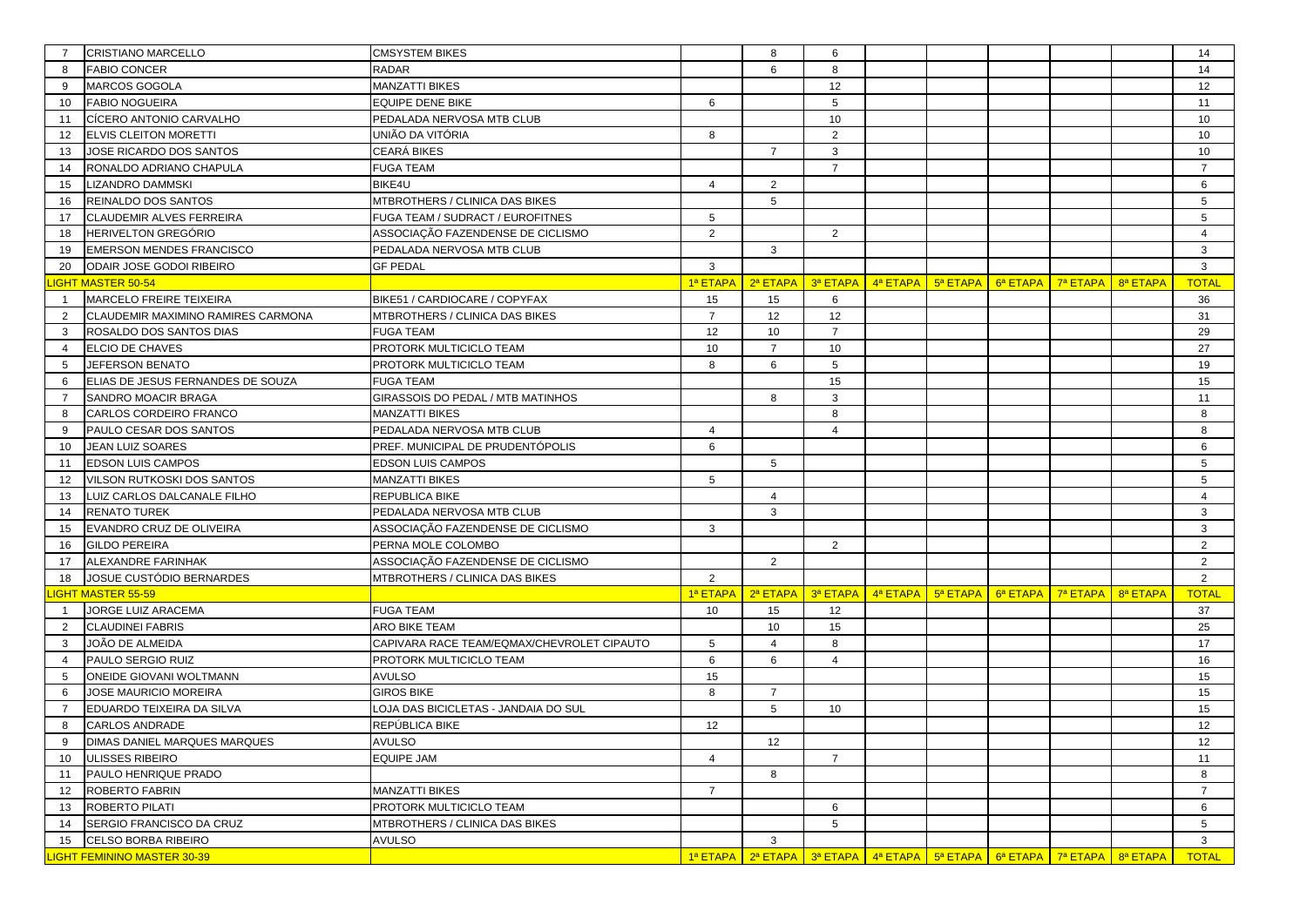|                | <b>CRISTIANO MARCELLO</b>          | <b>CMSYSTEM BIKES</b>                      |                 | 8              | 6               |                                                                         |                                                                      |          |          |          | 14              |
|----------------|------------------------------------|--------------------------------------------|-----------------|----------------|-----------------|-------------------------------------------------------------------------|----------------------------------------------------------------------|----------|----------|----------|-----------------|
| 8              | <b>FABIO CONCER</b>                | <b>RADAR</b>                               |                 | 6              | 8               |                                                                         |                                                                      |          |          |          | 14              |
| 9              | MARCOS GOGOLA                      | <b>MANZATTI BIKES</b>                      |                 |                | 12              |                                                                         |                                                                      |          |          |          | 12              |
| 10             | <b>FABIO NOGUEIRA</b>              | <b>EQUIPE DENE BIKE</b>                    | 6               |                | 5               |                                                                         |                                                                      |          |          |          | 11              |
| 11             | CÍCERO ANTONIO CARVALHO            | PEDALADA NERVOSA MTB CLUB                  |                 |                | 10              |                                                                         |                                                                      |          |          |          | 10              |
| 12             | <b>ELVIS CLEITON MORETTI</b>       | UNIÃO DA VITÓRIA                           | 8               |                | 2               |                                                                         |                                                                      |          |          |          | 10              |
| 13             | JOSE RICARDO DOS SANTOS            | CEARÁ BIKES                                |                 | $\overline{7}$ | $\mathbf{3}$    |                                                                         |                                                                      |          |          |          | 10              |
| 14             | RONALDO ADRIANO CHAPULA            | <b>FUGA TEAM</b>                           |                 |                | $\overline{7}$  |                                                                         |                                                                      |          |          |          | $\overline{7}$  |
| 15             | LIZANDRO DAMMSKI                   | BIKE4U                                     | 4               | $\overline{2}$ |                 |                                                                         |                                                                      |          |          |          | 6               |
| 16             | REINALDO DOS SANTOS                | MTBROTHERS / CLINICA DAS BIKES             |                 | 5              |                 |                                                                         |                                                                      |          |          |          | $5\phantom{.0}$ |
| 17             | CLAUDEMIR ALVES FERREIRA           | FUGA TEAM / SUDRACT / EUROFITNES           | 5               |                |                 |                                                                         |                                                                      |          |          |          | 5               |
| 18             | <b>HERIVELTON GREGÓRIO</b>         | ASSOCIAÇÃO FAZENDENSE DE CICLISMO          | $\overline{2}$  |                | 2               |                                                                         |                                                                      |          |          |          | $\overline{4}$  |
| 19             | <b>EMERSON MENDES FRANCISCO</b>    | PEDALADA NERVOSA MTB CLUB                  |                 | 3              |                 |                                                                         |                                                                      |          |          |          | 3               |
| 20             | ODAIR JOSE GODOI RIBEIRO           | <b>GF PEDAL</b>                            | 3               |                |                 |                                                                         |                                                                      |          |          |          | 3               |
|                | <b>IGHT MASTER 50-54</b>           |                                            | 1ª ETAPA        | 2ª ETAPA       | 3ª ETAPA        |                                                                         | $\frac{4^a}{10^a}$ ETAPA $\frac{1}{2^a}$ ETAPA $\frac{1}{2^a}$ ETAPA |          |          | 8ª ETAPA | <b>TOTAL</b>    |
| $\overline{1}$ | MARCELO FREIRE TEIXEIRA            | BIKE51 / CARDIOCARE / COPYFAX              | 15              | 15             | 6               |                                                                         |                                                                      |          |          |          | 36              |
| 2              | CLAUDEMIR MAXIMINO RAMIRES CARMONA | MTBROTHERS / CLINICA DAS BIKES             | $\overline{7}$  | 12             | 12              |                                                                         |                                                                      |          |          |          | 31              |
| 3              | ROSALDO DOS SANTOS DIAS            | <b>FUGA TEAM</b>                           | 12              | 10             | $\overline{7}$  |                                                                         |                                                                      |          |          |          | 29              |
| $\overline{4}$ | ELCIO DE CHAVES                    | PROTORK MULTICICLO TEAM                    | 10              | $\overline{7}$ | 10              |                                                                         |                                                                      |          |          |          | 27              |
| 5              | JEFERSON BENATO                    | PROTORK MULTICICLO TEAM                    | 8               | 6              | 5               |                                                                         |                                                                      |          |          |          | 19              |
| 6              | ELIAS DE JESUS FERNANDES DE SOUZA  | <b>FUGA TEAM</b>                           |                 |                | 15              |                                                                         |                                                                      |          |          |          | 15              |
| $\overline{7}$ | SANDRO MOACIR BRAGA                | GIRASSOIS DO PEDAL / MTB MATINHOS          |                 | 8              | 3               |                                                                         |                                                                      |          |          |          | 11              |
| 8              | CARLOS CORDEIRO FRANCO             | MANZATTI BIKES                             |                 |                | 8               |                                                                         |                                                                      |          |          |          | 8               |
| 9              | PAULO CESAR DOS SANTOS             | PEDALADA NERVOSA MTB CLUB                  | $\overline{4}$  |                | $\overline{4}$  |                                                                         |                                                                      |          |          |          | 8               |
| 10             | JEAN LUIZ SOARES                   | PREF. MUNICIPAL DE PRUDENTÓPOLIS           | 6               |                |                 |                                                                         |                                                                      |          |          |          | 6               |
| 11             | <b>EDSON LUIS CAMPOS</b>           | EDSON LUIS CAMPOS                          |                 | 5              |                 |                                                                         |                                                                      |          |          |          | 5               |
| 12             | VILSON RUTKOSKI DOS SANTOS         | MANZATTI BIKES                             | 5               |                |                 |                                                                         |                                                                      |          |          |          | 5               |
| 13             | LUIZ CARLOS DALCANALE FILHO        | REPUBLICA BIKE                             |                 | 4              |                 |                                                                         |                                                                      |          |          |          | $\overline{4}$  |
| 14             | <b>RENATO TUREK</b>                | PEDALADA NERVOSA MTB CLUB                  |                 | 3              |                 |                                                                         |                                                                      |          |          |          | 3               |
| 15             | EVANDRO CRUZ DE OLIVEIRA           | ASSOCIAÇÃO FAZENDENSE DE CICLISMO          | 3               |                |                 |                                                                         |                                                                      |          |          |          | 3               |
| 16             | <b>GILDO PEREIRA</b>               | PERNA MOLE COLOMBO                         |                 |                | $\overline{2}$  |                                                                         |                                                                      |          |          |          | $\overline{2}$  |
| 17             | ALEXANDRE FARINHAK                 | ASSOCIAÇÃO FAZENDENSE DE CICLISMO          |                 | 2              |                 |                                                                         |                                                                      |          |          |          | $\overline{2}$  |
| 18             | JOSUE CUSTÓDIO BERNARDES           | MTBROTHERS / CLINICA DAS BIKES             | $\overline{2}$  |                |                 |                                                                         |                                                                      |          |          |          | 2               |
|                | <b>IGHT MASTER 55-59</b>           |                                            | 1ª ETAPA        | 2ª ETAPA       | 3ª ETAPA        |                                                                         | $4^a$ ETAPA $\overline{5^a}$ ETAPA                                   | 6ª ETAPA | 7ª ETAPA | 8ª ETAPA | <b>TOTAL</b>    |
| $\overline{1}$ | JORGE LUIZ ARACEMA                 | <b>FUGA TEAM</b>                           | 10              | 15             | 12              |                                                                         |                                                                      |          |          |          | 37              |
| 2              | <b>CLAUDINEI FABRIS</b>            | ARO BIKE TEAM                              |                 | 10             | 15              |                                                                         |                                                                      |          |          |          | 25              |
| 3              | JOÃO DE ALMEIDA                    | CAPIVARA RACE TEAM/EQMAX/CHEVROLET CIPAUTO | 5               | $\overline{4}$ | 8               |                                                                         |                                                                      |          |          |          | 17              |
| 4              | PAULO SERGIO RUIZ                  | PROTORK MULTICICLO TEAM                    | 6               | 6              | $\overline{4}$  |                                                                         |                                                                      |          |          |          | 16              |
| 5              | ONEIDE GIOVANI WOLTMANN            | <b>AVULSO</b>                              | 15              |                |                 |                                                                         |                                                                      |          |          |          | 15              |
| 6              | JOSE MAURICIO MOREIRA              | <b>GIROS BIKE</b>                          | 8               | $\overline{7}$ |                 |                                                                         |                                                                      |          |          |          | 15              |
| $\overline{7}$ | EDUARDO TEIXEIRA DA SILVA          | LOJA DAS BICICLETAS - JANDAIA DO SUL       |                 | 5              | 10              |                                                                         |                                                                      |          |          |          | 15              |
| 8              | <b>CARLOS ANDRADE</b>              | REPÚBLICA BIKE                             | 12 <sup>2</sup> |                |                 |                                                                         |                                                                      |          |          |          | 12              |
|                | DIMAS DANIEL MARQUES MARQUES       | <b>AVULSO</b>                              |                 | 12             |                 |                                                                         |                                                                      |          |          |          | 12              |
| 10             | ULISSES RIBEIRO                    | <b>EQUIPE JAM</b>                          | $\overline{4}$  |                | $\overline{7}$  |                                                                         |                                                                      |          |          |          | 11              |
| 11             | PAULO HENRIQUE PRADO               |                                            |                 | 8              |                 |                                                                         |                                                                      |          |          |          | 8               |
| 12             | <b>ROBERTO FABRIN</b>              | <b>MANZATTI BIKES</b>                      | $\overline{7}$  |                |                 |                                                                         |                                                                      |          |          |          | $\overline{7}$  |
| 13             | ROBERTO PILATI                     | PROTORK MULTICICLO TEAM                    |                 |                | 6               |                                                                         |                                                                      |          |          |          | 6               |
| 14             | SERGIO FRANCISCO DA CRUZ           | MTBROTHERS / CLINICA DAS BIKES             |                 |                | $5\overline{5}$ |                                                                         |                                                                      |          |          |          | 5 <sup>5</sup>  |
| 15             | CELSO BORBA RIBEIRO                | <b>AVULSO</b>                              |                 | 3              |                 |                                                                         |                                                                      |          |          |          | 3               |
|                | <b>IGHT FEMININO MASTER 30-39</b>  |                                            |                 |                |                 | 1ª ETAPA 2ª ETAPA 3ª ETAPA 4ª ETAPA 5ª ETAPA 6ª ETAPA 7ª ETAPA 8ª ETAPA |                                                                      |          |          |          | <b>TOTAL</b>    |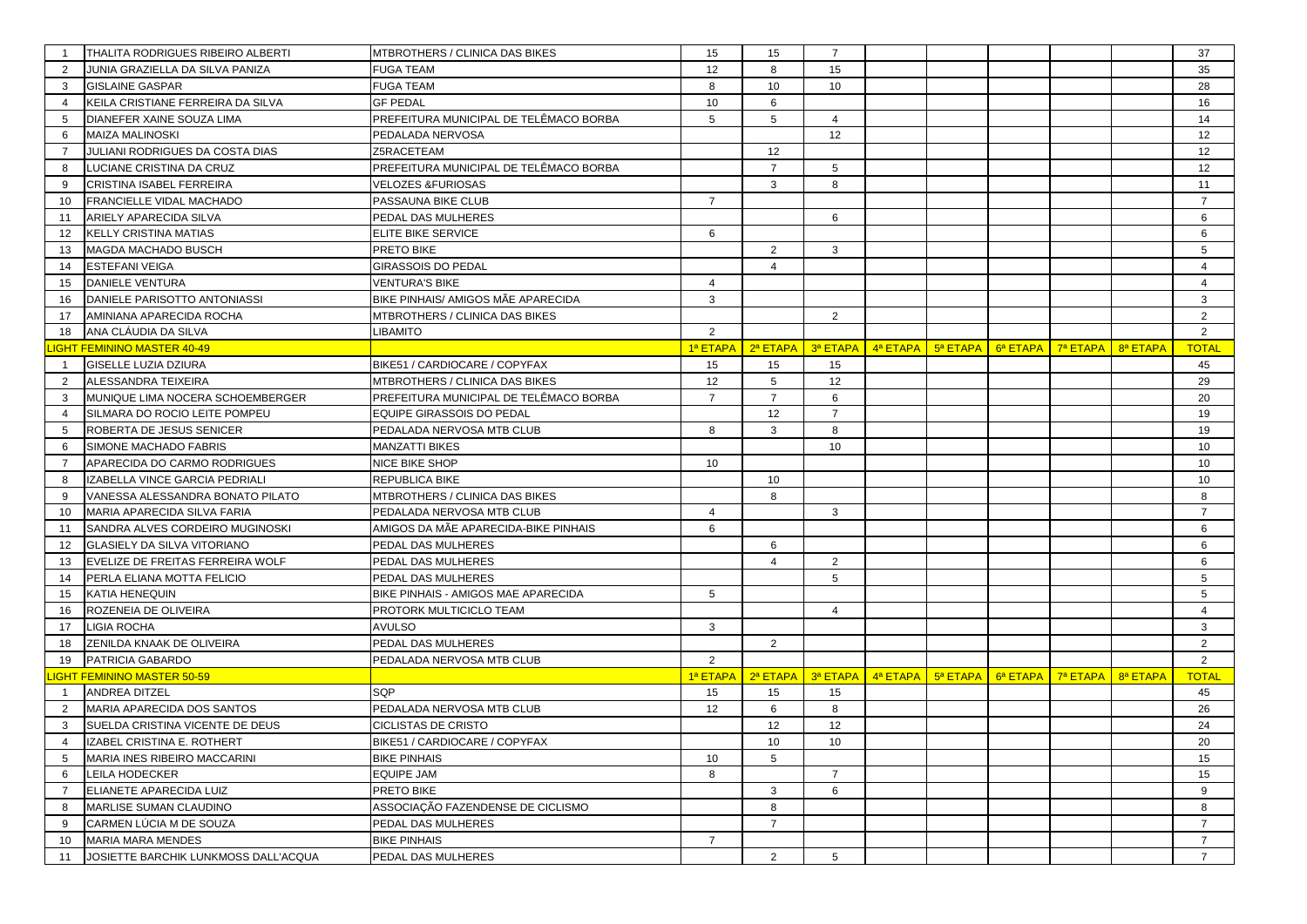|                | THALITA RODRIGUES RIBEIRO ALBERTI    | MTBROTHERS / CLINICA DAS BIKES         | 15              | 15             | $\overline{7}$  |                                             |             |          |          |          | 37             |
|----------------|--------------------------------------|----------------------------------------|-----------------|----------------|-----------------|---------------------------------------------|-------------|----------|----------|----------|----------------|
| 2              | JUNIA GRAZIELLA DA SILVA PANIZA      | <b>FUGA TEAM</b>                       | 12              |                | 15              |                                             |             |          |          |          | 35             |
| 3              | <b>GISLAINE GASPAR</b>               | <b>FUGA TEAM</b>                       | 8               | 10             | 10              |                                             |             |          |          |          | 28             |
|                | KEILA CRISTIANE FERREIRA DA SILVA    | <b>GF PEDAL</b>                        | 10              | 6              |                 |                                             |             |          |          |          | 16             |
| 5              | DIANEFER XAINE SOUZA LIMA            | PREFEITURA MUNICIPAL DE TELÊMACO BORBA | $5\phantom{.0}$ | 5              | $\overline{4}$  |                                             |             |          |          |          | 14             |
| 6              | <b>MAIZA MALINOSKI</b>               | PEDALADA NERVOSA                       |                 |                | 12              |                                             |             |          |          |          | 12             |
| $\overline{7}$ | JULIANI RODRIGUES DA COSTA DIAS      | Z5RACETEAM                             |                 | 12             |                 |                                             |             |          |          |          | 12             |
| 8              | LUCIANE CRISTINA DA CRUZ             | PREFEITURA MUNICIPAL DE TELÊMACO BORBA |                 | $\overline{7}$ | 5               |                                             |             |          |          |          | 12             |
| 9              | CRISTINA ISABEL FERREIRA             | <b>VELOZES &amp;FURIOSAS</b>           |                 | 3              | 8               |                                             |             |          |          |          | 11             |
| 10             | FRANCIELLE VIDAL MACHADO             | PASSAUNA BIKE CLUB                     | $\overline{7}$  |                |                 |                                             |             |          |          |          | $\overline{7}$ |
| 11             | ARIELY APARECIDA SILVA               | PEDAL DAS MULHERES                     |                 |                | 6               |                                             |             |          |          |          | 6              |
| 12             | KELLY CRISTINA MATIAS                | ELITE BIKE SERVICE                     | 6               |                |                 |                                             |             |          |          |          | 6              |
| 13             | MAGDA MACHADO BUSCH                  | PRETO BIKE                             |                 | 2              | 3               |                                             |             |          |          |          | 5              |
| 14             | <b>ESTEFANI VEIGA</b>                | GIRASSOIS DO PEDAL                     |                 | $\overline{4}$ |                 |                                             |             |          |          |          | $\overline{4}$ |
| 15             | <b>DANIELE VENTURA</b>               | <b>VENTURA'S BIKE</b>                  | $\overline{4}$  |                |                 |                                             |             |          |          |          | $\overline{4}$ |
| 16             | DANIELE PARISOTTO ANTONIASSI         | BIKE PINHAIS/ AMIGOS MÃE APARECIDA     | 3               |                |                 |                                             |             |          |          |          | 3              |
| 17             | AMINIANA APARECIDA ROCHA             | MTBROTHERS / CLINICA DAS BIKES         |                 |                | 2               |                                             |             |          |          |          | $\overline{2}$ |
| 18             | ANA CLAUDIA DA SILVA                 | <b>OTIMAGIL</b>                        | 2               |                |                 |                                             |             |          |          |          | $\overline{2}$ |
|                | <b>IGHT FEMININO MASTER 40-49</b>    |                                        | 1ª ETAPA        | 2ª ETAPA       |                 | $\frac{3^a}{a}$ ETAPA $\frac{4^a}{a}$ ETAPA | 5ª ETAPA    | 6ª ETAPA | 7ª ETAPA | 8ª ETAPA | <b>TOTAL</b>   |
| $\mathbf{1}$   | <b>GISELLE LUZIA DZIURA</b>          | BIKE51 / CARDIOCARE / COPYFAX          | 15              | 15             | 15              |                                             |             |          |          |          | 45             |
| 2              | ALESSANDRA TEIXEIRA                  | MTBROTHERS / CLINICA DAS BIKES         | 12              | 5              | 12              |                                             |             |          |          |          | 29             |
| 3              | MUNIQUE LIMA NOCERA SCHOEMBERGER     | PREFEITURA MUNICIPAL DE TELÊMACO BORBA | $\overline{7}$  | $\overline{7}$ | 6               |                                             |             |          |          |          | 20             |
| $\overline{4}$ | SILMARA DO ROCIO LEITE POMPEU        | EQUIPE GIRASSOIS DO PEDAL              |                 | 12             | $\overline{7}$  |                                             |             |          |          |          | 19             |
| 5              | ROBERTA DE JESUS SENICER             | PEDALADA NERVOSA MTB CLUB              | 8               | 3              | 8               |                                             |             |          |          |          | 19             |
| 6              | SIMONE MACHADO FABRIS                | MANZATTI BIKES                         |                 |                | 10              |                                             |             |          |          |          | 10             |
| $\overline{7}$ | APARECIDA DO CARMO RODRIGUES         | NICE BIKE SHOP                         | 10              |                |                 |                                             |             |          |          |          | 10             |
| 8              | IZABELLA VINCE GARCIA PEDRIALI       | REPUBLICA BIKE                         |                 | 10             |                 |                                             |             |          |          |          | 10             |
| 9              | VANESSA ALESSANDRA BONATO PILATO     | MTBROTHERS / CLINICA DAS BIKES         |                 | 8              |                 |                                             |             |          |          |          | 8              |
| 10             | MARIA APARECIDA SILVA FARIA          | PEDALADA NERVOSA MTB CLUB              | $\overline{4}$  |                | 3               |                                             |             |          |          |          | $\overline{7}$ |
| 11             | SANDRA ALVES CORDEIRO MUGINOSKI      | AMIGOS DA MÃE APARECIDA-BIKE PINHAIS   | 6               |                |                 |                                             |             |          |          |          | 6              |
| 12             | <b>GLASIELY DA SILVA VITORIANO</b>   | PEDAL DAS MULHERES                     |                 | 6              |                 |                                             |             |          |          |          | 6              |
| 13             | EVELIZE DE FREITAS FERREIRA WOLF     | PEDAL DAS MULHERES                     |                 | $\overline{4}$ | 2               |                                             |             |          |          |          | 6              |
| 14             | PERLA ELIANA MOTTA FELICIO           | PEDAL DAS MULHERES                     |                 |                | 5               |                                             |             |          |          |          | 5              |
| 15             | KATIA HENEQUIN                       | BIKE PINHAIS - AMIGOS MAE APARECIDA    | 5               |                |                 |                                             |             |          |          |          | 5              |
| 16             | ROZENEIA DE OLIVEIRA                 | PROTORK MULTICICLO TEAM                |                 |                | $\overline{4}$  |                                             |             |          |          |          | $\overline{4}$ |
| 17             | <b>LIGIA ROCHA</b>                   | <b>AVULSO</b>                          | 3               |                |                 |                                             |             |          |          |          | 3              |
| 18             | ZENILDA KNAAK DE OLIVEIRA            | PEDAL DAS MULHERES                     |                 | 2              |                 |                                             |             |          |          |          | $\overline{2}$ |
| 19             | PATRICIA GABARDO                     | PEDALADA NERVOSA MTB CLUB              | 2               |                |                 |                                             |             |          |          |          | 2              |
|                | <b>IGHT FEMININO MASTER 50-59</b>    |                                        | 1ª ETAPA        | 2ª ETAPA       | 3ª ETAPA        | $4^a$ ETAPA                                 | $5^a$ ETAPA | 6ª ETAPA | 7ª ETAPA | 8ª ETAPA | <b>TOTAL</b>   |
| $\mathbf{1}$   | ANDREA DITZEL                        | SQP                                    | 15              | 15             | 15              |                                             |             |          |          |          | 45             |
| 2              | MARIA APARECIDA DOS SANTOS           | PEDALADA NERVOSA MTB CLUB              | 12              | 6              | 8               |                                             |             |          |          |          | 26             |
| 3              | SUELDA CRISTINA VICENTE DE DEUS      | CICLISTAS DE CRISTO                    |                 | 12             | 12              |                                             |             |          |          |          | 24             |
|                | IZABEL CRISTINA E. ROTHERT           | BIKE51 / CARDIOCARE / COPYFAX          |                 | 10             | 10              |                                             |             |          |          |          | 20             |
| 5              | MARIA INES RIBEIRO MACCARINI         | <b>BIKE PINHAIS</b>                    | 10              | 5              |                 |                                             |             |          |          |          | 15             |
| 6              | <b>LEILA HODECKER</b>                | <b>EQUIPE JAM</b>                      | 8               |                | $\overline{7}$  |                                             |             |          |          |          | 15             |
| $\overline{7}$ | ELIANETE APARECIDA LUIZ              | PRETO BIKE                             |                 | 3              | 6               |                                             |             |          |          |          | 9              |
| 8              | MARLISE SUMAN CLAUDINO               | ASSOCIAÇÃO FAZENDENSE DE CICLISMO      |                 | 8              |                 |                                             |             |          |          |          | 8              |
| 9              | CARMEN LÚCIA M DE SOUZA              | PEDAL DAS MULHERES                     |                 | $\overline{7}$ |                 |                                             |             |          |          |          | $\overline{7}$ |
| 10             | <b>MARIA MARA MENDES</b>             | <b>BIKE PINHAIS</b>                    | $\overline{7}$  |                |                 |                                             |             |          |          |          | $\overline{7}$ |
| 11             | JOSIETTE BARCHIK LUNKMOSS DALL'ACQUA | PEDAL DAS MULHERES                     |                 | $\overline{2}$ | $5\overline{5}$ |                                             |             |          |          |          | $\overline{7}$ |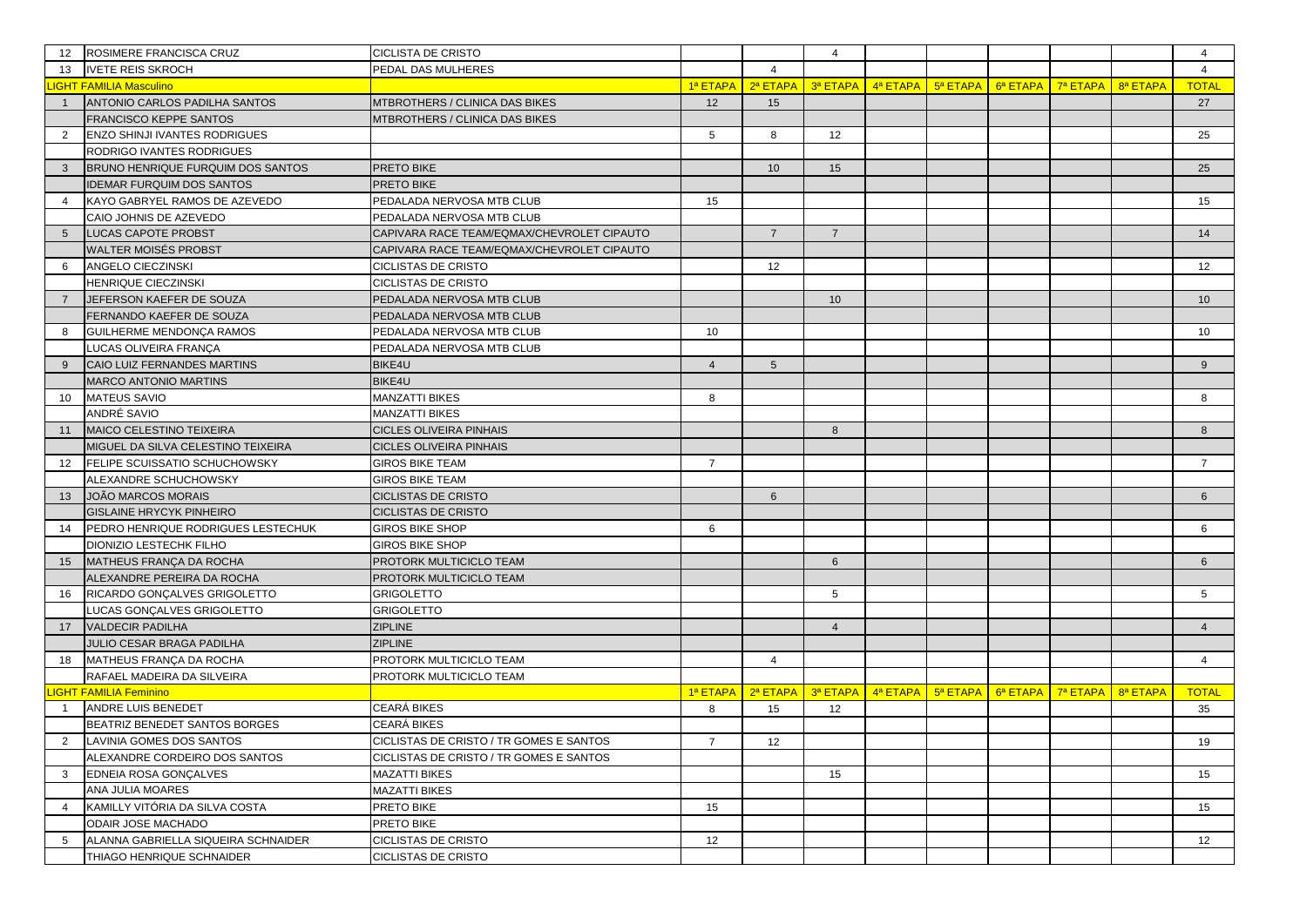| 12              | ROSIMERE FRANCISCA CRUZ              | <b>CICLISTA DE CRISTO</b>                  |                |                                                                                       | $\overline{4}$ |                                                          |                                                                       |          |          | $\overline{4}$  |
|-----------------|--------------------------------------|--------------------------------------------|----------------|---------------------------------------------------------------------------------------|----------------|----------------------------------------------------------|-----------------------------------------------------------------------|----------|----------|-----------------|
| 13              | <b>IVETE REIS SKROCH</b>             | PEDAL DAS MULHERES                         |                | $\overline{4}$                                                                        |                |                                                          |                                                                       |          |          | $\overline{4}$  |
|                 | <b>IGHT FAMILIA Masculino</b>        |                                            |                | 1ª ETAPA   2ª ETAPA                                                                   |                | $\frac{3^a}{a}$ ETAPA $\frac{1}{2}$ 4 <sup>a</sup> ETAPA | $\frac{1}{2}$ 5 <sup>a</sup> ETAPA $\frac{1}{2}$ 6 <sup>a</sup> ETAPA | 7ª ETAPA | 8ª ETAPA | <b>TOTAL</b>    |
| $\overline{1}$  | ANTONIO CARLOS PADILHA SANTOS        | MTBROTHERS / CLINICA DAS BIKES             | 12             | 15                                                                                    |                |                                                          |                                                                       |          |          | 27              |
|                 | <b>FRANCISCO KEPPE SANTOS</b>        | MTBROTHERS / CLINICA DAS BIKES             |                |                                                                                       |                |                                                          |                                                                       |          |          |                 |
| 2               | <b>ENZO SHINJI IVANTES RODRIGUES</b> |                                            | 5              | 8                                                                                     | 12             |                                                          |                                                                       |          |          | 25              |
|                 | RODRIGO IVANTES RODRIGUES            |                                            |                |                                                                                       |                |                                                          |                                                                       |          |          |                 |
| 3               | BRUNO HENRIQUE FURQUIM DOS SANTOS    | PRETO BIKE                                 |                | 10                                                                                    | 15             |                                                          |                                                                       |          |          | 25              |
|                 | <b>IDEMAR FURQUIM DOS SANTOS</b>     | PRETO BIKE                                 |                |                                                                                       |                |                                                          |                                                                       |          |          |                 |
|                 | KAYO GABRYEL RAMOS DE AZEVEDO        | PEDALADA NERVOSA MTB CLUB                  | 15             |                                                                                       |                |                                                          |                                                                       |          |          | 15              |
|                 | CAIO JOHNIS DE AZEVEDO               | PEDALADA NERVOSA MTB CLUB                  |                |                                                                                       |                |                                                          |                                                                       |          |          |                 |
| $5\overline{5}$ | LUCAS CAPOTE PROBST                  | CAPIVARA RACE TEAM/EQMAX/CHEVROLET CIPAUTO |                | $\overline{7}$                                                                        | $\overline{7}$ |                                                          |                                                                       |          |          | 14              |
|                 | WALTER MOISÉS PROBST                 | CAPIVARA RACE TEAM/EQMAX/CHEVROLET CIPAUTO |                |                                                                                       |                |                                                          |                                                                       |          |          |                 |
| 6               | ANGELO CIECZINSKI                    | <b>CICLISTAS DE CRISTO</b>                 |                | 12                                                                                    |                |                                                          |                                                                       |          |          | 12              |
|                 | HENRIQUE CIECZINSKI                  | <b>CICLISTAS DE CRISTO</b>                 |                |                                                                                       |                |                                                          |                                                                       |          |          |                 |
| $\overline{7}$  | JEFERSON KAEFER DE SOUZA             | PEDALADA NERVOSA MTB CLUB                  |                |                                                                                       | 10             |                                                          |                                                                       |          |          | 10              |
|                 | FERNANDO KAEFER DE SOUZA             | PEDALADA NERVOSA MTB CLUB                  |                |                                                                                       |                |                                                          |                                                                       |          |          |                 |
| 8               | GUILHERME MENDONÇA RAMOS             | PEDALADA NERVOSA MTB CLUB                  | 10             |                                                                                       |                |                                                          |                                                                       |          |          | 10              |
|                 | LUCAS OLIVEIRA FRANÇA                | PEDALADA NERVOSA MTB CLUB                  |                |                                                                                       |                |                                                          |                                                                       |          |          |                 |
| 9               | CAIO LUIZ FERNANDES MARTINS          | BIKE4U                                     | $\overline{4}$ | $5\overline{)}$                                                                       |                |                                                          |                                                                       |          |          | 9               |
|                 | <b>MARCO ANTONIO MARTINS</b>         | BIKE4U                                     |                |                                                                                       |                |                                                          |                                                                       |          |          |                 |
| 10              | <b>MATEUS SAVIO</b>                  | <b>MANZATTI BIKES</b>                      | 8              |                                                                                       |                |                                                          |                                                                       |          |          | 8               |
|                 | ANDRÉ SAVIO                          | <b>MANZATTI BIKES</b>                      |                |                                                                                       |                |                                                          |                                                                       |          |          |                 |
| 11              | MAICO CELESTINO TEIXEIRA             | <b>CICLES OLIVEIRA PINHAIS</b>             |                |                                                                                       | 8              |                                                          |                                                                       |          |          | 8               |
|                 | MIGUEL DA SILVA CELESTINO TEIXEIRA   | <b>CICLES OLIVEIRA PINHAIS</b>             |                |                                                                                       |                |                                                          |                                                                       |          |          |                 |
| $12 \,$         | FELIPE SCUISSATIO SCHUCHOWSKY        | <b>GIROS BIKE TEAM</b>                     | $\overline{7}$ |                                                                                       |                |                                                          |                                                                       |          |          | $\overline{7}$  |
|                 | ALEXANDRE SCHUCHOWSKY                | <b>GIROS BIKE TEAM</b>                     |                |                                                                                       |                |                                                          |                                                                       |          |          |                 |
| 13              | JOÃO MARCOS MORAIS                   | <b>CICLISTAS DE CRISTO</b>                 |                | 6                                                                                     |                |                                                          |                                                                       |          |          | 6               |
|                 | <b>GISLAINE HRYCYK PINHEIRO</b>      | <b>CICLISTAS DE CRISTO</b>                 |                |                                                                                       |                |                                                          |                                                                       |          |          |                 |
| 14              | PEDRO HENRIQUE RODRIGUES LESTECHUK   | <b>GIROS BIKE SHOP</b>                     | 6              |                                                                                       |                |                                                          |                                                                       |          |          | 6               |
|                 | DIONIZIO LESTECHK FILHO              | <b>GIROS BIKE SHOP</b>                     |                |                                                                                       |                |                                                          |                                                                       |          |          |                 |
| 15              | MATHEUS FRANÇA DA ROCHA              | PROTORK MULTICICLO TEAM                    |                |                                                                                       | 6              |                                                          |                                                                       |          |          | $6\overline{6}$ |
|                 | ALEXANDRE PEREIRA DA ROCHA           | PROTORK MULTICICLO TEAM                    |                |                                                                                       |                |                                                          |                                                                       |          |          |                 |
| 16              | RICARDO GONÇALVES GRIGOLETTO         | <b>GRIGOLETTO</b>                          |                |                                                                                       | 5              |                                                          |                                                                       |          |          | 5               |
|                 | LUCAS GONÇALVES GRIGOLETTO           | <b>GRIGOLETTO</b>                          |                |                                                                                       |                |                                                          |                                                                       |          |          |                 |
| 17              | <b>VALDECIR PADILHA</b>              | <b>ZIPLINE</b>                             |                |                                                                                       | $\overline{4}$ |                                                          |                                                                       |          |          | $\overline{4}$  |
|                 | JULIO CESAR BRAGA PADILHA            | <b>ZIPLINE</b>                             |                |                                                                                       |                |                                                          |                                                                       |          |          |                 |
| 18              | MATHEUS FRANÇA DA ROCHA              | PROTORK MULTICICLO TEAM                    |                | $\overline{4}$                                                                        |                |                                                          |                                                                       |          |          | $\overline{4}$  |
|                 | RAFAEL MADEIRA DA SILVEIRA           | PROTORK MULTICICLO TEAM                    |                |                                                                                       |                |                                                          |                                                                       |          |          |                 |
|                 | <b>LIGHT FAMILIA Feminino</b>        |                                            |                | 1ª ETAPA   2ª ETAPA   3ª ETAPA   4ª ETAPA   5ª ETAPA   6ª ETAPA   7ª ETAPA   8ª ETAPA |                |                                                          |                                                                       |          |          | <b>TOTAL</b>    |
| $\overline{1}$  | ANDRE LUIS BENEDET                   | CEARÁ BIKES                                | 8              | 15                                                                                    | 12             |                                                          |                                                                       |          |          | 35              |
|                 | BEATRIZ BENEDET SANTOS BORGES        | CEARA BIKES                                |                |                                                                                       |                |                                                          |                                                                       |          |          |                 |
| $\overline{2}$  | LAVINIA GOMES DOS SANTOS             | CICLISTAS DE CRISTO / TR GOMES E SANTOS    | $\sqrt{2}$     | 12                                                                                    |                |                                                          |                                                                       |          |          | 19              |
|                 | ALEXANDRE CORDEIRO DOS SANTOS        | CICLISTAS DE CRISTO / TR GOMES E SANTOS    |                |                                                                                       |                |                                                          |                                                                       |          |          |                 |
| 3               | EDNEIA ROSA GONÇALVES                | <b>MAZATTI BIKES</b>                       |                |                                                                                       | 15             |                                                          |                                                                       |          |          | 15              |
|                 | ANA JULIA MOARES                     | <b>MAZATTI BIKES</b>                       |                |                                                                                       |                |                                                          |                                                                       |          |          |                 |
| $\overline{4}$  | KAMILLY VITÓRIA DA SILVA COSTA       | PRETO BIKE                                 | 15             |                                                                                       |                |                                                          |                                                                       |          |          | 15              |
|                 | ODAIR JOSE MACHADO                   | PRETO BIKE                                 |                |                                                                                       |                |                                                          |                                                                       |          |          |                 |
| 5               | ALANNA GABRIELLA SIQUEIRA SCHNAIDER  | <b>CICLISTAS DE CRISTO</b>                 | 12             |                                                                                       |                |                                                          |                                                                       |          |          | 12              |
|                 | THIAGO HENRIQUE SCHNAIDER            | <b>CICLISTAS DE CRISTO</b>                 |                |                                                                                       |                |                                                          |                                                                       |          |          |                 |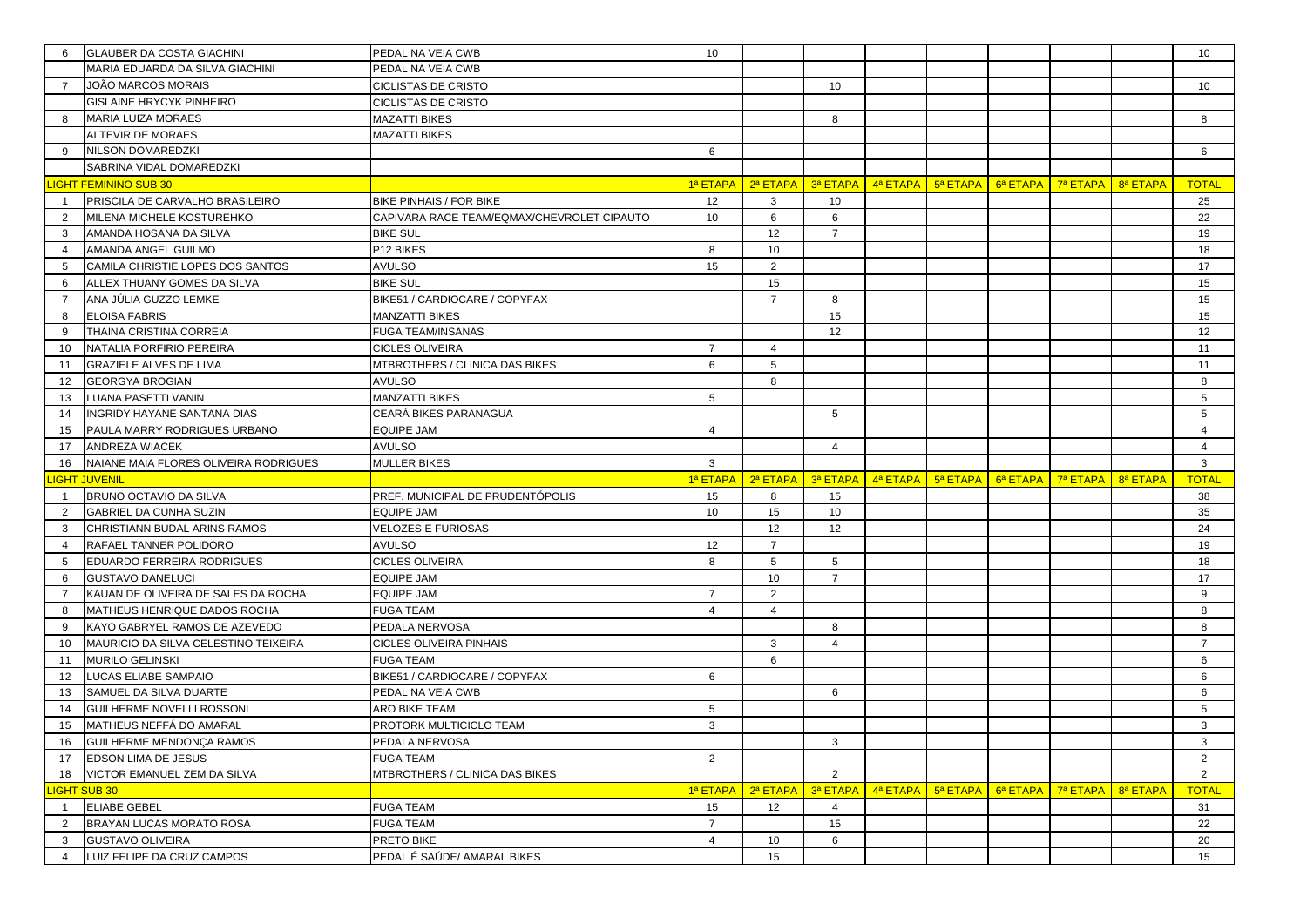| 6                   | <b>GLAUBER DA COSTA GIACHINI</b>                      | PEDAL NA VEIA CWB                          | 10                      |                |                |                                           |          |          |          |          | 10             |
|---------------------|-------------------------------------------------------|--------------------------------------------|-------------------------|----------------|----------------|-------------------------------------------|----------|----------|----------|----------|----------------|
|                     | MARIA EDUARDA DA SILVA GIACHINI                       | PEDAL NA VEIA CWB                          |                         |                |                |                                           |          |          |          |          |                |
| $\overline{7}$      | <b>JOÃO MARCOS MORAIS</b>                             | <b>CICLISTAS DE CRISTO</b>                 |                         |                | 10             |                                           |          |          |          |          | 10             |
|                     | <b>GISLAINE HRYCYK PINHEIRO</b>                       | <b>CICLISTAS DE CRISTO</b>                 |                         |                |                |                                           |          |          |          |          |                |
| 8                   | <b>MARIA LUIZA MORAES</b>                             | MAZATTI BIKES                              |                         |                | 8              |                                           |          |          |          |          | 8              |
|                     | <b>ALTEVIR DE MORAES</b>                              | <b>MAZATTI BIKES</b>                       |                         |                |                |                                           |          |          |          |          |                |
| 9                   | NILSON DOMAREDZKI                                     |                                            | 6                       |                |                |                                           |          |          |          |          | 6              |
|                     | SABRINA VIDAL DOMAREDZKI                              |                                            |                         |                |                |                                           |          |          |          |          |                |
|                     | <b>IGHT FEMININO SUB 30</b>                           |                                            |                         |                |                | 1ª ЕТАРА   2ª ЕТАРА   3ª ЕТАРА   4ª ЕТАРА | 5ª ETAPA | 6ª ETAPA | 7ª ETAPA | 8ª ETAPA | <b>TOTAL</b>   |
| $\mathbf{1}$        | PRISCILA DE CARVALHO BRASILEIRO                       | <b>BIKE PINHAIS / FOR BIKE</b>             | 12                      | 3              | 10             |                                           |          |          |          |          | 25             |
| 2                   | MILENA MICHELE KOSTUREHKO                             | CAPIVARA RACE TEAM/EQMAX/CHEVROLET CIPAUTO | 10                      | 6              | 6              |                                           |          |          |          |          | 22             |
| 3                   | AMANDA HOSANA DA SILVA                                | <b>BIKE SUL</b>                            |                         | 12             | $\overline{7}$ |                                           |          |          |          |          | 19             |
| $\overline{4}$      | AMANDA ANGEL GUILMO                                   | P12 BIKES                                  | 8                       | 10             |                |                                           |          |          |          |          | 18             |
| 5                   | CAMILA CHRISTIE LOPES DOS SANTOS                      | <b>AVULSO</b>                              | 15                      | 2              |                |                                           |          |          |          |          | 17             |
| 6                   | ALLEX THUANY GOMES DA SILVA                           | <b>BIKE SUL</b>                            |                         | 15             |                |                                           |          |          |          |          | 15             |
| $\overline{7}$      | ANA JÚLIA GUZZO LEMKE                                 | BIKE51 / CARDIOCARE / COPYFAX              |                         | $\overline{7}$ | 8              |                                           |          |          |          |          | 15             |
| 8                   | <b>ELOISA FABRIS</b>                                  | MANZATTI BIKES                             |                         |                | 15             |                                           |          |          |          |          | 15             |
| 9                   | THAINA CRISTINA CORREIA                               | FUGA TEAM/INSANAS                          |                         |                | 12             |                                           |          |          |          |          | 12             |
| 10                  | NATALIA PORFIRIO PEREIRA                              | <b>CICLES OLIVEIRA</b>                     | $\overline{7}$          | $\overline{4}$ |                |                                           |          |          |          |          | 11             |
| 11                  | <b>GRAZIELE ALVES DE LIMA</b>                         | MTBROTHERS / CLINICA DAS BIKES             | 6                       | 5              |                |                                           |          |          |          |          | 11             |
| 12                  | <b>GEORGYA BROGIAN</b>                                | AVULSO                                     |                         | 8              |                |                                           |          |          |          |          | 8              |
| 13                  | LUANA PASETTI VANIN                                   | MANZATTI BIKES                             | 5                       |                |                |                                           |          |          |          |          | 5              |
| 14                  | <b>INGRIDY HAYANE SANTANA DIAS</b>                    | CEARÁ BIKES PARANAGUA                      |                         |                | 5              |                                           |          |          |          |          | 5              |
| 15                  | PAULA MARRY RODRIGUES URBANO                          | EQUIPE JAM                                 | $\overline{4}$          |                |                |                                           |          |          |          |          | $\overline{4}$ |
| 17                  | <b>ANDREZA WIACEK</b>                                 | <b>AVULSO</b>                              |                         |                | $\overline{4}$ |                                           |          |          |          |          | $\overline{4}$ |
|                     |                                                       |                                            |                         |                |                |                                           |          |          |          |          |                |
| 16                  | NAIANE MAIA FLORES OLIVEIRA RODRIGUES                 | MULLER BIKES                               | 3                       |                |                |                                           |          |          |          |          | $\mathbf{3}$   |
|                     | <b>IGHT JUVENIL</b>                                   |                                            | 1ª ETAPA                | 2ª ETAPA       |                | 3ª ETAPA 4ª ETAPA 5ª ETAPA                |          | 6ª ETAPA | 7ª ETAPA | 8ª ETAPA | <b>TOTAL</b>   |
| $\mathbf{1}$        | BRUNO OCTAVIO DA SILVA                                | PREF. MUNICIPAL DE PRUDENTÓPOLIS           | 15                      | 8              | 15             |                                           |          |          |          |          | 38             |
| 2                   | <b>GABRIEL DA CUNHA SUZIN</b>                         | EQUIPE JAM                                 | 10                      | 15             | 10             |                                           |          |          |          |          | 35             |
| 3                   | CHRISTIANN BUDAL ARINS RAMOS                          | VELOZES E FURIOSAS                         |                         | 12             | 12             |                                           |          |          |          |          | 24             |
| $\overline{4}$      | RAFAEL TANNER POLIDORO                                | <b>AVULSO</b>                              | 12                      | $\overline{7}$ |                |                                           |          |          |          |          | 19             |
| 5                   | EDUARDO FERREIRA RODRIGUES                            | <b>CICLES OLIVEIRA</b>                     | 8                       | 5              | 5              |                                           |          |          |          |          | 18             |
| 6                   | <b>GUSTAVO DANELUCI</b>                               | EQUIPE JAM                                 |                         | 10             | $\overline{7}$ |                                           |          |          |          |          | 17             |
| $\overline{7}$      | KAUAN DE OLIVEIRA DE SALES DA ROCHA                   | EQUIPE JAM                                 | $\overline{7}$          | 2              |                |                                           |          |          |          |          | 9              |
| 8                   | MATHEUS HENRIQUE DADOS ROCHA                          | FUGA TEAM                                  | $\overline{\mathbf{4}}$ | $\Delta$       |                |                                           |          |          |          |          | 8              |
| 9                   | KAYO GABRYEL RAMOS DE AZEVEDO                         | PEDALA NERVOSA                             |                         |                | 8              |                                           |          |          |          |          | 8              |
| 10                  | MAURICIO DA SILVA CELESTINO TEIXEIRA                  | CICLES OLIVEIRA PINHAIS                    |                         | 3              | $\overline{4}$ |                                           |          |          |          |          | $\overline{7}$ |
| 11                  | <b>MURILO GELINSKI</b>                                | FUGA TEAM                                  |                         | 6              |                |                                           |          |          |          |          | 6              |
| 12                  | LUCAS ELIABE SAMPAIO                                  | BIKE51 / CARDIOCARE / COPYFAX              | 6                       |                |                |                                           |          |          |          |          | 6              |
| 13                  | SAMUEL DA SILVA DUARTE                                | PEDAL NA VEIA CWB                          |                         |                | 6              |                                           |          |          |          |          | 6              |
| 14                  | GUILHERME NOVELLI ROSSONI                             | ARO BIKE TEAM                              | 5                       |                |                |                                           |          |          |          |          | 5              |
| 15                  | MATHEUS NEFFÁ DO AMARAL                               | PROTORK MULTICICLO TEAM                    | 3                       |                |                |                                           |          |          |          |          | 3              |
| 16                  | GUILHERME MENDONÇA RAMOS                              | PEDALA NERVOSA                             |                         |                | 3              |                                           |          |          |          |          | $\mathbf{3}$   |
| 17                  | <b>EDSON LIMA DE JESUS</b>                            | <b>FUGA TEAM</b>                           | $\overline{2}$          |                |                |                                           |          |          |          |          | $\overline{2}$ |
| 18                  | VICTOR EMANUEL ZEM DA SILVA                           | MTBROTHERS / CLINICA DAS BIKES             |                         |                | 2              |                                           |          |          |          |          | $\overline{2}$ |
|                     | <b>IGHT SUB 30</b>                                    |                                            | 1ª ETAPA 2ª ETAPA       |                | 3ª ETAPA       | 4ª ETAPA                                  | 5ª ETAPA | 6ª ETAPA | 7ª ETAPA | 8ª ETAPA | <b>TOTAL</b>   |
| $\overline{1}$      | <b>ELIABE GEBEL</b>                                   | <b>FUGA TEAM</b>                           | 15                      | 12             | $\overline{4}$ |                                           |          |          |          |          | 31             |
| $\overline{2}$      | BRAYAN LUCAS MORATO ROSA                              | <b>FUGA TEAM</b>                           | $\overline{7}$          |                | 15             |                                           |          |          |          |          | 22             |
| 3<br>$\overline{4}$ | <b>GUSTAVO OLIVEIRA</b><br>LUIZ FELIPE DA CRUZ CAMPOS | PRETO BIKE<br>PEDAL É SAÚDE/ AMARAL BIKES  | $\overline{4}$          | 10<br>15       | 6              |                                           |          |          |          |          | 20<br>15       |